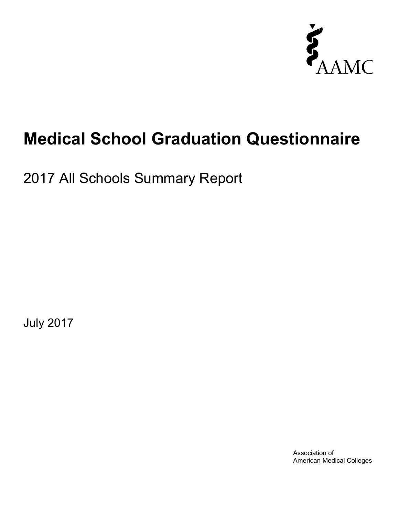

# **Medical School Graduation Questionnaire**

2017 All Schools Summary Report

July 2017

Association of American Medical Colleges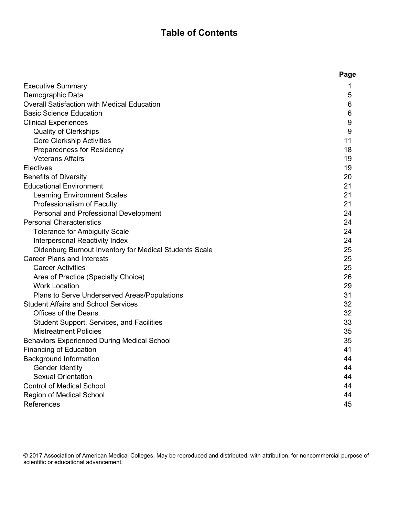# **Table of Contents**

|                                                               | Page |
|---------------------------------------------------------------|------|
| <b>Executive Summary</b>                                      | 1    |
| Demographic Data                                              | 5    |
| Overall Satisfaction with Medical Education                   | 6    |
| <b>Basic Science Education</b>                                | 6    |
| <b>Clinical Experiences</b>                                   | 9    |
| <b>Quality of Clerkships</b>                                  | 9    |
| <b>Core Clerkship Activities</b>                              | 11   |
| Preparedness for Residency                                    | 18   |
| <b>Veterans Affairs</b>                                       | 19   |
| Electives                                                     | 19   |
| <b>Benefits of Diversity</b>                                  | 20   |
| <b>Educational Environment</b>                                | 21   |
| <b>Learning Environment Scales</b>                            | 21   |
| Professionalism of Faculty                                    | 21   |
| Personal and Professional Development                         | 24   |
| <b>Personal Characteristics</b>                               | 24   |
| <b>Tolerance for Ambiguity Scale</b>                          | 24   |
| Interpersonal Reactivity Index                                | 24   |
| <b>Oldenburg Burnout Inventory for Medical Students Scale</b> | 25   |
| <b>Career Plans and Interests</b>                             | 25   |
| <b>Career Activities</b>                                      | 25   |
| Area of Practice (Specialty Choice)                           | 26   |
| <b>Work Location</b>                                          | 29   |
| Plans to Serve Underserved Areas/Populations                  | 31   |
| <b>Student Affairs and School Services</b>                    | 32   |
| <b>Offices of the Deans</b>                                   | 32   |
| Student Support, Services, and Facilities                     | 33   |
| <b>Mistreatment Policies</b>                                  | 35   |
| <b>Behaviors Experienced During Medical School</b>            | 35   |
| <b>Financing of Education</b>                                 | 41   |
| <b>Background Information</b>                                 | 44   |
| Gender Identity                                               | 44   |
| <b>Sexual Orientation</b>                                     | 44   |
| <b>Control of Medical School</b>                              | 44   |
| Region of Medical School                                      | 44   |
| References                                                    | 45   |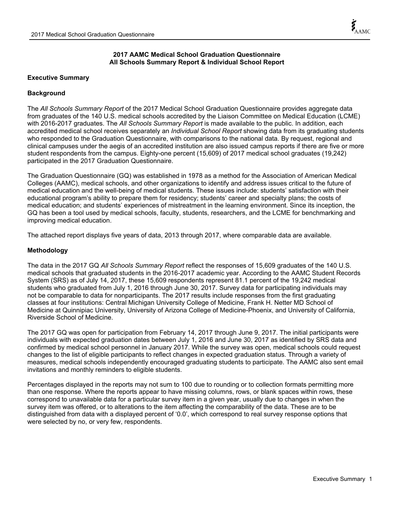### **2017 AAMC Medical School Graduation Questionnaire All Schools Summary Report & Individual School Report**

#### **Executive Summary**

#### **Background**

The *All Schools Summary Report* of the 2017 Medical School Graduation Questionnaire provides aggregate data from graduates of the 140 U.S. medical schools accredited by the Liaison Committee on Medical Education (LCME) with 2016-2017 graduates. The *All Schools Summary Report* is made available to the public. In addition, each accredited medical school receives separately an *Individual School Report* showing data from its graduating students who responded to the Graduation Questionnaire, with comparisons to the national data. By request, regional and clinical campuses under the aegis of an accredited institution are also issued campus reports if there are five or more student respondents from the campus. Eighty-one percent (15,609) of 2017 medical school graduates (19,242) participated in the 2017 Graduation Questionnaire.

The Graduation Questionnaire (GQ) was established in 1978 as a method for the Association of American Medical Colleges (AAMC), medical schools, and other organizations to identify and address issues critical to the future of medical education and the well-being of medical students. These issues include: students' satisfaction with their educational program's ability to prepare them for residency; students' career and specialty plans; the costs of medical education; and students' experiences of mistreatment in the learning environment. Since its inception, the GQ has been a tool used by medical schools, faculty, students, researchers, and the LCME for benchmarking and improving medical education.

The attached report displays five years of data, 2013 through 2017, where comparable data are available.

#### **Methodology**

The data in the 2017 GQ *All Schools Summary Report* reflect the responses of 15,609 graduates of the 140 U.S. medical schools that graduated students in the 2016-2017 academic year. According to the AAMC Student Records System (SRS) as of July 14, 2017, these 15,609 respondents represent 81.1 percent of the 19,242 medical students who graduated from July 1, 2016 through June 30, 2017. Survey data for participating individuals may not be comparable to data for nonparticipants. The 2017 results include responses from the first graduating classes at four institutions: Central Michigan University College of Medicine, Frank H. Netter MD School of Medicine at Quinnipiac University, University of Arizona College of Medicine-Phoenix, and University of California, Riverside School of Medicine.

The 2017 GQ was open for participation from February 14, 2017 through June 9, 2017. The initial participants were individuals with expected graduation dates between July 1, 2016 and June 30, 2017 as identified by SRS data and confirmed by medical school personnel in January 2017. While the survey was open, medical schools could request changes to the list of eligible participants to reflect changes in expected graduation status. Through a variety of measures, medical schools independently encouraged graduating students to participate. The AAMC also sent email invitations and monthly reminders to eligible students.

Percentages displayed in the reports may not sum to 100 due to rounding or to collection formats permitting more than one response. Where the reports appear to have missing columns, rows, or blank spaces within rows, these correspond to unavailable data for a particular survey item in a given year, usually due to changes in when the survey item was offered, or to alterations to the item affecting the comparability of the data. These are to be distinguished from data with a displayed percent of '0.0', which correspond to real survey response options that were selected by no, or very few, respondents.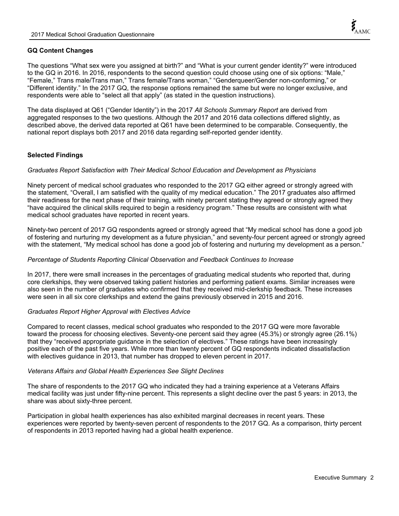### **GQ Content Changes**

The questions "What sex were you assigned at birth?" and "What is your current gender identity?" were introduced to the GQ in 2016. In 2016, respondents to the second question could choose using one of six options: "Male," "Female," Trans male/Trans man," Trans female/Trans woman," "Genderqueer/Gender non-conforming," or "Different identity." In the 2017 GQ, the response options remained the same but were no longer exclusive, and respondents were able to "select all that apply" (as stated in the question instructions).

The data displayed at Q61 ("Gender Identity") in the 2017 *All Schools Summary Report* are derived from aggregated responses to the two questions. Although the 2017 and 2016 data collections differed slightly, as described above, the derived data reported at Q61 have been determined to be comparable. Consequently, the national report displays both 2017 and 2016 data regarding self-reported gender identity.

#### **Selected Findings**

#### *Graduates Report Satisfaction with Their Medical School Education and Development as Physicians*

Ninety percent of medical school graduates who responded to the 2017 GQ either agreed or strongly agreed with the statement, "Overall, I am satisfied with the quality of my medical education." The 2017 graduates also affirmed their readiness for the next phase of their training, with ninety percent stating they agreed or strongly agreed they "have acquired the clinical skills required to begin a residency program." These results are consistent with what medical school graduates have reported in recent years.

Ninety-two percent of 2017 GQ respondents agreed or strongly agreed that "My medical school has done a good job of fostering and nurturing my development as a future physician," and seventy-four percent agreed or strongly agreed with the statement, "My medical school has done a good job of fostering and nurturing my development as a person."

#### *Percentage of Students Reporting Clinical Observation and Feedback Continues to Increase*

In 2017, there were small increases in the percentages of graduating medical students who reported that, during core clerkships, they were observed taking patient histories and performing patient exams. Similar increases were also seen in the number of graduates who confirmed that they received mid-clerkship feedback. These increases were seen in all six core clerkships and extend the gains previously observed in 2015 and 2016.

#### *Graduates Report Higher Approval with Electives Advice*

Compared to recent classes, medical school graduates who responded to the 2017 GQ were more favorable toward the process for choosing electives. Seventy-one percent said they agree (45.3%) or strongly agree (26.1%) that they "received appropriate guidance in the selection of electives." These ratings have been increasingly positive each of the past five years. While more than twenty percent of GQ respondents indicated dissatisfaction with electives guidance in 2013, that number has dropped to eleven percent in 2017.

#### *Veterans Affairs and Global Health Experiences See Slight Declines*

The share of respondents to the 2017 GQ who indicated they had a training experience at a Veterans Affairs medical facility was just under fifty-nine percent. This represents a slight decline over the past 5 years: in 2013, the share was about sixty-three percent.

Participation in global health experiences has also exhibited marginal decreases in recent years. These experiences were reported by twenty-seven percent of respondents to the 2017 GQ. As a comparison, thirty percent of respondents in 2013 reported having had a global health experience.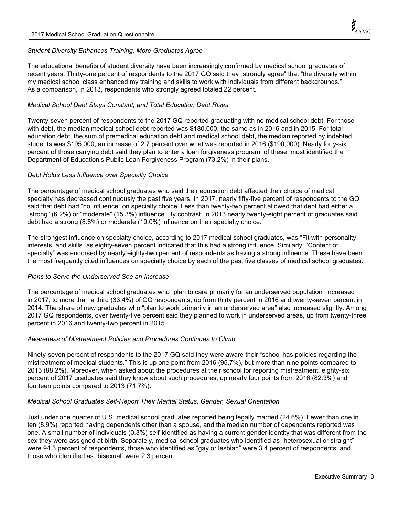## *Student Diversity Enhances Training, More Graduates Agree*

The educational benefits of student diversity have been increasingly confirmed by medical school graduates of recent years. Thirty-one percent of respondents to the 2017 GQ said they "strongly agree" that "the diversity within my medical school class enhanced my training and skills to work with individuals from different backgrounds." As a comparison, in 2013, respondents who strongly agreed totaled 22 percent.

## *Medical School Debt Stays Constant, and Total Education Debt Rises*

Twenty-seven percent of respondents to the 2017 GQ reported graduating with no medical school debt. For those with debt, the median medical school debt reported was \$180,000, the same as in 2016 and in 2015. For total education debt, the sum of premedical education debt and medical school debt, the median reported by indebted students was \$195,000, an increase of 2.7 percent over what was reported in 2016 (\$190,000). Nearly forty-six percent of those carrying debt said they plan to enter a loan forgiveness program; of these, most identified the Department of Education's Public Loan Forgiveness Program (73.2%) in their plans.

#### *Debt Holds Less Influence over Specialty Choice*

The percentage of medical school graduates who said their education debt affected their choice of medical specialty has decreased continuously the past five years. In 2017, nearly fifty-five percent of respondents to the GQ said that debt had "no influence" on specialty choice. Less than twenty-two percent allowed that debt had either a "strong" (6.2%) or "moderate" (15.3%) influence. By contrast, in 2013 nearly twenty-eight percent of graduates said debt had a strong (8.8%) or moderate (19.0%) influence on their specialty choice.

The strongest influence on specialty choice, according to 2017 medical school graduates, was "Fit with personality, interests, and skills" as eighty-seven percent indicated that this had a strong influence. Similarly, "Content of specialty" was endorsed by nearly eighty-two percent of respondents as having a strong influence. These have been the most frequently cited influences on specialty choice by each of the past five classes of medical school graduates.

#### *Plans to Serve the Underserved See an Increase*

The percentage of medical school graduates who "plan to care primarily for an underserved population" increased in 2017, to more than a third (33.4%) of GQ respondents, up from thirty percent in 2016 and twenty-seven percent in 2014. The share of new graduates who "plan to work primarily in an underserved area" also increased slightly. Among 2017 GQ respondents, over twenty-five percent said they planned to work in underserved areas, up from twenty-three percent in 2016 and twenty-two percent in 2015.

#### *Awareness of Mistreatment Policies and Procedures Continues to Climb*

Ninety-seven percent of respondents to the 2017 GQ said they were aware their "school has policies regarding the mistreatment of medical students." This is up one point from 2016 (95.7%), but more than nine points compared to 2013 (88.2%). Moreover, when asked about the procedures at their school for reporting mistreatment, eighty-six percent of 2017 graduates said they know about such procedures, up nearly four points from 2016 (82.3%) and fourteen points compared to 2013 (71.7%).

#### *Medical School Graduates Self-Report Their Marital Status, Gender, Sexual Orientation*

Just under one quarter of U.S. medical school graduates reported being legally married (24.6%). Fewer than one in ten (8.9%) reported having dependents other than a spouse, and the median number of dependents reported was one. A small number of individuals (0.3%) self-identified as having a current gender identity that was different from the sex they were assigned at birth. Separately, medical school graduates who identified as "heterosexual or straight" were 94.3 percent of respondents, those who identified as "gay or lesbian" were 3.4 percent of respondents, and those who identified as "bisexual" were 2.3 percent.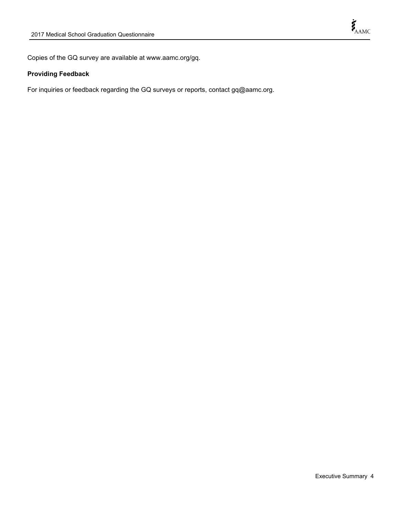Copies of the GQ survey are available at www.aamc.org/gq.

# **Providing Feedback**

For inquiries or feedback regarding the GQ surveys or reports, contact gq@aamc.org.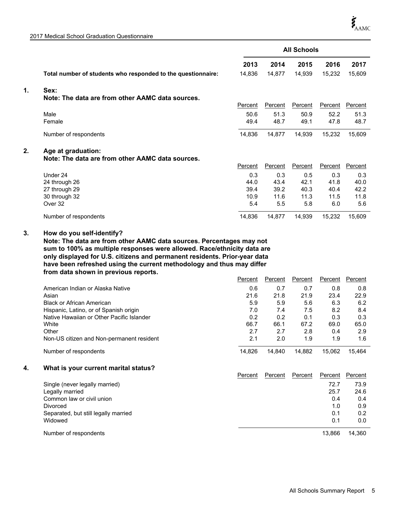2017 Medical School Graduation Questionnaire

|    |                                                              |         |                | <b>All Schools</b> |                |                |
|----|--------------------------------------------------------------|---------|----------------|--------------------|----------------|----------------|
|    |                                                              | 2013    | 2014           | 2015               | 2016           | 2017           |
|    | Total number of students who responded to the questionnaire: | 14,836  | 14,877         | 14,939             | 15,232         | 15,609         |
| 1. | Sex:                                                         |         |                |                    |                |                |
|    | Note: The data are from other AAMC data sources.             |         |                |                    |                |                |
|    |                                                              | Percent | <b>Percent</b> | Percent            | Percent        | <b>Percent</b> |
|    | Male                                                         | 50.6    | 51.3           | 50.9               | 52.2           | 51.3           |
|    | Female                                                       | 49.4    | 48.7           | 49.1               | 47.8           | 48.7           |
|    | Number of respondents                                        | 14,836  | 14,877         | 14,939             | 15,232         | 15,609         |
| 2. | Age at graduation:                                           |         |                |                    |                |                |
|    | Note: The data are from other AAMC data sources.             |         |                |                    |                |                |
|    |                                                              | Percent | Percent        | Percent            | <b>Percent</b> | Percent        |
|    | Under 24                                                     | 0.3     | 0.3            | 0.5                | 0.3            | 0.3            |
|    | 24 through 26                                                | 44.0    | 43.4           | 42.1               | 41.8           | 40.0           |
|    | 27 through 29                                                | 39.4    | 39.2           | 40.3               | 40.4           | 42.2           |
|    | 30 through 32                                                | 10.9    | 11.6           | 11.3               | 11.5           | 11.8           |
|    | Over 32                                                      | 5.4     | 5.5            | 5.8                | 6.0            | 5.6            |
|    | Number of respondents                                        | 14,836  | 14,877         | 14,939             | 15,232         | 15,609         |

#### **How do you self-identify? 3.**

**Note: The data are from other AAMC data sources. Percentages may not sum to 100% as multiple responses were allowed. Race/ethnicity data are only displayed for U.S. citizens and permanent residents. Prior-year data have been refreshed using the current methodology and thus may differ from data shown in previous reports.**

|                                           | Percent | Percent | Percent | Percent | Percent |
|-------------------------------------------|---------|---------|---------|---------|---------|
| American Indian or Alaska Native          | 0.6     | 0.7     | 0.7     | 0.8     | 0.8     |
| Asian                                     | 21.6    | 21.8    | 21.9    | 23.4    | 22.9    |
| <b>Black or African American</b>          | 5.9     | 5.9     | 5.6     | 6.3     | 6.2     |
| Hispanic, Latino, or of Spanish origin    | 7.0     | 7.4     | 7.5     | 8.2     | 8.4     |
| Native Hawaiian or Other Pacific Islander | 0.2     | 0.2     | 0.1     | 0.3     | 0.3     |
| White                                     | 66.7    | 66.1    | 67.2    | 69.0    | 65.0    |
| Other                                     | 2.7     | 2.7     | 2.8     | 0.4     | 2.9     |
| Non-US citizen and Non-permanent resident | 2.1     | 2.0     | 1.9     | 1.9     | 1.6     |
| Number of respondents                     | 14.826  | 14.840  | 14.882  | 15.062  | 15.464  |

#### **4. What is your current marital status?**

|                                      | Percent | Percent | Percent | Percent | Percent |
|--------------------------------------|---------|---------|---------|---------|---------|
| Single (never legally married)       |         |         |         | 72.7    | 73.9    |
| Legally married                      |         |         |         | 25.7    | 24.6    |
| Common law or civil union            |         |         |         | 0.4     | 0.4     |
| <b>Divorced</b>                      |         |         |         | 1.0     | 0.9     |
| Separated, but still legally married |         |         |         | 0.1     | 0.2     |
| Widowed                              |         |         |         | 0.1     | 0.0     |
| Number of respondents                |         |         |         | 13.866  | 14.360  |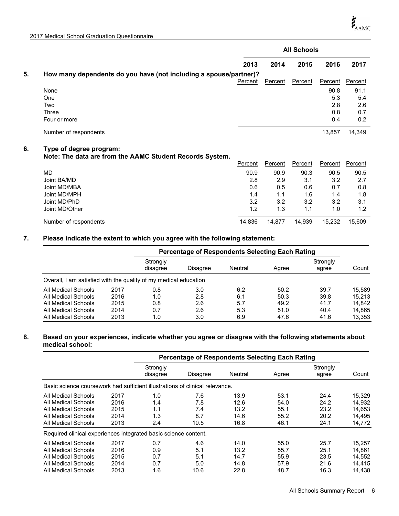|    |                                                                                     |                |         | <b>All Schools</b> |                |             |
|----|-------------------------------------------------------------------------------------|----------------|---------|--------------------|----------------|-------------|
|    |                                                                                     | 2013           | 2014    | 2015               | 2016           | 2017        |
| 5. | How many dependents do you have (not including a spouse/partner)?                   |                |         |                    |                |             |
|    |                                                                                     | <b>Percent</b> | Percent | Percent            | <b>Percent</b> | Percent     |
|    | None<br>One                                                                         |                |         |                    | 90.8<br>5.3    | 91.1<br>5.4 |
|    | Two                                                                                 |                |         |                    | 2.8            | 2.6         |
|    | Three<br>Four or more                                                               |                |         |                    | 0.8<br>0.4     | 0.7<br>0.2  |
|    | Number of respondents                                                               |                |         |                    | 13,857         | 14,349      |
| 6. | Type of degree program:<br>Note: The data are from the AAMC Student Records System. |                |         |                    |                |             |
|    |                                                                                     | Percent        | Percent | Percent            | Percent        | Percent     |
|    | <b>MD</b>                                                                           | 90.9           | 90.9    | 90.3               | 90.5           | 90.5        |
|    | Joint BA/MD                                                                         | 2.8            | 2.9     | 3.1                | 3.2            | 2.7         |
|    | Joint MD/MBA                                                                        | 0.6            | 0.5     | 0.6                | 0.7            | 0.8         |
|    | Joint MD/MPH                                                                        | 1.4            | 1.1     | 1.6                | 1.4            | 1.8         |
|    | Joint MD/PhD                                                                        | 3.2            | 3.2     | 3.2                | 3.2            | 3.1         |
|    | Joint MD/Other                                                                      | 1.2            | 1.3     | 1.1                | 1.0            | 1.2         |
|    | Number of respondents                                                               | 14,836         | 14,877  | 14,939             | 15,232         | 15,609      |

#### **7. Please indicate the extent to which you agree with the following statement:**

|                                                                  |      |                      | <b>Percentage of Respondents Selecting Each Rating</b> |         |       |                   |        |
|------------------------------------------------------------------|------|----------------------|--------------------------------------------------------|---------|-------|-------------------|--------|
|                                                                  |      | Strongly<br>disagree | Disagree                                               | Neutral | Agree | Strongly<br>agree | Count  |
| Overall, I am satisfied with the quality of my medical education |      |                      |                                                        |         |       |                   |        |
| All Medical Schools                                              | 2017 | 0.8                  | 3.0                                                    | 6.2     | 50.2  | 39.7              | 15.589 |
| All Medical Schools                                              | 2016 | 1.0                  | 2.8                                                    | 6.1     | 50.3  | 39.8              | 15.213 |
| All Medical Schools                                              | 2015 | 0.8                  | 2.6                                                    | 5.7     | 49.2  | 41.7              | 14.842 |
| All Medical Schools                                              | 2014 | 0.7                  | 2.6                                                    | 5.3     | 51.0  | 40.4              | 14.865 |
| All Medical Schools                                              | 2013 | 1.0                  | 3.0                                                    | 6.9     | 47.6  | 41.6              | 13,353 |

#### **8. Based on your experiences, indicate whether you agree or disagree with the following statements about medical school:**

|                                                                              |      |                      | <b>Percentage of Respondents Selecting Each Rating</b> |         |       |                   |        |
|------------------------------------------------------------------------------|------|----------------------|--------------------------------------------------------|---------|-------|-------------------|--------|
|                                                                              |      | Strongly<br>disagree | <b>Disagree</b>                                        | Neutral | Agree | Strongly<br>agree | Count  |
| Basic science coursework had sufficient illustrations of clinical relevance. |      |                      |                                                        |         |       |                   |        |
| All Medical Schools                                                          | 2017 | 1.0                  | 7.6                                                    | 13.9    | 53.1  | 24.4              | 15,329 |
| All Medical Schools                                                          | 2016 | 1.4                  | 7.8                                                    | 12.6    | 54.0  | 24.2              | 14,932 |
| All Medical Schools                                                          | 2015 | 1.1                  | 7.4                                                    | 13.2    | 55.1  | 23.2              | 14.653 |
| All Medical Schools                                                          | 2014 | 1.3                  | 8.7                                                    | 14.6    | 55.2  | 20.2              | 14.495 |
| All Medical Schools                                                          | 2013 | 2.4                  | 10.5                                                   | 16.8    | 46.1  | 24.1              | 14,772 |
| Required clinical experiences integrated basic science content.              |      |                      |                                                        |         |       |                   |        |
| All Medical Schools                                                          | 2017 | 0.7                  | 4.6                                                    | 14.0    | 55.0  | 25.7              | 15,257 |
| All Medical Schools                                                          | 2016 | 0.9                  | 5.1                                                    | 13.2    | 55.7  | 25.1              | 14.861 |
| All Medical Schools                                                          | 2015 | 0.7                  | 5.1                                                    | 14.7    | 55.9  | 23.5              | 14.552 |
| All Medical Schools                                                          | 2014 | 0.7                  | 5.0                                                    | 14.8    | 57.9  | 21.6              | 14,415 |
| All Medical Schools                                                          | 2013 | 1.6                  | 10.6                                                   | 22.8    | 48.7  | 16.3              | 14,438 |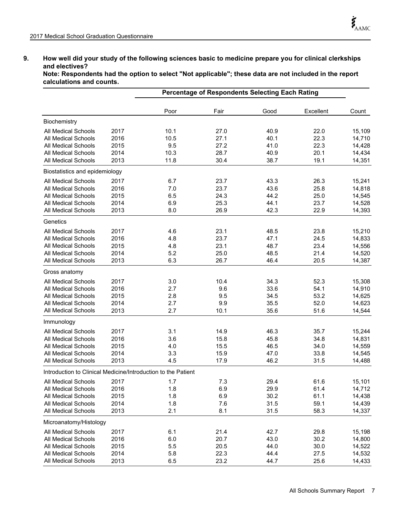## **9. How well did your study of the following sciences basic to medicine prepare you for clinical clerkships and electives?**

**Note: Respondents had the option to select "Not applicable"; these data are not included in the report calculations and counts.**

|                                                               |      |      | <b>Percentage of Respondents Selecting Each Rating</b> |      |           |        |
|---------------------------------------------------------------|------|------|--------------------------------------------------------|------|-----------|--------|
|                                                               |      | Poor | Fair                                                   | Good | Excellent | Count  |
| Biochemistry                                                  |      |      |                                                        |      |           |        |
| All Medical Schools                                           | 2017 | 10.1 | 27.0                                                   | 40.9 | 22.0      | 15,109 |
| All Medical Schools                                           | 2016 | 10.5 | 27.1                                                   | 40.1 | 22.3      | 14,710 |
| All Medical Schools                                           | 2015 | 9.5  | 27.2                                                   | 41.0 | 22.3      | 14,428 |
| All Medical Schools                                           | 2014 | 10.3 | 28.7                                                   | 40.9 | 20.1      | 14,434 |
| All Medical Schools                                           | 2013 | 11.8 | 30.4                                                   | 38.7 | 19.1      | 14,351 |
| Biostatistics and epidemiology                                |      |      |                                                        |      |           |        |
| All Medical Schools                                           | 2017 | 6.7  | 23.7                                                   | 43.3 | 26.3      | 15,241 |
| <b>All Medical Schools</b>                                    | 2016 | 7.0  | 23.7                                                   | 43.6 | 25.8      | 14,818 |
| All Medical Schools                                           | 2015 | 6.5  | 24.3                                                   | 44.2 | 25.0      | 14,545 |
| <b>All Medical Schools</b>                                    | 2014 | 6.9  | 25.3                                                   | 44.1 | 23.7      | 14,528 |
| <b>All Medical Schools</b>                                    | 2013 | 8.0  | 26.9                                                   | 42.3 | 22.9      | 14,393 |
| Genetics                                                      |      |      |                                                        |      |           |        |
| All Medical Schools                                           | 2017 | 4.6  | 23.1                                                   | 48.5 | 23.8      | 15,210 |
| All Medical Schools                                           | 2016 | 4.8  | 23.7                                                   | 47.1 | 24.5      | 14,833 |
| <b>All Medical Schools</b>                                    | 2015 | 4.8  | 23.1                                                   | 48.7 | 23.4      | 14,556 |
| All Medical Schools                                           | 2014 | 5.2  | 25.0                                                   | 48.5 | 21.4      | 14,520 |
| All Medical Schools                                           | 2013 | 6.3  | 26.7                                                   | 46.4 | 20.5      | 14,387 |
| Gross anatomy                                                 |      |      |                                                        |      |           |        |
| All Medical Schools                                           | 2017 | 3.0  | 10.4                                                   | 34.3 | 52.3      | 15,308 |
| All Medical Schools                                           | 2016 | 2.7  | 9.6                                                    | 33.6 | 54.1      | 14,910 |
| All Medical Schools                                           | 2015 | 2.8  | 9.5                                                    | 34.5 | 53.2      | 14,625 |
| All Medical Schools                                           | 2014 | 2.7  | 9.9                                                    | 35.5 | 52.0      | 14,623 |
| All Medical Schools                                           | 2013 | 2.7  | 10.1                                                   | 35.6 | 51.6      | 14,544 |
| Immunology                                                    |      |      |                                                        |      |           |        |
| All Medical Schools                                           | 2017 | 3.1  | 14.9                                                   | 46.3 | 35.7      | 15,244 |
| All Medical Schools                                           | 2016 | 3.6  | 15.8                                                   | 45.8 | 34.8      | 14,831 |
| All Medical Schools                                           | 2015 | 4.0  | 15.5                                                   | 46.5 | 34.0      | 14,559 |
| All Medical Schools                                           | 2014 | 3.3  | 15.9                                                   | 47.0 | 33.8      | 14,545 |
| All Medical Schools                                           | 2013 | 4.5  | 17.9                                                   | 46.2 | 31.5      | 14,488 |
| Introduction to Clinical Medicine/Introduction to the Patient |      |      |                                                        |      |           |        |
| All Medical Schools                                           | 2017 | 1.7  | 7.3                                                    | 29.4 | 61.6      | 15,101 |
| All Medical Schools                                           | 2016 | 1.8  | 6.9                                                    | 29.9 | 61.4      | 14,712 |
| All Medical Schools                                           | 2015 | 1.8  | 6.9                                                    | 30.2 | 61.1      | 14,438 |
| <b>All Medical Schools</b>                                    | 2014 | 1.8  | 7.6                                                    | 31.5 | 59.1      | 14,439 |
| All Medical Schools                                           | 2013 | 2.1  | 8.1                                                    | 31.5 | 58.3      | 14,337 |
| Microanatomy/Histology                                        |      |      |                                                        |      |           |        |
| All Medical Schools                                           | 2017 | 6.1  | 21.4                                                   | 42.7 | 29.8      | 15,198 |
| All Medical Schools                                           | 2016 | 6.0  | 20.7                                                   | 43.0 | 30.2      | 14,800 |
| <b>All Medical Schools</b>                                    | 2015 | 5.5  | 20.5                                                   | 44.0 | 30.0      | 14,522 |
| All Medical Schools                                           | 2014 | 5.8  | 22.3                                                   | 44.4 | 27.5      | 14,532 |
| All Medical Schools                                           | 2013 | 6.5  | 23.2                                                   | 44.7 | 25.6      | 14,433 |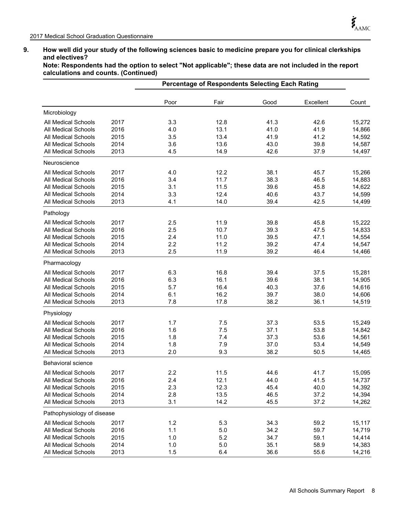#### **9. How well did your study of the following sciences basic to medicine prepare you for clinical clerkships and electives?**

**Note: Respondents had the option to select "Not applicable"; these data are not included in the report calculations and counts. (Continued)**

|                            |      |      | <b>Percentage of Respondents Selecting Each Rating</b> |      |           |        |
|----------------------------|------|------|--------------------------------------------------------|------|-----------|--------|
|                            |      | Poor | Fair                                                   | Good | Excellent | Count  |
| Microbiology               |      |      |                                                        |      |           |        |
| All Medical Schools        | 2017 | 3.3  | 12.8                                                   | 41.3 | 42.6      | 15,272 |
| All Medical Schools        | 2016 | 4.0  | 13.1                                                   | 41.0 | 41.9      | 14,866 |
| <b>All Medical Schools</b> | 2015 | 3.5  | 13.4                                                   | 41.9 | 41.2      | 14,592 |
| All Medical Schools        | 2014 | 3.6  | 13.6                                                   | 43.0 | 39.8      | 14,587 |
| All Medical Schools        | 2013 | 4.5  | 14.9                                                   | 42.6 | 37.9      | 14,497 |
| Neuroscience               |      |      |                                                        |      |           |        |
| <b>All Medical Schools</b> | 2017 | 4.0  | 12.2                                                   | 38.1 | 45.7      | 15,266 |
| All Medical Schools        | 2016 | 3.4  | 11.7                                                   | 38.3 | 46.5      | 14,883 |
| <b>All Medical Schools</b> | 2015 | 3.1  | 11.5                                                   | 39.6 | 45.8      | 14,622 |
| <b>All Medical Schools</b> | 2014 | 3.3  | 12.4                                                   | 40.6 | 43.7      | 14,599 |
| <b>All Medical Schools</b> | 2013 | 4.1  | 14.0                                                   | 39.4 | 42.5      | 14,499 |
| Pathology                  |      |      |                                                        |      |           |        |
| <b>All Medical Schools</b> | 2017 | 2.5  | 11.9                                                   | 39.8 | 45.8      | 15,222 |
| <b>All Medical Schools</b> | 2016 | 2.5  | 10.7                                                   | 39.3 | 47.5      | 14,833 |
| All Medical Schools        | 2015 | 2.4  | 11.0                                                   | 39.5 | 47.1      | 14,554 |
| <b>All Medical Schools</b> | 2014 | 2.2  | 11.2                                                   | 39.2 | 47.4      | 14,547 |
| <b>All Medical Schools</b> | 2013 | 2.5  | 11.9                                                   | 39.2 | 46.4      | 14,466 |
| Pharmacology               |      |      |                                                        |      |           |        |
| <b>All Medical Schools</b> | 2017 | 6.3  | 16.8                                                   | 39.4 | 37.5      | 15,281 |
| <b>All Medical Schools</b> | 2016 | 6.3  | 16.1                                                   | 39.6 | 38.1      | 14,905 |
| All Medical Schools        | 2015 | 5.7  | 16.4                                                   | 40.3 | 37.6      | 14,616 |
| <b>All Medical Schools</b> | 2014 | 6.1  | 16.2                                                   | 39.7 | 38.0      | 14,606 |
| All Medical Schools        | 2013 | 7.8  | 17.8                                                   | 38.2 | 36.1      | 14,519 |
| Physiology                 |      |      |                                                        |      |           |        |
| <b>All Medical Schools</b> | 2017 | 1.7  | 7.5                                                    | 37.3 | 53.5      | 15,249 |
| All Medical Schools        | 2016 | 1.6  | 7.5                                                    | 37.1 | 53.8      | 14,842 |
| All Medical Schools        | 2015 | 1.8  | 7.4                                                    | 37.3 | 53.6      | 14,561 |
| All Medical Schools        | 2014 | 1.8  | 7.9                                                    | 37.0 | 53.4      | 14,549 |
| <b>All Medical Schools</b> | 2013 | 2.0  | 9.3                                                    | 38.2 | 50.5      | 14,465 |
| <b>Behavioral science</b>  |      |      |                                                        |      |           |        |
| All Medical Schools        | 2017 | 2.2  | 11.5                                                   | 44.6 | 41.7      | 15,095 |
| All Medical Schools        | 2016 | 2.4  | 12.1                                                   | 44.0 | 41.5      | 14,737 |
| All Medical Schools        | 2015 | 2.3  | 12.3                                                   | 45.4 | 40.0      | 14,392 |
| All Medical Schools        | 2014 | 2.8  | 13.5                                                   | 46.5 | 37.2      | 14,394 |
| All Medical Schools        | 2013 | 3.1  | 14.2                                                   | 45.5 | 37.2      | 14,262 |
| Pathophysiology of disease |      |      |                                                        |      |           |        |
| <b>All Medical Schools</b> | 2017 | 1.2  | 5.3                                                    | 34.3 | 59.2      | 15,117 |
| All Medical Schools        | 2016 | 1.1  | 5.0                                                    | 34.2 | 59.7      | 14,719 |
| All Medical Schools        | 2015 | 1.0  | 5.2                                                    | 34.7 | 59.1      | 14,414 |
| All Medical Schools        | 2014 | 1.0  | 5.0                                                    | 35.1 | 58.9      | 14,383 |
| All Medical Schools        | 2013 | 1.5  | 6.4                                                    | 36.6 | 55.6      | 14,216 |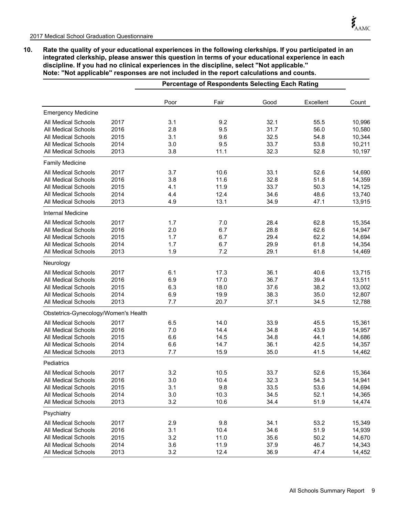**10. Rate the quality of your educational experiences in the following clerkships. If you participated in an integrated clerkship, please answer this question in terms of your educational experience in each discipline. If you had no clinical experiences in the discipline, select ''Not applicable.'' Note: ''Not applicable'' responses are not included in the report calculations and counts.**

|                                      |      |      | Percentage of Respondents Selecting Each Rating |      |           |        |
|--------------------------------------|------|------|-------------------------------------------------|------|-----------|--------|
|                                      |      | Poor | Fair                                            | Good | Excellent | Count  |
| <b>Emergency Medicine</b>            |      |      |                                                 |      |           |        |
| All Medical Schools                  | 2017 | 3.1  | 9.2                                             | 32.1 | 55.5      | 10,996 |
| <b>All Medical Schools</b>           | 2016 | 2.8  | 9.5                                             | 31.7 | 56.0      | 10,580 |
| <b>All Medical Schools</b>           | 2015 | 3.1  | 9.6                                             | 32.5 | 54.8      | 10,344 |
| <b>All Medical Schools</b>           | 2014 | 3.0  | 9.5                                             | 33.7 | 53.8      | 10,211 |
| All Medical Schools                  | 2013 | 3.8  | 11.1                                            | 32.3 | 52.8      | 10,197 |
| <b>Family Medicine</b>               |      |      |                                                 |      |           |        |
| All Medical Schools                  | 2017 | 3.7  | 10.6                                            | 33.1 | 52.6      | 14,690 |
| <b>All Medical Schools</b>           | 2016 | 3.8  | 11.6                                            | 32.8 | 51.8      | 14,359 |
| <b>All Medical Schools</b>           | 2015 | 4.1  | 11.9                                            | 33.7 | 50.3      | 14,125 |
| <b>All Medical Schools</b>           | 2014 | 4.4  | 12.4                                            | 34.6 | 48.6      | 13,740 |
| <b>All Medical Schools</b>           | 2013 | 4.9  | 13.1                                            | 34.9 | 47.1      | 13,915 |
| Internal Medicine                    |      |      |                                                 |      |           |        |
| All Medical Schools                  | 2017 | 1.7  | 7.0                                             | 28.4 | 62.8      | 15,354 |
| <b>All Medical Schools</b>           | 2016 | 2.0  | 6.7                                             | 28.8 | 62.6      | 14,947 |
| <b>All Medical Schools</b>           | 2015 | 1.7  | 6.7                                             | 29.4 | 62.2      | 14,694 |
| <b>All Medical Schools</b>           | 2014 | 1.7  | 6.7                                             | 29.9 | 61.8      | 14,354 |
| <b>All Medical Schools</b>           | 2013 | 1.9  | 7.2                                             | 29.1 | 61.8      | 14,469 |
| Neurology                            |      |      |                                                 |      |           |        |
| <b>All Medical Schools</b>           | 2017 | 6.1  | 17.3                                            | 36.1 | 40.6      | 13,715 |
| <b>All Medical Schools</b>           | 2016 | 6.9  | 17.0                                            | 36.7 | 39.4      | 13,511 |
| <b>All Medical Schools</b>           | 2015 | 6.3  | 18.0                                            | 37.6 | 38.2      | 13,002 |
| <b>All Medical Schools</b>           | 2014 | 6.9  | 19.9                                            | 38.3 | 35.0      | 12,807 |
| All Medical Schools                  | 2013 | 7.7  | 20.7                                            | 37.1 | 34.5      | 12,788 |
| Obstetrics-Gynecology/Women's Health |      |      |                                                 |      |           |        |
| <b>All Medical Schools</b>           | 2017 | 6.5  | 14.0                                            | 33.9 | 45.5      | 15,361 |
| All Medical Schools                  | 2016 | 7.0  | 14.4                                            | 34.8 | 43.9      | 14,957 |
| All Medical Schools                  | 2015 | 6.6  | 14.5                                            | 34.8 | 44.1      | 14,686 |
| All Medical Schools                  | 2014 | 6.6  | 14.7                                            | 36.1 | 42.5      | 14,357 |
| All Medical Schools                  | 2013 | 7.7  | 15.9                                            | 35.0 | 41.5      | 14,462 |
| Pediatrics                           |      |      |                                                 |      |           |        |
| All Medical Schools                  | 2017 | 3.2  | 10.5                                            | 33.7 | 52.6      | 15,364 |
| All Medical Schools                  | 2016 | 3.0  | 10.4                                            | 32.3 | 54.3      | 14,941 |
| All Medical Schools                  | 2015 | 3.1  | 9.8                                             | 33.5 | 53.6      | 14,694 |
| <b>All Medical Schools</b>           | 2014 | 3.0  | 10.3                                            | 34.5 | 52.1      | 14,365 |
| All Medical Schools                  | 2013 | 3.2  | 10.6                                            | 34.4 | 51.9      | 14,474 |
| Psychiatry                           |      |      |                                                 |      |           |        |
| <b>All Medical Schools</b>           | 2017 | 2.9  | 9.8                                             | 34.1 | 53.2      | 15,349 |
| <b>All Medical Schools</b>           | 2016 | 3.1  | 10.4                                            | 34.6 | 51.9      | 14,939 |
| <b>All Medical Schools</b>           | 2015 | 3.2  | 11.0                                            | 35.6 | 50.2      | 14,670 |
| All Medical Schools                  | 2014 | 3.6  | 11.9                                            | 37.9 | 46.7      | 14,343 |
| All Medical Schools                  | 2013 | 3.2  | 12.4                                            | 36.9 | 47.4      | 14,452 |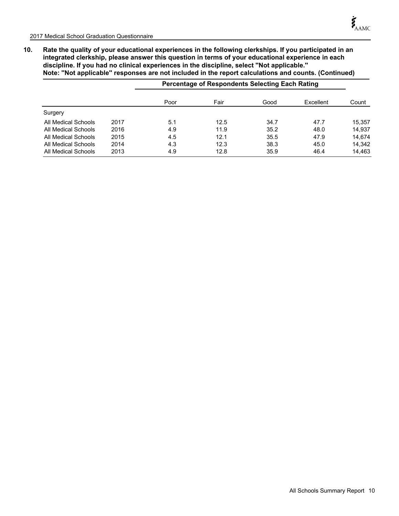**10. Rate the quality of your educational experiences in the following clerkships. If you participated in an integrated clerkship, please answer this question in terms of your educational experience in each discipline. If you had no clinical experiences in the discipline, select ''Not applicable.'' Note: ''Not applicable'' responses are not included in the report calculations and counts. (Continued)**

|                     |      |      | <b>Percentage of Respondents Selecting Each Rating</b> |      |           |        |
|---------------------|------|------|--------------------------------------------------------|------|-----------|--------|
|                     |      | Poor | Fair                                                   | Good | Excellent | Count  |
| Surgery             |      |      |                                                        |      |           |        |
| All Medical Schools | 2017 | 5.1  | 12.5                                                   | 34.7 | 47.7      | 15,357 |
| All Medical Schools | 2016 | 4.9  | 11.9                                                   | 35.2 | 48.0      | 14.937 |
| All Medical Schools | 2015 | 4.5  | 12.1                                                   | 35.5 | 47.9      | 14.674 |
| All Medical Schools | 2014 | 4.3  | 12.3                                                   | 38.3 | 45.0      | 14.342 |
| All Medical Schools | 2013 | 4.9  | 12.8                                                   | 35.9 | 46.4      | 14.463 |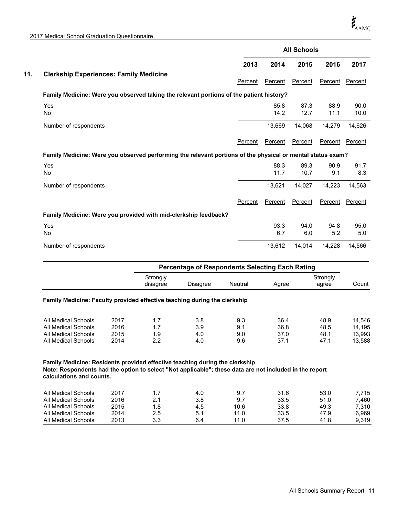2017 Medical School Graduation Questionnaire

|                                                                                                            |         |         | <b>All Schools</b> |         |                       |
|------------------------------------------------------------------------------------------------------------|---------|---------|--------------------|---------|-----------------------|
|                                                                                                            | 2013    | 2014    | 2015               | 2016    | 2017                  |
| <b>Clerkship Experiences: Family Medicine</b>                                                              |         |         |                    |         |                       |
|                                                                                                            | Percent | Percent | Percent            | Percent | Percent               |
| Family Medicine: Were you observed taking the relevant portions of the patient history?                    |         |         |                    |         |                       |
| Yes                                                                                                        |         | 85.8    | 87.3               | 88.9    | 90.0                  |
| No                                                                                                         |         | 14.2    | 12.7               | 11.1    | 10.0                  |
| Number of respondents                                                                                      |         | 13,669  | 14,068             | 14,279  | 14,626                |
|                                                                                                            | Percent | Percent | Percent            | Percent | Percent               |
|                                                                                                            |         |         |                    |         |                       |
| Family Medicine: Were you observed performing the relevant portions of the physical or mental status exam? |         |         |                    |         |                       |
| Yes                                                                                                        |         | 88.3    | 89.3               | 90.9    |                       |
| No                                                                                                         |         | 11.7    | 10.7               | 9.1     | 91.7<br>8.3           |
| Number of respondents                                                                                      |         | 13,621  | 14,027             | 14,223  |                       |
|                                                                                                            | Percent | Percent | Percent            | Percent |                       |
| Family Medicine: Were you provided with mid-clerkship feedback?                                            |         |         |                    |         | 14,563                |
| Yes                                                                                                        |         | 93.3    | 94.0               | 94.8    | 95.0                  |
| No                                                                                                         |         | 6.7     | 6.0                | 5.2     | <b>Percent</b><br>5.0 |

|                                                                           |      | <b>Percentage of Respondents Selecting Each Rating</b> |          |         |       |                   |        |  |
|---------------------------------------------------------------------------|------|--------------------------------------------------------|----------|---------|-------|-------------------|--------|--|
|                                                                           |      | Strongly<br>disagree                                   | Disagree | Neutral | Agree | Strongly<br>agree | Count  |  |
| Family Medicine: Faculty provided effective teaching during the clerkship |      |                                                        |          |         |       |                   |        |  |
| All Medical Schools                                                       | 2017 | 1.7                                                    | 3.8      | 9.3     | 36.4  | 48.9              | 14.546 |  |
| All Medical Schools                                                       | 2016 | 1.7                                                    | 3.9      | 9.1     | 36.8  | 48.5              | 14.195 |  |
|                                                                           |      |                                                        |          |         | 37.0  | 48.1              | 13,993 |  |
| All Medical Schools                                                       | 2015 | 1.9                                                    | 4.0      | 9.0     |       |                   |        |  |

**Family Medicine: Residents provided effective teaching during the clerkship Note: Respondents had the option to select "Not applicable"; these data are not included in the report calculations and counts.**

| All Medical Schools | 2017 |     | 4.0 |      | 31.6 | 53.0 | 7.715 |
|---------------------|------|-----|-----|------|------|------|-------|
| All Medical Schools | 2016 |     | 3.8 | 9.7  | 33.5 | 51.0 | 7.460 |
| All Medical Schools | 2015 | 1.8 | 4.5 | 10.6 | 33.8 | 49.3 | 7.310 |
| All Medical Schools | 2014 | 2.5 | 5.1 | 11.0 | 33.5 | 47.9 | 6.969 |
| All Medical Schools | 2013 | 3.3 | 6.4 | 11.0 | 37.5 | 41.8 | 9.319 |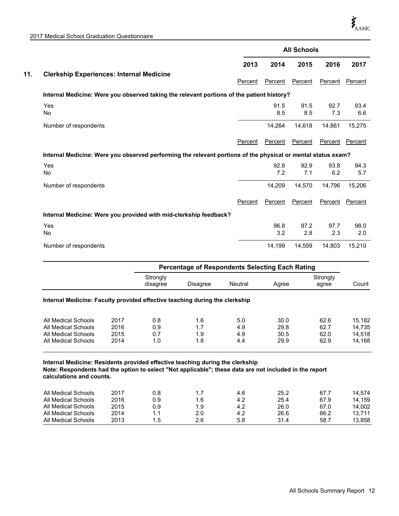2017 Medical School Graduation Questionnaire

|                                                                                                              |                      |                                                 |         | <b>All Schools</b> |             |                   |             |  |  |  |
|--------------------------------------------------------------------------------------------------------------|----------------------|-------------------------------------------------|---------|--------------------|-------------|-------------------|-------------|--|--|--|
|                                                                                                              |                      |                                                 | 2013    | 2014               | 2015        | 2016              | 2017        |  |  |  |
| <b>Clerkship Experiences: Internal Medicine</b>                                                              |                      |                                                 | Percent | Percent            | Percent     | Percent           | Percent     |  |  |  |
| Internal Medicine: Were you observed taking the relevant portions of the patient history?                    |                      |                                                 |         |                    |             |                   |             |  |  |  |
| Yes<br><b>No</b>                                                                                             |                      |                                                 |         | 91.5<br>8.5        | 91.5<br>8.5 | 92.7<br>7.3       | 93.4<br>6.6 |  |  |  |
| Number of respondents                                                                                        |                      |                                                 |         | 14,264             | 14,618      | 14,861            | 15,275      |  |  |  |
|                                                                                                              |                      |                                                 | Percent | Percent            | Percent     | Percent           | Percent     |  |  |  |
| Internal Medicine: Were you observed performing the relevant portions of the physical or mental status exam? |                      |                                                 |         |                    |             |                   |             |  |  |  |
| Yes<br><b>No</b>                                                                                             |                      |                                                 |         | 92.8<br>7.2        | 92.9<br>7.1 | 93.8<br>6.2       | 94.3<br>5.7 |  |  |  |
| Number of respondents                                                                                        |                      |                                                 |         | 14,209             | 14,570      | 14,796            | 15,206      |  |  |  |
|                                                                                                              |                      |                                                 | Percent | Percent            | Percent     | Percent           | Percent     |  |  |  |
| Internal Medicine: Were you provided with mid-clerkship feedback?                                            |                      |                                                 |         |                    |             |                   |             |  |  |  |
| Yes<br><b>No</b>                                                                                             |                      |                                                 |         | 96.8<br>3.2        | 97.2<br>2.8 | 97.7<br>2.3       | 98.0<br>2.0 |  |  |  |
| Number of respondents                                                                                        |                      |                                                 |         | 14,199             | 14,559      | 14,803            | 15,210      |  |  |  |
|                                                                                                              |                      | Percentage of Respondents Selecting Each Rating |         |                    |             |                   |             |  |  |  |
|                                                                                                              | Strongly<br>disagree | <b>Disagree</b>                                 | Neutral | Agree              |             | Strongly<br>agree | Count       |  |  |  |

#### **Internal Medicine: Faculty provided effective teaching during the clerkship**

| All Medical Schools<br>All Medical Schools<br>All Medical Schools | 2017<br>2016<br>2015 | 0.8<br>0.9 | 1.6<br>1.9 | 5.0<br>4.9<br>4.9 | 30.0<br>29.8<br>30.5 | 62.6<br>62.7<br>62.0 | 15.182<br>14.735<br>14.518 |
|-------------------------------------------------------------------|----------------------|------------|------------|-------------------|----------------------|----------------------|----------------------------|
| All Medical Schools                                               | 2014                 | 1.0        | 1.8        | 4.4               | 29.9                 | 62.9                 | 14.168                     |

**Internal Medicine: Residents provided effective teaching during the clerkship Note: Respondents had the option to select "Not applicable"; these data are not included in the report calculations and counts.**

| All Medical Schools | 2017 | 0.8 |     | 4.6 | 25.2 | 67.7 | 14.574 |
|---------------------|------|-----|-----|-----|------|------|--------|
| All Medical Schools | 2016 | 0.9 | 1.6 | 4.2 | 25.4 | 67.9 | 14.159 |
| All Medical Schools | 2015 | 0.9 | 1.9 | 4.2 | 26.0 | 67.0 | 14.002 |
| All Medical Schools | 2014 | 1.1 | 2.0 | 4.2 | 26.6 | 66.2 | 13.711 |
| All Medical Schools | 2013 | 1.5 | 2.6 | 5.8 | 31.4 | 58.7 | 13.858 |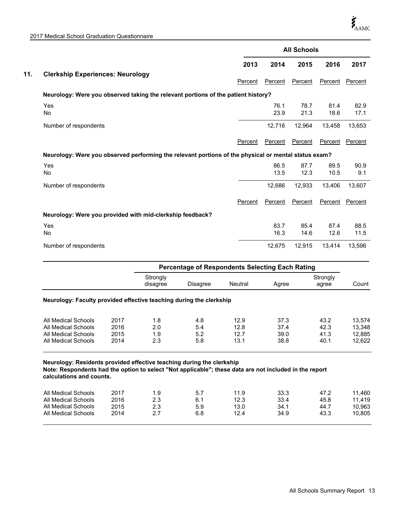|                                                                                                      |                      |                                                 |                | <b>All Schools</b> |              |                   |              |  |  |  |
|------------------------------------------------------------------------------------------------------|----------------------|-------------------------------------------------|----------------|--------------------|--------------|-------------------|--------------|--|--|--|
|                                                                                                      |                      |                                                 | 2013           | 2014               | 2015         | 2016              | 2017         |  |  |  |
| <b>Clerkship Experiences: Neurology</b>                                                              |                      |                                                 | Percent        | Percent            | Percent      | Percent           | Percent      |  |  |  |
| Neurology: Were you observed taking the relevant portions of the patient history?                    |                      |                                                 |                |                    |              |                   |              |  |  |  |
| Yes<br>No                                                                                            |                      |                                                 |                | 76.1<br>23.9       | 78.7<br>21.3 | 81.4<br>18.6      | 82.9<br>17.1 |  |  |  |
| Number of respondents                                                                                |                      |                                                 |                | 12,716             | 12,964       | 13,458            | 13,653       |  |  |  |
|                                                                                                      |                      |                                                 | Percent        | Percent            | Percent      | Percent           | Percent      |  |  |  |
| Neurology: Were you observed performing the relevant portions of the physical or mental status exam? |                      |                                                 |                |                    |              |                   |              |  |  |  |
| Yes<br><b>No</b>                                                                                     |                      |                                                 |                | 86.5<br>13.5       | 87.7<br>12.3 | 89.5<br>10.5      | 90.9<br>9.1  |  |  |  |
| Number of respondents                                                                                |                      |                                                 |                | 12,686             | 12,933       | 13,406            | 13,607       |  |  |  |
|                                                                                                      |                      |                                                 | Percent        | Percent            | Percent      | Percent           | Percent      |  |  |  |
| Neurology: Were you provided with mid-clerkship feedback?                                            |                      |                                                 |                |                    |              |                   |              |  |  |  |
| Yes<br>No                                                                                            |                      |                                                 |                | 83.7<br>16.3       | 85.4<br>14.6 | 87.4<br>12.6      | 88.5<br>11.5 |  |  |  |
| Number of respondents                                                                                |                      |                                                 |                | 12,675             | 12,915       | 13,414            | 13,596       |  |  |  |
|                                                                                                      |                      | Percentage of Respondents Selecting Each Rating |                |                    |              |                   |              |  |  |  |
|                                                                                                      | Strongly<br>disagree | <b>Disagree</b>                                 | <b>Neutral</b> | Agree              |              | Strongly<br>agree | Count        |  |  |  |

#### **Neurology: Faculty provided effective teaching during the clerkship**

| All Medical Schools | 2017 | 1.8 | 4.8 | 12.9 | 37.3 | 43.2 | 13.574 |
|---------------------|------|-----|-----|------|------|------|--------|
| All Medical Schools | 2016 | 2.0 | 5.4 | 12.8 | 37.4 | 42.3 | 13.348 |
| All Medical Schools | 2015 | 1.9 | 5.2 | 12.7 | 39.0 | 41.3 | 12.885 |
| All Medical Schools | 2014 | 2.3 | 5.8 | 13.1 | 38.8 | 40.1 | 12.622 |

#### **Neurology: Residents provided effective teaching during the clerkship Note: Respondents had the option to select "Not applicable"; these data are not included in the report calculations and counts.**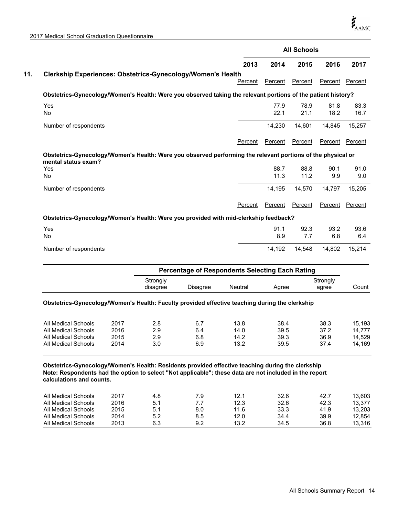|                                                             |                                                                                                              | <b>All Schools</b> |              |              |              |  |  |
|-------------------------------------------------------------|--------------------------------------------------------------------------------------------------------------|--------------------|--------------|--------------|--------------|--|--|
|                                                             | 2013                                                                                                         | 2014               | 2015         | 2016         | 2017         |  |  |
| Clerkship Experiences: Obstetrics-Gynecology/Women's Health | Percent                                                                                                      | Percent            | Percent      | Percent      | Percent      |  |  |
|                                                             | Obstetrics-Gynecology/Women's Health: Were you observed taking the relevant portions of the patient history? |                    |              |              |              |  |  |
| Yes<br><b>No</b>                                            |                                                                                                              | 77.9<br>22.1       | 78.9<br>21.1 | 81.8<br>18.2 | 83.3<br>16.7 |  |  |
| Number of respondents                                       |                                                                                                              | 14,230             | 14,601       | 14.845       | 15,257       |  |  |
|                                                             | Percent                                                                                                      | Percent            | Percent      | Percent      | Percent      |  |  |
| mental status exam?                                         | Obstetrics-Gynecology/Women's Health: Were you observed performing the relevant portions of the physical or  |                    |              |              |              |  |  |
| Yes<br><b>No</b>                                            |                                                                                                              | 88.7<br>11.3       | 88.8<br>11.2 | 90.1<br>9.9  | 91.0<br>9.0  |  |  |
| Number of respondents                                       |                                                                                                              | 14,195             | 14,570       | 14,797       | 15,205       |  |  |
|                                                             |                                                                                                              |                    |              |              |              |  |  |
|                                                             | Percent                                                                                                      | Percent            | Percent      | Percent      |              |  |  |
|                                                             | Obstetrics-Gynecology/Women's Health: Were you provided with mid-clerkship feedback?                         |                    |              |              | Percent      |  |  |
| Yes<br><b>No</b>                                            |                                                                                                              | 91.1<br>8.9        | 92.3<br>7.7  | 93.2<br>6.8  | 93.6<br>6.4  |  |  |

|                                                                                                | <b>Percentage of Respondents Selecting Each Rating</b> |          |         |       |                   |       |  |
|------------------------------------------------------------------------------------------------|--------------------------------------------------------|----------|---------|-------|-------------------|-------|--|
|                                                                                                | Strongly<br>disagree                                   | Disagree | Neutral | Aaree | Strongly<br>agree | Count |  |
| Obstetrics-Gynecology/Women's Health: Faculty provided effective teaching during the clerkship |                                                        |          |         |       |                   |       |  |

| 2015<br>39.3<br>36.9<br>All Medical Schools<br>6.8<br>2.9<br>14.2 | All Medical Schools<br>All Medical Schools | 2017<br>2016 | 2.8<br>2.9 | 6.7<br>6.4 | 13.8<br>14.0 | 38.4<br>39.5 | 38.3<br>37.2 | 15.193<br>14.777 |
|-------------------------------------------------------------------|--------------------------------------------|--------------|------------|------------|--------------|--------------|--------------|------------------|
|                                                                   | All Medical Schools                        | 2014         | 3.0        | 6.9        | 13.2         | 39.5         | 37.4         | 14.529<br>14.169 |

**Obstetrics-Gynecology/Women's Health: Residents provided effective teaching during the clerkship Note: Respondents had the option to select "Not applicable"; these data are not included in the report calculations and counts.**

| All Medical Schools | 2017 | 4.8 | 7.9 | 12.1 | 32.6 | 42.7 | 13.603 |
|---------------------|------|-----|-----|------|------|------|--------|
| All Medical Schools | 2016 | 5.1 | 77  | 12.3 | 32.6 | 42.3 | 13.377 |
| All Medical Schools | 2015 | 5.1 | 8.0 | 11.6 | 33.3 | 41.9 | 13.203 |
| All Medical Schools | 2014 | 5.2 | 8.5 | 12.0 | 34.4 | 39.9 | 12.854 |
| All Medical Schools | 2013 | 6.3 | 9.2 | 13.2 | 34.5 | 36.8 | 13.316 |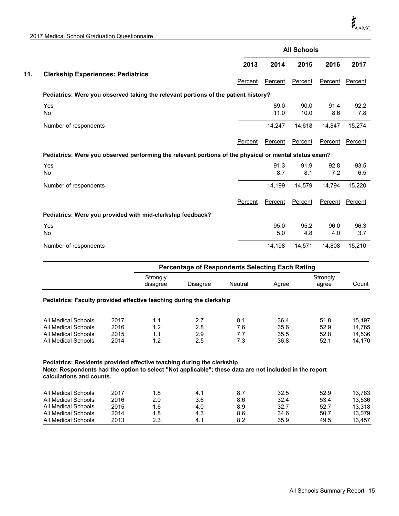| 2017 Medical School Graduation Questionnaire |  |  |
|----------------------------------------------|--|--|
|----------------------------------------------|--|--|

|                                                                                                       |         |              | <b>All Schools</b> |             |             |
|-------------------------------------------------------------------------------------------------------|---------|--------------|--------------------|-------------|-------------|
|                                                                                                       | 2013    | 2014         | 2015               | 2016        | 2017        |
| <b>Clerkship Experiences: Pediatrics</b>                                                              | Percent | Percent      | Percent            | Percent     | Percent     |
| Pediatrics: Were you observed taking the relevant portions of the patient history?                    |         |              |                    |             |             |
| Yes<br><b>No</b>                                                                                      |         | 89.0<br>11.0 | 90.0<br>10.0       | 91.4<br>8.6 | 92.2<br>7.8 |
| Number of respondents                                                                                 |         | 14,247       | 14,618             | 14,847      | 15,274      |
|                                                                                                       | Percent | Percent      | Percent            | Percent     | Percent     |
| Pediatrics: Were you observed performing the relevant portions of the physical or mental status exam? |         |              |                    |             |             |
| Yes<br><b>No</b>                                                                                      |         | 91.3<br>8.7  | 91.9<br>8.1        | 92.8<br>7.2 | 93.5<br>6.5 |
| Number of respondents                                                                                 |         | 14,199       | 14,579             | 14,794      | 15,220      |
|                                                                                                       | Percent | Percent      | Percent            | Percent     | Percent     |
| Pediatrics: Were you provided with mid-clerkship feedback?                                            |         |              |                    |             |             |
| Yes<br><b>No</b>                                                                                      |         | 95.0<br>5.0  | 95.2<br>4.8        | 96.0<br>4.0 | 96.3<br>3.7 |
| Number of respondents                                                                                 |         | 14,198       | 14,571             | 14,808      | 15,210      |

|                                                                      |      |                      | <b>Percentage of Respondents Selecting Each Rating</b> |         |       |                   |        |  |  |
|----------------------------------------------------------------------|------|----------------------|--------------------------------------------------------|---------|-------|-------------------|--------|--|--|
|                                                                      |      | Strongly<br>disagree | <b>Disagree</b>                                        | Neutral | Agree | Strongly<br>agree | Count  |  |  |
| Pediatrics: Faculty provided effective teaching during the clerkship |      |                      |                                                        |         |       |                   |        |  |  |
| All Medical Schools                                                  | 2017 | 1.1                  | 2.7                                                    | 8.1     | 36.4  | 51.8              | 15.197 |  |  |
| All Medical Schools                                                  | 2016 | 1.2                  | 2.8                                                    | 7.6     | 35.6  | 52.9              | 14.765 |  |  |
|                                                                      | 2015 | 1.1                  | 2.9                                                    | 7.7     | 35.5  | 52.8              | 14.536 |  |  |
| All Medical Schools                                                  |      |                      |                                                        |         |       |                   | 14.170 |  |  |

**Pediatrics: Residents provided effective teaching during the clerkship Note: Respondents had the option to select "Not applicable"; these data are not included in the report calculations and counts.**

| All Medical Schools | 2017 | 8.ا | 4.1 |     | 32.5 | 52.9 | 13.783 |
|---------------------|------|-----|-----|-----|------|------|--------|
| All Medical Schools | 2016 | 2.0 | 3.6 | 8.6 | 32.4 | 53.4 | 13.536 |
| All Medical Schools | 2015 | 1.6 | 4.0 | 8.9 | 32.7 | 52.7 | 13.318 |
| All Medical Schools | 2014 | 1.8 | 4.3 | 8.6 | 34.6 | 50.7 | 13.079 |
| All Medical Schools | 2013 | 2.3 | 41  | 8.2 | 35.9 | 49.5 | 13.457 |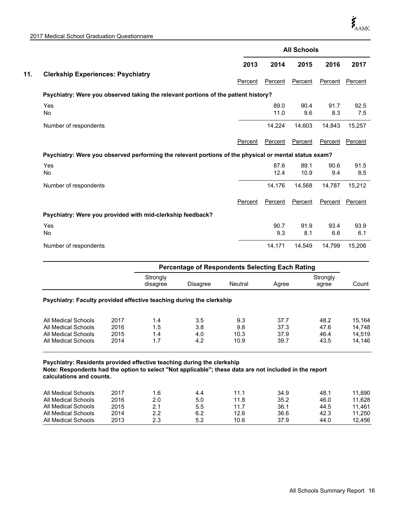| 2017 Medical School Graduation Questionnaire |  |
|----------------------------------------------|--|
|----------------------------------------------|--|

|     |                                                                                                       |         |              | <b>All Schools</b> |             |             |
|-----|-------------------------------------------------------------------------------------------------------|---------|--------------|--------------------|-------------|-------------|
|     |                                                                                                       | 2013    | 2014         | 2015               | 2016        | 2017        |
| 11. | <b>Clerkship Experiences: Psychiatry</b>                                                              | Percent | Percent      | Percent            | Percent     | Percent     |
|     | Psychiatry: Were you observed taking the relevant portions of the patient history?                    |         |              |                    |             |             |
|     | Yes<br><b>No</b>                                                                                      |         | 89.0<br>11.0 | 90.4<br>9.6        | 91.7<br>8.3 | 92.5<br>7.5 |
|     | Number of respondents                                                                                 |         | 14,224       | 14,603             | 14,843      | 15,257      |
|     |                                                                                                       | Percent | Percent      | Percent            | Percent     | Percent     |
|     | Psychiatry: Were you observed performing the relevant portions of the physical or mental status exam? |         |              |                    |             |             |
|     | Yes<br><b>No</b>                                                                                      |         | 87.6<br>12.4 | 89.1<br>10.9       | 90.6<br>9.4 | 91.5<br>8.5 |
|     | Number of respondents                                                                                 |         | 14,176       | 14,568             | 14,787      | 15,212      |
|     |                                                                                                       | Percent | Percent      | Percent            | Percent     | Percent     |
|     | Psychiatry: Were you provided with mid-clerkship feedback?                                            |         |              |                    |             |             |
|     | Yes<br><b>No</b>                                                                                      |         | 90.7<br>9.3  | 91.9<br>8.1        | 93.4<br>6.6 | 93.9<br>6.1 |
|     | Number of respondents                                                                                 |         | 14,171       | 14,549             | 14,799      | 15,206      |

|                                                                      |      |                      | <b>Percentage of Respondents Selecting Each Rating</b> |                |       |                   |        |  |  |
|----------------------------------------------------------------------|------|----------------------|--------------------------------------------------------|----------------|-------|-------------------|--------|--|--|
|                                                                      |      | Strongly<br>disagree | Disagree                                               | <b>Neutral</b> | Agree | Strongly<br>agree | Count  |  |  |
| Psychiatry: Faculty provided effective teaching during the clerkship |      |                      |                                                        |                |       |                   |        |  |  |
| All Medical Schools                                                  | 2017 | 1.4                  | 3.5                                                    | 9.3            | 37.7  | 48.2              | 15.164 |  |  |
|                                                                      | 2016 | 1.5                  | 3.8                                                    | 9.8            | 37.3  | 47.6              | 14.748 |  |  |
| All Medical Schools                                                  |      |                      |                                                        |                |       |                   |        |  |  |
| All Medical Schools                                                  | 2015 | 1.4                  | 4.0                                                    | 10.3           | 37.9  | 46.4              | 14.519 |  |  |

**Psychiatry: Residents provided effective teaching during the clerkship Note: Respondents had the option to select "Not applicable"; these data are not included in the report calculations and counts.**

| All Medical Schools | 2017 | 1.6 | 4.4 | 11 1 | 34.9 | 48.1 | 11.890 |
|---------------------|------|-----|-----|------|------|------|--------|
| All Medical Schools | 2016 | 2.0 | 5.0 | 11.8 | 35.2 | 46.0 | 11.628 |
| All Medical Schools | 2015 |     | 5.5 | 11.7 | 36.1 | 44.5 | 11.461 |
| All Medical Schools | 2014 | 2.2 | 6.2 | 12.6 | 36.6 | 42.3 | 11.250 |
| All Medical Schools | 2013 | 2.3 | 5.2 | 10.6 | 37.9 | 44.0 | 12.456 |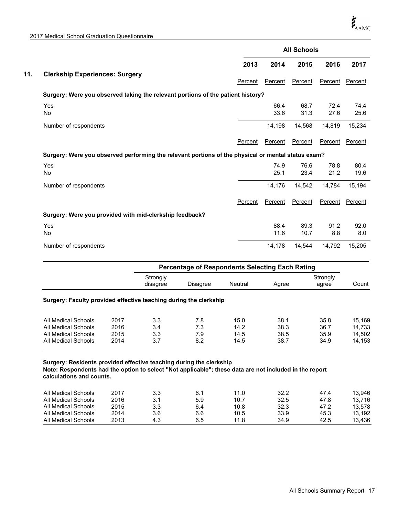| 2017 Medical School Graduation Questionnaire |  |
|----------------------------------------------|--|
|----------------------------------------------|--|

|                       |                                                                                                    |         |              | <b>All Schools</b> |              |              |
|-----------------------|----------------------------------------------------------------------------------------------------|---------|--------------|--------------------|--------------|--------------|
|                       |                                                                                                    | 2013    | 2014         | 2015               | 2016         | 2017         |
|                       | <b>Clerkship Experiences: Surgery</b>                                                              | Percent | Percent      | Percent            | Percent      | Percent      |
|                       | Surgery: Were you observed taking the relevant portions of the patient history?                    |         |              |                    |              |              |
| Yes<br>No             |                                                                                                    |         | 66.4<br>33.6 | 68.7<br>31.3       | 72.4<br>27.6 | 74.4<br>25.6 |
| Number of respondents |                                                                                                    |         | 14,198       | 14,568             | 14,819       | 15,234       |
|                       |                                                                                                    | Percent | Percent      | Percent            | Percent      | Percent      |
|                       | Surgery: Were you observed performing the relevant portions of the physical or mental status exam? |         |              |                    |              |              |
| Yes<br>No             |                                                                                                    |         | 74.9<br>25.1 | 76.6<br>23.4       | 78.8<br>21.2 | 80.4<br>19.6 |
| Number of respondents |                                                                                                    |         | 14,176       | 14,542             | 14,784       | 15,194       |
|                       |                                                                                                    | Percent | Percent      | Percent            | Percent      | Percent      |
|                       | Surgery: Were you provided with mid-clerkship feedback?                                            |         |              |                    |              |              |
| Yes<br><b>No</b>      |                                                                                                    |         | 88.4<br>11.6 | 89.3<br>10.7       | 91.2<br>8.8  | 92.0<br>8.0  |
| Number of respondents |                                                                                                    |         | 14,178       | 14,544             | 14,792       | 15,205       |

|                                                                   |      |                      | Percentage of Respondents Selecting Each Rating |         |       |                   |        |  |
|-------------------------------------------------------------------|------|----------------------|-------------------------------------------------|---------|-------|-------------------|--------|--|
|                                                                   |      | Strongly<br>disagree | <b>Disagree</b>                                 | Neutral | Agree | Strongly<br>agree | Count  |  |
| Surgery: Faculty provided effective teaching during the clerkship |      |                      |                                                 |         |       |                   |        |  |
| All Medical Schools                                               | 2017 | 3.3                  | 7.8                                             | 15.0    | 38.1  | 35.8              | 15,169 |  |
| All Medical Schools                                               | 2016 | 3.4                  | 7.3                                             | 14.2    | 38.3  | 36.7              | 14.733 |  |
|                                                                   | 2015 | 3.3                  | 7.9                                             | 14.5    | 38.5  | 35.9              | 14,502 |  |
| All Medical Schools                                               |      |                      |                                                 |         | 38.7  | 34.9              | 14,153 |  |

**Surgery: Residents provided effective teaching during the clerkship Note: Respondents had the option to select "Not applicable"; these data are not included in the report calculations and counts.**

| All Medical Schools | 2017 | 3.3 | 6.1 | 11.0 | 32.2 | 47.4 | 13.946 |
|---------------------|------|-----|-----|------|------|------|--------|
| All Medical Schools | 2016 | 3.1 | 5.9 | 10.7 | 32.5 | 47.8 | 13.716 |
| All Medical Schools | 2015 | 3.3 | 6.4 | 10.8 | 32.3 | 47.2 | 13.578 |
| All Medical Schools | 2014 | 3.6 | 6.6 | 10.5 | 33.9 | 45.3 | 13.192 |
| All Medical Schools | 2013 | 4.3 | 6.5 | 11.8 | 34.9 | 42.5 | 13.436 |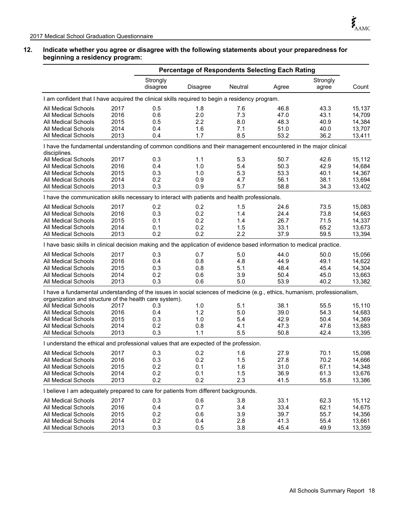#### **12. Indicate whether you agree or disagree with the following statements about your preparedness for beginning a residency program:**

| <b>Percentage of Respondents Selecting Each Rating</b>                                                                                                                              |                                                                                               |                      |          |         |       |                   |        |  |  |  |
|-------------------------------------------------------------------------------------------------------------------------------------------------------------------------------------|-----------------------------------------------------------------------------------------------|----------------------|----------|---------|-------|-------------------|--------|--|--|--|
|                                                                                                                                                                                     |                                                                                               | Strongly<br>disagree | Disagree | Neutral | Agree | Strongly<br>agree | Count  |  |  |  |
| I am confident that I have acquired the clinical skills required to begin a residency program.                                                                                      |                                                                                               |                      |          |         |       |                   |        |  |  |  |
| <b>All Medical Schools</b>                                                                                                                                                          | 2017                                                                                          | 0.5                  | 1.8      | 7.6     | 46.8  | 43.3              | 15,137 |  |  |  |
| <b>All Medical Schools</b>                                                                                                                                                          | 2016                                                                                          | 0.6                  | 2.0      | 7.3     | 47.0  | 43.1              | 14,709 |  |  |  |
| <b>All Medical Schools</b>                                                                                                                                                          | 2015                                                                                          | 0.5                  | 2.2      | 8.0     | 48.3  | 40.9              | 14,384 |  |  |  |
| All Medical Schools                                                                                                                                                                 | 2014                                                                                          | 0.4                  | 1.6      | 7.1     | 51.0  | 40.0              | 13,707 |  |  |  |
| All Medical Schools                                                                                                                                                                 | 2013                                                                                          | 0.4                  | 1.7      | 8.5     | 53.2  | 36.2              | 13,411 |  |  |  |
| I have the fundamental understanding of common conditions and their management encountered in the major clinical<br>disciplines.                                                    |                                                                                               |                      |          |         |       |                   |        |  |  |  |
| All Medical Schools                                                                                                                                                                 | 2017                                                                                          | 0.3                  | 1.1      | 5.3     | 50.7  | 42.6              | 15,112 |  |  |  |
| <b>All Medical Schools</b>                                                                                                                                                          | 2016                                                                                          | 0.4                  | 1.0      | 5.4     | 50.3  | 42.9              | 14,684 |  |  |  |
| <b>All Medical Schools</b>                                                                                                                                                          | 2015                                                                                          | 0.3                  | 1.0      | 5.3     | 53.3  | 40.1              | 14,367 |  |  |  |
| All Medical Schools                                                                                                                                                                 | 2014                                                                                          | 0.2                  | 0.9      | 4.7     | 56.1  | 38.1              | 13,694 |  |  |  |
| All Medical Schools                                                                                                                                                                 | 2013                                                                                          | 0.3                  | 0.9      | 5.7     | 58.8  | 34.3              | 13,402 |  |  |  |
|                                                                                                                                                                                     | I have the communication skills necessary to interact with patients and health professionals. |                      |          |         |       |                   |        |  |  |  |
| All Medical Schools                                                                                                                                                                 | 2017                                                                                          | 0.2                  | 0.2      | 1.5     | 24.6  | 73.5              | 15,083 |  |  |  |
| <b>All Medical Schools</b>                                                                                                                                                          | 2016                                                                                          | 0.3                  | 0.2      | 1.4     | 24.4  | 73.8              | 14,663 |  |  |  |
| <b>All Medical Schools</b>                                                                                                                                                          | 2015                                                                                          | 0.1                  | 0.2      | 1.4     | 26.7  | 71.5              | 14,337 |  |  |  |
| <b>All Medical Schools</b>                                                                                                                                                          | 2014                                                                                          | 0.1                  | 0.2      | 1.5     | 33.1  | 65.2              | 13,673 |  |  |  |
| <b>All Medical Schools</b>                                                                                                                                                          | 2013                                                                                          | 0.2                  | 0.2      | 2.2     | 37.9  | 59.5              | 13,394 |  |  |  |
| I have basic skills in clinical decision making and the application of evidence based information to medical practice.                                                              |                                                                                               |                      |          |         |       |                   |        |  |  |  |
| All Medical Schools                                                                                                                                                                 | 2017                                                                                          | 0.3                  | 0.7      | 5.0     | 44.0  | 50.0              | 15,056 |  |  |  |
| All Medical Schools                                                                                                                                                                 | 2016                                                                                          | 0.4                  | 0.8      | 4.8     | 44.9  | 49.1              | 14,622 |  |  |  |
| <b>All Medical Schools</b>                                                                                                                                                          | 2015                                                                                          | 0.3                  | 0.8      | 5.1     | 48.4  | 45.4              | 14,304 |  |  |  |
| <b>All Medical Schools</b>                                                                                                                                                          | 2014                                                                                          | 0.2                  | 0.6      | 3.9     | 50.4  | 45.0              | 13,663 |  |  |  |
| All Medical Schools                                                                                                                                                                 | 2013                                                                                          | 0.3                  | 0.6      | 5.0     | 53.9  | 40.2              | 13,382 |  |  |  |
| I have a fundamental understanding of the issues in social sciences of medicine (e.g., ethics, humanism, professionalism,<br>organization and structure of the health care system). |                                                                                               |                      |          |         |       |                   |        |  |  |  |
| <b>All Medical Schools</b>                                                                                                                                                          | 2017                                                                                          | 0.3                  | 1.0      | 5.1     | 38.1  | 55.5              | 15,110 |  |  |  |
| <b>All Medical Schools</b>                                                                                                                                                          | 2016                                                                                          | 0.4                  | 1.2      | 5.0     | 39.0  | 54.3              | 14,683 |  |  |  |
| <b>All Medical Schools</b>                                                                                                                                                          | 2015                                                                                          | 0.3                  | 1.0      | 5.4     | 42.9  | 50.4              | 14,369 |  |  |  |
| All Medical Schools                                                                                                                                                                 | 2014                                                                                          | 0.2                  | 0.8      | 4.1     | 47.3  | 47.6              | 13,683 |  |  |  |
| <b>All Medical Schools</b>                                                                                                                                                          | 2013                                                                                          | 0.3                  | 1.1      | 5.5     | 50.8  | 42.4              | 13,395 |  |  |  |
| I understand the ethical and professional values that are expected of the profession.                                                                                               |                                                                                               |                      |          |         |       |                   |        |  |  |  |
| <b>All Medical Schools</b>                                                                                                                                                          | 2017                                                                                          | 0.3                  | 0.2      | 1.6     | 27.9  | 70.1              | 15,098 |  |  |  |
| All Medical Schools                                                                                                                                                                 | 2016                                                                                          | 0.3                  | 0.2      | 1.5     | 27.8  | 70.2              | 14,666 |  |  |  |
| All Medical Schools                                                                                                                                                                 | 2015                                                                                          | 0.2                  | 0.1      | 1.6     | 31.0  | 67.1              | 14,348 |  |  |  |
| All Medical Schools                                                                                                                                                                 | 2014                                                                                          | 0.2                  | 0.1      | 1.5     | 36.9  | 61.3              | 13,676 |  |  |  |
| All Medical Schools                                                                                                                                                                 | 2013                                                                                          | 0.2                  | 0.2      | 2.3     | 41.5  | 55.8              | 13,386 |  |  |  |
| I believe I am adequately prepared to care for patients from different backgrounds.                                                                                                 |                                                                                               |                      |          |         |       |                   |        |  |  |  |
| All Medical Schools                                                                                                                                                                 | 2017                                                                                          | 0.3                  | 0.6      | 3.8     | 33.1  | 62.3              | 15,112 |  |  |  |
| All Medical Schools                                                                                                                                                                 | 2016                                                                                          | 0.4                  | 0.7      | 3.4     | 33.4  | 62.1              | 14,675 |  |  |  |
| <b>All Medical Schools</b>                                                                                                                                                          | 2015                                                                                          | 0.2                  | 0.6      | 3.9     | 39.7  | 55.7              | 14,356 |  |  |  |
| All Medical Schools                                                                                                                                                                 | 2014                                                                                          | 0.2                  | 0.4      | 2.8     | 41.3  | 55.4              | 13,661 |  |  |  |
| All Medical Schools                                                                                                                                                                 | 2013                                                                                          | 0.3                  | 0.5      | 3.8     | 45.4  | 49.9              | 13,359 |  |  |  |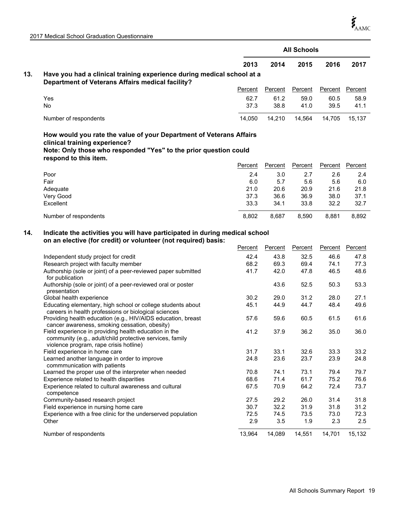|     |                                                                                                                                                                                                   |         |                | <b>All Schools</b> |         |         |
|-----|---------------------------------------------------------------------------------------------------------------------------------------------------------------------------------------------------|---------|----------------|--------------------|---------|---------|
|     |                                                                                                                                                                                                   | 2013    | 2014           | 2015               | 2016    | 2017    |
| 13. | Have you had a clinical training experience during medical school at a<br><b>Department of Veterans Affairs medical facility?</b>                                                                 |         |                |                    |         |         |
|     |                                                                                                                                                                                                   | Percent | Percent        | Percent            | Percent | Percent |
|     | Yes                                                                                                                                                                                               | 62.7    | 61.2           | 59.0               | 60.5    | 58.9    |
|     | <b>No</b>                                                                                                                                                                                         | 37.3    | 38.8           | 41.0               | 39.5    | 41.1    |
|     | Number of respondents                                                                                                                                                                             | 14,050  | 14,210         | 14,564             | 14,705  | 15,137  |
|     | How would you rate the value of your Department of Veterans Affairs<br>clinical training experience?<br>Note: Only those who responded "Yes" to the prior question could<br>respond to this item. |         |                |                    |         |         |
|     |                                                                                                                                                                                                   | Percent | <b>Percent</b> | <b>Percent</b>     | Percent | Percent |
|     | Poor                                                                                                                                                                                              | 2.4     | 3.0            | 2.7                | 2.6     | 2.4     |
|     | Fair                                                                                                                                                                                              | 6.0     | 5.7            | 5.6                | 5.6     | 6.0     |
|     | Adequate                                                                                                                                                                                          | 21.0    | 20.6           | 20.9               | 21.6    | 21.8    |
|     | Very Good                                                                                                                                                                                         | 37.3    | 36.6           | 36.9               | 38.0    | 37.1    |
|     | Excellent                                                                                                                                                                                         | 33.3    | 34.1           | 33.8               | 32.2    | 32.7    |
|     | Number of respondents                                                                                                                                                                             | 8,802   | 8,687          | 8,590              | 8,881   | 8,892   |
| 14. | Indicate the activities you will have participated in during medical school<br>on an elective (for credit) or volunteer (not required) basis:                                                     |         |                |                    |         |         |
|     |                                                                                                                                                                                                   | Percent | Percent        | Percent            | Percent | Percent |
|     | Independent study project for credit                                                                                                                                                              | 42.4    | 43.8           | 32.5               | 46.6    | 47.8    |
|     | Research project with faculty member                                                                                                                                                              | 68.2    | 69.3           | 69.4               | 74.1    | 77.3    |
|     | Authorship (sole or joint) of a peer-reviewed paper submitted<br>for publication                                                                                                                  | 41.7    | 42.0           | 47.8               | 46.5    | 48.6    |
|     | Authorship (sole or joint) of a peer-reviewed oral or poster<br>presentation                                                                                                                      |         | 43.6           | 52.5               | 50.3    | 53.3    |
|     | Global health experience                                                                                                                                                                          | 30.2    | 29.0           | 31.2               | 28.0    | 27.1    |
|     | Educating elementary, high school or college students about<br>careers in health professions or biological sciences                                                                               | 45.1    | 44.9           | 44.7               | 48.4    | 49.6    |

| <u>oarooro in noaith profoolono or biologioal oolonooo</u><br>Providing health education (e.g., HIV/AIDS education, breast                                  | 57.6   | 59.6   | 60.5   | 61.5   | 61.6   |
|-------------------------------------------------------------------------------------------------------------------------------------------------------------|--------|--------|--------|--------|--------|
| cancer awareness, smoking cessation, obesity)                                                                                                               |        |        |        |        |        |
| Field experience in providing health education in the<br>community (e.g., adult/child protective services, family<br>violence program, rape crisis hotline) | 41.2   | 37.9   | 36.2   | 35.0   | 36.0   |
| Field experience in home care                                                                                                                               | 31.7   | 33.1   | 32.6   | 33.3   | 33.2   |
| Learned another language in order to improve<br>commmunication with patients                                                                                | 24.8   | 23.6   | 23.7   | 23.9   | 24.8   |
| Learned the proper use of the interpreter when needed                                                                                                       | 70.8   | 74.1   | 73.1   | 79.4   | 79.7   |
| Experience related to health disparities                                                                                                                    | 68.6   | 71.4   | 61.7   | 75.2   | 76.6   |
| Experience related to cultural awareness and cultural<br>competence                                                                                         | 67.5   | 70.9   | 64.2   | 72.4   | 73.7   |
| Community-based research project                                                                                                                            | 27.5   | 29.2   | 26.0   | 31.4   | 31.8   |
| Field experience in nursing home care                                                                                                                       | 30.7   | 32.2   | 31.9   | 31.8   | 31.2   |
| Experience with a free clinic for the underserved population                                                                                                | 72.5   | 74.5   | 73.5   | 73.0   | 72.3   |
| Other                                                                                                                                                       | 2.9    | 3.5    | 1.9    | 2.3    | 2.5    |
| Number of respondents                                                                                                                                       | 13.964 | 14,089 | 14.551 | 14.701 | 15,132 |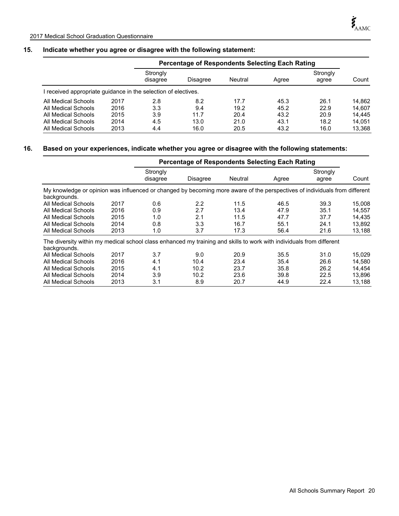# **15. Indicate whether you agree or disagree with the following statement:**

|                                                              |      |                      | <b>Percentage of Respondents Selecting Each Rating</b> |         |       |                   |        |  |  |
|--------------------------------------------------------------|------|----------------------|--------------------------------------------------------|---------|-------|-------------------|--------|--|--|
|                                                              |      | Strongly<br>disagree | Disagree                                               | Neutral | Agree | Strongly<br>agree | Count  |  |  |
| received appropriate guidance in the selection of electives. |      |                      |                                                        |         |       |                   |        |  |  |
| All Medical Schools                                          | 2017 | 2.8                  | 8.2                                                    | 17.7    | 45.3  | 26.1              | 14.862 |  |  |
| All Medical Schools                                          | 2016 | 3.3                  | 9.4                                                    | 19.2    | 45.2  | 22.9              | 14.607 |  |  |
| All Medical Schools                                          | 2015 | 3.9                  | 11.7                                                   | 20.4    | 43.2  | 20.9              | 14.445 |  |  |
| All Medical Schools                                          | 2014 | 4.5                  | 13.0                                                   | 21.0    | 43.1  | 18.2              | 14.051 |  |  |
| All Medical Schools                                          | 2013 | 4.4                  | 16.0                                                   | 20.5    | 43.2  | 16.0              | 13.368 |  |  |

#### **16. Based on your experiences, indicate whether you agree or disagree with the following statements:**

|                                                                                                                                            |      | <b>Percentage of Respondents Selecting Each Rating</b> |                   |         |       |                   |        |  |
|--------------------------------------------------------------------------------------------------------------------------------------------|------|--------------------------------------------------------|-------------------|---------|-------|-------------------|--------|--|
|                                                                                                                                            |      | Strongly<br>disagree                                   | <b>Disagree</b>   | Neutral | Agree | Strongly<br>agree | Count  |  |
| My knowledge or opinion was influenced or changed by becoming more aware of the perspectives of individuals from different<br>backgrounds. |      |                                                        |                   |         |       |                   |        |  |
| All Medical Schools                                                                                                                        | 2017 | 0.6                                                    | 2.2               | 11.5    | 46.5  | 39.3              | 15,008 |  |
| All Medical Schools                                                                                                                        | 2016 | 0.9                                                    | 2.7               | 13.4    | 47.9  | 35.1              | 14,557 |  |
| All Medical Schools                                                                                                                        | 2015 | 1.0                                                    | 2.1               | 11.5    | 47.7  | 37.7              | 14.435 |  |
| All Medical Schools                                                                                                                        | 2014 | 0.8                                                    | 3.3               | 16.7    | 55.1  | 24.1              | 13,892 |  |
| All Medical Schools                                                                                                                        | 2013 | 1.0                                                    | 3.7               | 17.3    | 56.4  | 21.6              | 13,188 |  |
| The diversity within my medical school class enhanced my training and skills to work with individuals from different<br>backgrounds.       |      |                                                        |                   |         |       |                   |        |  |
| All Medical Schools                                                                                                                        | 2017 | 3.7                                                    | 9.0               | 20.9    | 35.5  | 31.0              | 15,029 |  |
| All Medical Schools                                                                                                                        | 2016 | 4.1                                                    | 10.4              | 23.4    | 35.4  | 26.6              | 14.580 |  |
| All Medical Schools                                                                                                                        | 2015 | 4.1                                                    | 10.2              | 23.7    | 35.8  | 26.2              | 14.454 |  |
| All Medical Schools                                                                                                                        | 2014 | 3.9                                                    | 10.2 <sub>1</sub> | 23.6    | 39.8  | 22.5              | 13,896 |  |
| All Medical Schools                                                                                                                        | 2013 | 3.1                                                    | 8.9               | 20.7    | 44.9  | 22.4              | 13,188 |  |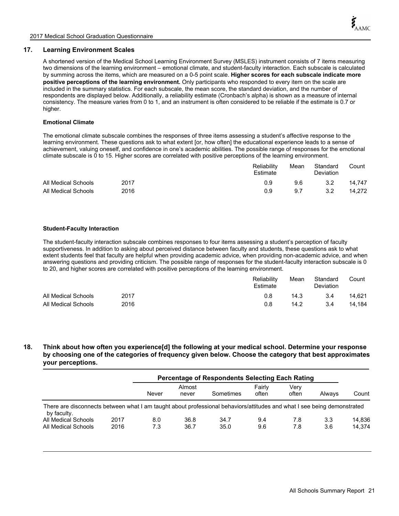#### **17. Learning Environment Scales**

A shortened version of the Medical School Learning Environment Survey (MSLES) instrument consists of 7 items measuring two dimensions of the learning environment – emotional climate, and student-faculty interaction. Each subscale is calculated by summing across the items, which are measured on a 0-5 point scale. **Higher scores for each subscale indicate more positive perceptions of the learning environment.** Only participants who responded to every item on the scale are included in the summary statistics. For each subscale, the mean score, the standard deviation, and the number of respondents are displayed below. Additionally, a reliability estimate (Cronbach's alpha) is shown as a measure of internal consistency. The measure varies from 0 to 1, and an instrument is often considered to be reliable if the estimate is 0.7 or higher.

#### **Emotional Climate**

The emotional climate subscale combines the responses of three items assessing a student's affective response to the learning environment. These questions ask to what extent [or, how often] the educational experience leads to a sense of achievement, valuing oneself, and confidence in one's academic abilities. The possible range of responses for the emotional climate subscale is 0 to 15. Higher scores are correlated with positive perceptions of the learning environment.

|                     |      | Reliability<br>Estimate | Mean | Standard<br><b>Deviation</b> | Count  |
|---------------------|------|-------------------------|------|------------------------------|--------|
| All Medical Schools | 2017 | 0.9                     | 9.6  | 3.2                          | 14.747 |
| All Medical Schools | 2016 | 0.9                     | 9.7  | 3.2                          | 14.272 |

#### **Student-Faculty Interaction**

The student-faculty interaction subscale combines responses to four items assessing a student's perception of faculty supportiveness. In addition to asking about perceived distance between faculty and students, these questions ask to what extent students feel that faculty are helpful when providing academic advice, when providing non-academic advice, and when answering questions and providing criticism. The possible range of responses for the student-faculty interaction subscale is 0 to 20, and higher scores are correlated with positive perceptions of the learning environment.

|                     |      | Reliability<br>Estimate | Mean | Standard<br>Deviation | Count  |
|---------------------|------|-------------------------|------|-----------------------|--------|
| All Medical Schools | 2017 | 0.8                     | 14.3 | 3.4                   | 14.621 |
| All Medical Schools | 2016 | 0.8                     | 14.2 | 3.4                   | 14.184 |

**18. Think about how often you experience[d] the following at your medical school. Determine your response by choosing one of the categories of frequency given below. Choose the category that best approximates your perceptions.**

|                                                                                                                                        |      | Percentage of Respondents Selecting Each Rating |                 |           |                 |               |        |        |
|----------------------------------------------------------------------------------------------------------------------------------------|------|-------------------------------------------------|-----------------|-----------|-----------------|---------------|--------|--------|
|                                                                                                                                        |      | Never                                           | Almost<br>never | Sometimes | Fairly<br>often | Verv<br>often | Always | Count  |
| There are disconnects between what I am taught about professional behaviors/attitudes and what I see being demonstrated<br>by faculty. |      |                                                 |                 |           |                 |               |        |        |
| All Medical Schools                                                                                                                    | 2017 | 8.0                                             | 36.8            | 34.7      | 9.4             | 7.8           | 3.3    | 14,836 |
| All Medical Schools                                                                                                                    | 2016 | 7.3                                             | 36.7            | 35.0      | 9.6             | 7.8           | 3.6    | 14.374 |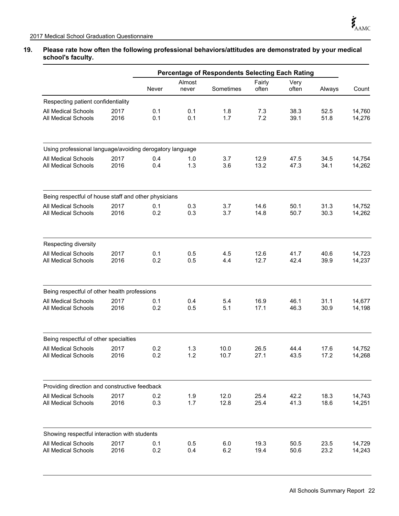## **19. Please rate how often the following professional behaviors/attitudes are demonstrated by your medical school's faculty.**

|                                                          |              | <b>Percentage of Respondents Selecting Each Rating</b> |                 |              |                 |               |              |                  |
|----------------------------------------------------------|--------------|--------------------------------------------------------|-----------------|--------------|-----------------|---------------|--------------|------------------|
|                                                          |              | Never                                                  | Almost<br>never | Sometimes    | Fairly<br>often | Very<br>often | Always       | Count            |
| Respecting patient confidentiality                       |              |                                                        |                 |              |                 |               |              |                  |
| All Medical Schools<br><b>All Medical Schools</b>        | 2017<br>2016 | 0.1<br>0.1                                             | 0.1<br>0.1      | 1.8<br>1.7   | 7.3<br>7.2      | 38.3<br>39.1  | 52.5<br>51.8 | 14,760<br>14,276 |
| Using professional language/avoiding derogatory language |              |                                                        |                 |              |                 |               |              |                  |
| <b>All Medical Schools</b><br><b>All Medical Schools</b> | 2017<br>2016 | 0.4<br>0.4                                             | 1.0<br>1.3      | 3.7<br>3.6   | 12.9<br>13.2    | 47.5<br>47.3  | 34.5<br>34.1 | 14,754<br>14,262 |
|                                                          |              |                                                        |                 |              |                 |               |              |                  |
| Being respectful of house staff and other physicians     |              |                                                        |                 |              |                 |               |              |                  |
| All Medical Schools<br><b>All Medical Schools</b>        | 2017<br>2016 | 0.1<br>0.2                                             | 0.3<br>0.3      | 3.7<br>3.7   | 14.6<br>14.8    | 50.1<br>50.7  | 31.3<br>30.3 | 14,752<br>14,262 |
|                                                          |              |                                                        |                 |              |                 |               |              |                  |
| Respecting diversity                                     |              |                                                        |                 |              |                 |               |              |                  |
| All Medical Schools<br>All Medical Schools               | 2017<br>2016 | 0.1<br>0.2                                             | 0.5<br>0.5      | 4.5<br>4.4   | 12.6<br>12.7    | 41.7<br>42.4  | 40.6<br>39.9 | 14,723<br>14,237 |
|                                                          |              |                                                        |                 |              |                 |               |              |                  |
| Being respectful of other health professions             |              |                                                        |                 |              |                 |               |              |                  |
| All Medical Schools<br><b>All Medical Schools</b>        | 2017<br>2016 | 0.1<br>0.2                                             | 0.4<br>0.5      | 5.4<br>5.1   | 16.9<br>17.1    | 46.1<br>46.3  | 31.1<br>30.9 | 14,677<br>14,198 |
| Being respectful of other specialties                    |              |                                                        |                 |              |                 |               |              |                  |
| <b>All Medical Schools</b><br>All Medical Schools        | 2017<br>2016 | 0.2<br>0.2                                             | 1.3<br>1.2      | 10.0<br>10.7 | 26.5<br>27.1    | 44.4<br>43.5  | 17.6<br>17.2 | 14,752<br>14,268 |
|                                                          |              |                                                        |                 |              |                 |               |              |                  |
| Providing direction and constructive feedback            |              |                                                        |                 |              |                 |               |              |                  |
| All Medical Schools<br>All Medical Schools               | 2017<br>2016 | 0.2<br>0.3                                             | 1.9<br>1.7      | 12.0<br>12.8 | 25.4<br>25.4    | 42.2<br>41.3  | 18.3<br>18.6 | 14,743<br>14,251 |
|                                                          |              |                                                        |                 |              |                 |               |              |                  |
| Showing respectful interaction with students             |              |                                                        |                 |              |                 |               |              |                  |
| All Medical Schools<br>All Medical Schools               | 2017<br>2016 | 0.1<br>0.2                                             | 0.5<br>0.4      | 6.0<br>6.2   | 19.3<br>19.4    | 50.5<br>50.6  | 23.5<br>23.2 | 14,729<br>14,243 |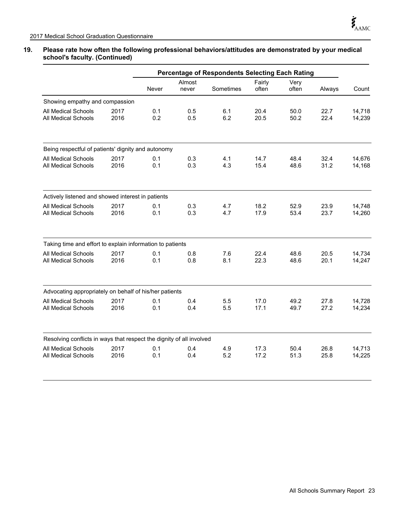#### **19. Please rate how often the following professional behaviors/attitudes are demonstrated by your medical school's faculty. (Continued)**

|                                                                      |              | <b>Percentage of Respondents Selecting Each Rating</b> |                 |            |                 |               |              |                  |
|----------------------------------------------------------------------|--------------|--------------------------------------------------------|-----------------|------------|-----------------|---------------|--------------|------------------|
|                                                                      |              | Never                                                  | Almost<br>never | Sometimes  | Fairly<br>often | Very<br>often | Always       | Count            |
| Showing empathy and compassion                                       |              |                                                        |                 |            |                 |               |              |                  |
| All Medical Schools<br>All Medical Schools                           | 2017<br>2016 | 0.1<br>0.2                                             | 0.5<br>0.5      | 6.1<br>6.2 | 20.4<br>20.5    | 50.0<br>50.2  | 22.7<br>22.4 | 14,718<br>14,239 |
| Being respectful of patients' dignity and autonomy                   |              |                                                        |                 |            |                 |               |              |                  |
| <b>All Medical Schools</b><br>All Medical Schools                    | 2017<br>2016 | 0.1<br>0.1                                             | 0.3<br>0.3      | 4.1<br>4.3 | 14.7<br>15.4    | 48.4<br>48.6  | 32.4<br>31.2 | 14,676<br>14,168 |
| Actively listened and showed interest in patients                    |              |                                                        |                 |            |                 |               |              |                  |
| <b>All Medical Schools</b><br>All Medical Schools                    | 2017<br>2016 | 0.1<br>0.1                                             | 0.3<br>0.3      | 4.7<br>4.7 | 18.2<br>17.9    | 52.9<br>53.4  | 23.9<br>23.7 | 14,748<br>14,260 |
| Taking time and effort to explain information to patients            |              |                                                        |                 |            |                 |               |              |                  |
| All Medical Schools<br>All Medical Schools                           | 2017<br>2016 | 0.1<br>0.1                                             | 0.8<br>0.8      | 7.6<br>8.1 | 22.4<br>22.3    | 48.6<br>48.6  | 20.5<br>20.1 | 14,734<br>14,247 |
| Advocating appropriately on behalf of his/her patients               |              |                                                        |                 |            |                 |               |              |                  |
| All Medical Schools<br>All Medical Schools                           | 2017<br>2016 | 0.1<br>0.1                                             | 0.4<br>0.4      | 5.5<br>5.5 | 17.0<br>17.1    | 49.2<br>49.7  | 27.8<br>27.2 | 14,728<br>14,234 |
| Resolving conflicts in ways that respect the dignity of all involved |              |                                                        |                 |            |                 |               |              |                  |
| All Medical Schools<br>All Medical Schools                           | 2017<br>2016 | 0.1<br>0.1                                             | 0.4<br>0.4      | 4.9<br>5.2 | 17.3<br>17.2    | 50.4<br>51.3  | 26.8<br>25.8 | 14,713<br>14,225 |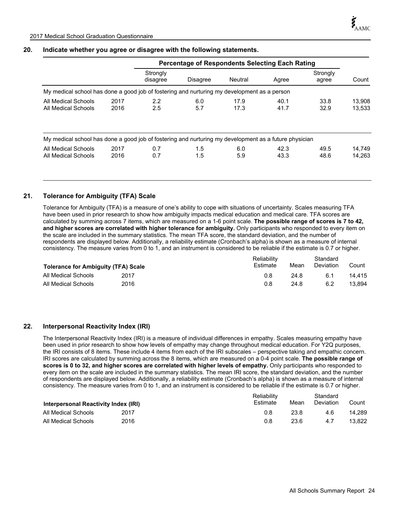#### **20. Indicate whether you agree or disagree with the following statements.**

|                                                                                                       |      |                      | <b>Percentage of Respondents Selecting Each Rating</b> |         |       |                   |        |  |
|-------------------------------------------------------------------------------------------------------|------|----------------------|--------------------------------------------------------|---------|-------|-------------------|--------|--|
|                                                                                                       |      | Strongly<br>disagree | <b>Disagree</b>                                        | Neutral | Agree | Strongly<br>agree | Count  |  |
| My medical school has done a good job of fostering and nurturing my development as a person           |      |                      |                                                        |         |       |                   |        |  |
| All Medical Schools                                                                                   | 2017 | 2.2                  | 6.0                                                    | 17.9    | 40.1  | 33.8              | 13,908 |  |
| All Medical Schools                                                                                   | 2016 | 2.5                  | 5.7                                                    | 17.3    | 41.7  | 32.9              | 13,533 |  |
| My medical school has done a good job of fostering and nurturing my development as a future physician |      |                      |                                                        |         |       |                   |        |  |
| All Medical Schools                                                                                   | 2017 | 0.7                  | 1.5                                                    | 6.0     | 42.3  | 49.5              | 14.749 |  |
| All Medical Schools                                                                                   | 2016 | 0.7                  | 1.5                                                    | 5.9     | 43.3  | 48.6              | 14.263 |  |

#### **21. Tolerance for Ambiguity (TFA) Scale**

Tolerance for Ambiguity (TFA) is a measure of one's ability to cope with situations of uncertainty. Scales measuring TFA have been used in prior research to show how ambiguity impacts medical education and medical care. TFA scores are calculated by summing across 7 items, which are measured on a 1-6 point scale. **The possible range of scores is 7 to 42, and higher scores are correlated with higher tolerance for ambiguity.** Only participants who responded to every item on the scale are included in the summary statistics. The mean TFA score, the standard deviation, and the number of respondents are displayed below. Additionally, a reliability estimate (Cronbach's alpha) is shown as a measure of internal consistency. The measure varies from 0 to 1, and an instrument is considered to be reliable if the estimate is 0.7 or higher.

| <b>Tolerance for Ambiguity (TFA) Scale</b> |      | Reliability<br>Estimate | Mean | Standard<br>Deviation | Count  |
|--------------------------------------------|------|-------------------------|------|-----------------------|--------|
| All Medical Schools                        | 2017 | 0.8                     | 24.8 | 6.1                   | 14.415 |
| All Medical Schools                        | 2016 | 0.8                     | 24.8 | 6.2                   | 13.894 |

#### **22. Interpersonal Reactivity Index (IRI)**

The Interpersonal Reactivity Index (IRI) is a measure of individual differences in empathy. Scales measuring empathy have been used in prior research to show how levels of empathy may change throughout medical education. For Y2Q purposes, the IRI consists of 8 items. These include 4 items from each of the IRI subscales – perspective taking and empathic concern. IRI scores are calculated by summing across the 8 items, which are measured on a 0-4 point scale. **The possible range of scores is 0 to 32, and higher scores are correlated with higher levels of empathy.** Only participants who responded to every item on the scale are included in the summary statistics. The mean IRI score, the standard deviation, and the number of respondents are displayed below. Additionally, a reliability estimate (Cronbach's alpha) is shown as a measure of internal consistency. The measure varies from 0 to 1, and an instrument is considered to be reliable if the estimate is 0.7 or higher.

| Interpersonal Reactivity Index (IRI) |      | Reliability<br>Estimate | Mean | Standard<br>Deviation | Count  |
|--------------------------------------|------|-------------------------|------|-----------------------|--------|
| All Medical Schools                  | 2017 | 0.8                     | 23.8 | 4.6                   | 14.289 |
| All Medical Schools                  | 2016 | 0.8                     | 23.6 | 4.7                   | 13.822 |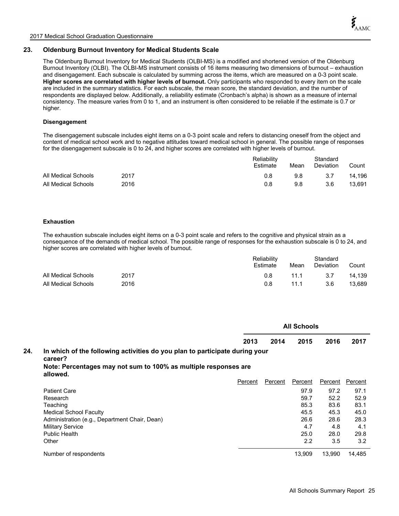#### **23. Oldenburg Burnout Inventory for Medical Students Scale**

The Oldenburg Burnout Inventory for Medical Students (OLBI-MS) is a modified and shortened version of the Oldenburg Burnout Inventory (OLBI). The OLBI-MS instrument consists of 16 items measuring two dimensions of burnout – exhaustion and disengagement. Each subscale is calculated by summing across the items, which are measured on a 0-3 point scale. **Higher scores are correlated with higher levels of burnout.** Only participants who responded to every item on the scale are included in the summary statistics. For each subscale, the mean score, the standard deviation, and the number of respondents are displayed below. Additionally, a reliability estimate (Cronbach's alpha) is shown as a measure of internal consistency. The measure varies from 0 to 1, and an instrument is often considered to be reliable if the estimate is 0.7 or higher.

#### **Disengagement**

The disengagement subscale includes eight items on a 0-3 point scale and refers to distancing oneself from the object and content of medical school work and to negative attitudes toward medical school in general. The possible range of responses for the disengagement subscale is 0 to 24, and higher scores are correlated with higher levels of burnout.

|                     |      | Reliability<br>Estimate | Mean | Standard<br><b>Deviation</b> | Count  |
|---------------------|------|-------------------------|------|------------------------------|--------|
| All Medical Schools | 2017 | 0.8                     | 9.8  | 3.7                          | 14.196 |
| All Medical Schools | 2016 | 0.8                     | 9.8  | 3.6                          | 13.691 |

#### **Exhaustion**

The exhaustion subscale includes eight items on a 0-3 point scale and refers to the cognitive and physical strain as a consequence of the demands of medical school. The possible range of responses for the exhaustion subscale is 0 to 24, and higher scores are correlated with higher levels of burnout.

|                     |      | Reliability<br>Estimate | Mean | Standard<br>Deviation | Count  |
|---------------------|------|-------------------------|------|-----------------------|--------|
| All Medical Schools | 2017 | 0.8                     | 11.1 | -3.7                  | 14.139 |
| All Medical Schools | 2016 | 0.8                     | 11.1 | 3.6                   | 13.689 |

|     |                                                                                        |         | <b>All Schools</b> |         |         |         |  |  |
|-----|----------------------------------------------------------------------------------------|---------|--------------------|---------|---------|---------|--|--|
|     |                                                                                        | 2013    | 2014               | 2015    | 2016    | 2017    |  |  |
| 24. | In which of the following activities do you plan to participate during your<br>career? |         |                    |         |         |         |  |  |
|     | Note: Percentages may not sum to 100% as multiple responses are<br>allowed.            |         |                    |         |         |         |  |  |
|     |                                                                                        | Percent | Percent            | Percent | Percent | Percent |  |  |
|     | <b>Patient Care</b>                                                                    |         |                    | 97.9    | 97.2    | 97.1    |  |  |
|     | Research                                                                               |         |                    | 59.7    | 52.2    | 52.9    |  |  |
|     | Teaching                                                                               |         |                    | 85.3    | 83.6    | 83.1    |  |  |
|     | <b>Medical School Faculty</b>                                                          |         |                    | 45.5    | 45.3    | 45.0    |  |  |
|     | Administration (e.g., Department Chair, Dean)                                          |         |                    | 26.6    | 28.6    | 28.3    |  |  |
|     | <b>Military Service</b>                                                                |         |                    | 4.7     | 4.8     | 4.1     |  |  |
|     | Public Health                                                                          |         |                    | 25.0    | 28.0    | 29.8    |  |  |
|     | Other                                                                                  |         |                    | 2.2     | 3.5     | 3.2     |  |  |
|     | Number of respondents                                                                  |         |                    | 13.909  | 13.990  | 14.485  |  |  |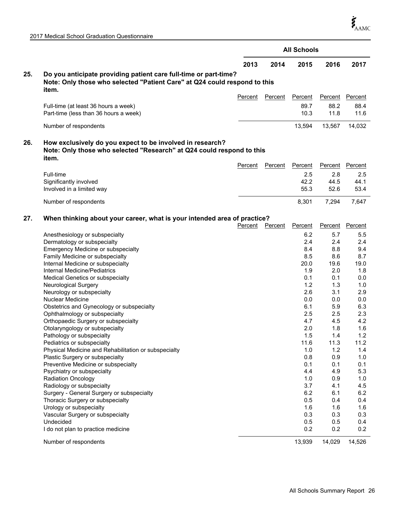|     |                                                                                                                                                        |                | <b>All Schools</b> |                |                |            |  |
|-----|--------------------------------------------------------------------------------------------------------------------------------------------------------|----------------|--------------------|----------------|----------------|------------|--|
|     |                                                                                                                                                        | 2013           | 2014               | 2015           | 2016           | 2017       |  |
| 25. | Do you anticipate providing patient care full-time or part-time?<br>Note: Only those who selected "Patient Care" at Q24 could respond to this<br>item. | <b>Percent</b> | Percent            | <b>Percent</b> | <b>Percent</b> | Percent    |  |
|     |                                                                                                                                                        |                |                    | 89.7           |                | 88.4       |  |
|     | Full-time (at least 36 hours a week)<br>Part-time (less than 36 hours a week)                                                                          |                |                    | 10.3           | 88.2<br>11.8   | 11.6       |  |
|     | Number of respondents                                                                                                                                  |                |                    | 13,594         | 13,567         | 14,032     |  |
| 26. | How exclusively do you expect to be involved in research?<br>Note: Only those who selected "Research" at Q24 could respond to this<br>item.            |                |                    |                |                |            |  |
|     |                                                                                                                                                        | <b>Percent</b> | Percent            | Percent        | Percent        | Percent    |  |
|     | Full-time                                                                                                                                              |                |                    | 2.5            | 2.8            | 2.5        |  |
|     | Significantly involved                                                                                                                                 |                |                    | 42.2           | 44.5           | 44.1       |  |
|     | Involved in a limited way                                                                                                                              |                |                    | 55.3           | 52.6           | 53.4       |  |
|     | Number of respondents                                                                                                                                  |                |                    | 8,301          | 7,294          | 7,647      |  |
| 27. | When thinking about your career, what is your intended area of practice?                                                                               | Percent        | <b>Percent</b>     | <b>Percent</b> | <b>Percent</b> | Percent    |  |
|     | Anesthesiology or subspecialty                                                                                                                         |                |                    | 6.2            | 5.7            | 5.5        |  |
|     | Dermatology or subspecialty                                                                                                                            |                |                    | 2.4            | 2.4            | 2.4        |  |
|     | Emergency Medicine or subspecialty                                                                                                                     |                |                    | 8.4            | 8.8            | 9.4        |  |
|     | Family Medicine or subspecialty                                                                                                                        |                |                    | 8.5            | 8.6            | 8.7        |  |
|     | Internal Medicine or subspecialty                                                                                                                      |                |                    | 20.0           | 19.6           | 19.0       |  |
|     | Internal Medicine/Pediatrics                                                                                                                           |                |                    | 1.9            | 2.0            | 1.8        |  |
|     | Medical Genetics or subspecialty                                                                                                                       |                |                    | 0.1            | 0.1            | 0.0        |  |
|     | Neurological Surgery                                                                                                                                   |                |                    | 1.2            | 1.3            | 1.0        |  |
|     | Neurology or subspecialty                                                                                                                              |                |                    | 2.6            | 3.1            | 2.9        |  |
|     | <b>Nuclear Medicine</b>                                                                                                                                |                |                    | 0.0            | 0.0            | 0.0        |  |
|     | Obstetrics and Gynecology or subspecialty                                                                                                              |                |                    | 6.1            | 5.9            | 6.3        |  |
|     | Ophthalmology or subspecialty<br>Orthopaedic Surgery or subspecialty                                                                                   |                |                    | 2.5<br>4.7     | 2.5<br>4.5     | 2.3<br>4.2 |  |
|     | Otolaryngology or subspecialty                                                                                                                         |                |                    | 2.0            | 1.8            | 1.6        |  |
|     | Pathology or subspecialty                                                                                                                              |                |                    | 1.5            | 1.4            | $1.2$      |  |
|     | Pediatrics or subspecialty                                                                                                                             |                |                    | 11.6           | 11.3           | 11.2       |  |
|     | Physical Medicine and Rehabilitation or subspecialty                                                                                                   |                |                    | 1.0            | 1.2            | 1.4        |  |
|     | Plastic Surgery or subspecialty                                                                                                                        |                |                    | 0.8            | 0.9            | 1.0        |  |
|     | Preventive Medicine or subspecialty                                                                                                                    |                |                    | 0.1            | 0.1            | 0.1        |  |
|     | Psychiatry or subspecialty                                                                                                                             |                |                    | 4.4            | 4.9            | 5.3        |  |
|     | <b>Radiation Oncology</b>                                                                                                                              |                |                    | 1.0            | 0.9            | 1.0        |  |
|     | Radiology or subspecialty                                                                                                                              |                |                    | 3.7            | 4.1            | 4.5        |  |
|     | Surgery - General Surgery or subspecialty                                                                                                              |                |                    | 6.2            | 6.1            | 6.2        |  |
|     | Thoracic Surgery or subspecialty                                                                                                                       |                |                    | 0.5            | 0.4            | 0.4        |  |
|     | Urology or subspecialty                                                                                                                                |                |                    | 1.6            | 1.6            | 1.6        |  |
|     | Vascular Surgery or subspecialty                                                                                                                       |                |                    | 0.3            | 0.3            | 0.3        |  |
|     | Undecided                                                                                                                                              |                |                    | 0.5            | 0.5            | 0.4        |  |
|     | I do not plan to practice medicine                                                                                                                     |                |                    | 0.2            | 0.2            | 0.2        |  |
|     | Number of respondents                                                                                                                                  |                |                    | 13,939         | 14,029         | 14,526     |  |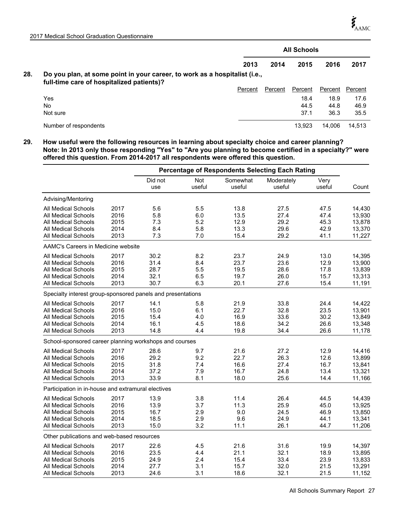|     |                                                                                                                         | <b>All Schools</b> |         |         |         |         |  |
|-----|-------------------------------------------------------------------------------------------------------------------------|--------------------|---------|---------|---------|---------|--|
|     |                                                                                                                         | 2013               | 2014    | 2015    | 2016    | 2017    |  |
| 28. | Do you plan, at some point in your career, to work as a hospitalist (i.e.,<br>full-time care of hospitalized patients)? |                    |         |         |         |         |  |
|     |                                                                                                                         | Percent            | Percent | Percent | Percent | Percent |  |
|     | Yes                                                                                                                     |                    |         | 18.4    | 18.9    | 17.6    |  |
|     | No                                                                                                                      |                    |         | 44.5    | 44.8    | 46.9    |  |
|     | Not sure                                                                                                                |                    |         | 37.1    | 36.3    | 35.5    |  |
|     | Number of respondents                                                                                                   |                    |         | 13.923  | 14.006  | 14.513  |  |

**29. How useful were the following resources in learning about specialty choice and career planning? Note: In 2013 only those responding "Yes" to "Are you planning to become certified in a specialty?" were offered this question. From 2014-2017 all respondents were offered this question.**

|                                                                                                                        |                                      | <b>Percentage of Respondents Selecting Each Rating</b> |                                 |                                      |                                      |                                      |                                                |
|------------------------------------------------------------------------------------------------------------------------|--------------------------------------|--------------------------------------------------------|---------------------------------|--------------------------------------|--------------------------------------|--------------------------------------|------------------------------------------------|
|                                                                                                                        |                                      | Did not<br>use                                         | Not<br>useful                   | Somewhat<br>useful                   | Moderately<br>useful                 | Very<br>useful                       | Count                                          |
| Advising/Mentoring                                                                                                     |                                      |                                                        |                                 |                                      |                                      |                                      |                                                |
| All Medical Schools<br><b>All Medical Schools</b><br>All Medical Schools<br>All Medical Schools<br>All Medical Schools | 2017<br>2016<br>2015<br>2014<br>2013 | 5.6<br>5.8<br>7.3<br>8.4<br>7.3                        | 5.5<br>6.0<br>5.2<br>5.8<br>7.0 | 13.8<br>13.5<br>12.9<br>13.3<br>15.4 | 27.5<br>27.4<br>29.2<br>29.6<br>29.2 | 47.5<br>47.4<br>45.3<br>42.9<br>41.1 | 14,430<br>13,930<br>13,878<br>13,370<br>11,227 |
| AAMC's Careers in Medicine website                                                                                     |                                      |                                                        |                                 |                                      |                                      |                                      |                                                |
| All Medical Schools<br>All Medical Schools<br>All Medical Schools<br>All Medical Schools<br>All Medical Schools        | 2017<br>2016<br>2015<br>2014<br>2013 | 30.2<br>31.4<br>28.7<br>32.1<br>30.7                   | 8.2<br>8.4<br>5.5<br>6.5<br>6.3 | 23.7<br>23.7<br>19.5<br>19.7<br>20.1 | 24.9<br>23.6<br>28.6<br>26.0<br>27.6 | 13.0<br>12.9<br>17.8<br>15.7<br>15.4 | 14,395<br>13,900<br>13,839<br>13,313<br>11,191 |
| Specialty interest group-sponsored panels and presentations                                                            |                                      |                                                        |                                 |                                      |                                      |                                      |                                                |
| All Medical Schools<br>All Medical Schools<br>All Medical Schools<br>All Medical Schools<br>All Medical Schools        | 2017<br>2016<br>2015<br>2014<br>2013 | 14.1<br>15.0<br>15.4<br>16.1<br>14.8                   | 5.8<br>6.1<br>4.0<br>4.5<br>4.4 | 21.9<br>22.7<br>16.9<br>18.6<br>19.8 | 33.8<br>32.8<br>33.6<br>34.2<br>34.4 | 24.4<br>23.5<br>30.2<br>26.6<br>26.6 | 14,422<br>13,901<br>13,849<br>13,348<br>11,178 |
| School-sponsored career planning workshops and courses                                                                 |                                      |                                                        |                                 |                                      |                                      |                                      |                                                |
| All Medical Schools<br>All Medical Schools<br>All Medical Schools<br>All Medical Schools<br><b>All Medical Schools</b> | 2017<br>2016<br>2015<br>2014<br>2013 | 28.6<br>29.2<br>31.8<br>37.2<br>33.9                   | 9.7<br>9.2<br>7.4<br>7.9<br>8.1 | 21.6<br>22.7<br>16.6<br>16.7<br>18.0 | 27.2<br>26.3<br>27.4<br>24.8<br>25.6 | 12.9<br>12.6<br>16.7<br>13.4<br>14.4 | 14,416<br>13,899<br>13,841<br>13,321<br>11,166 |
| Participation in in-house and extramural electives                                                                     |                                      |                                                        |                                 |                                      |                                      |                                      |                                                |
| All Medical Schools<br>All Medical Schools<br><b>All Medical Schools</b><br>All Medical Schools<br>All Medical Schools | 2017<br>2016<br>2015<br>2014<br>2013 | 13.9<br>13.9<br>16.7<br>18.5<br>15.0                   | 3.8<br>3.7<br>2.9<br>2.9<br>3.2 | 11.4<br>11.3<br>9.0<br>9.6<br>11.1   | 26.4<br>25.9<br>24.5<br>24.9<br>26.1 | 44.5<br>45.0<br>46.9<br>44.1<br>44.7 | 14,439<br>13,925<br>13,850<br>13,341<br>11,206 |
| Other publications and web-based resources                                                                             |                                      |                                                        |                                 |                                      |                                      |                                      |                                                |
| All Medical Schools<br>All Medical Schools<br>All Medical Schools<br>All Medical Schools<br>All Medical Schools        | 2017<br>2016<br>2015<br>2014<br>2013 | 22.6<br>23.5<br>24.9<br>27.7<br>24.6                   | 4.5<br>4.4<br>2.4<br>3.1<br>3.1 | 21.6<br>21.1<br>15.4<br>15.7<br>18.6 | 31.6<br>32.1<br>33.4<br>32.0<br>32.1 | 19.9<br>18.9<br>23.9<br>21.5<br>21.5 | 14,397<br>13,895<br>13,833<br>13,291<br>11,152 |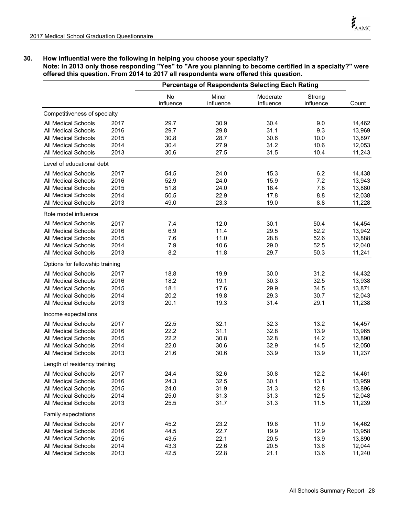# **30. How influential were the following in helping you choose your specialty?**

## **Note: In 2013 only those responding "Yes" to "Are you planning to become certified in a specialty?" were offered this question. From 2014 to 2017 all respondents were offered this question.**

|                                 |      | <b>Percentage of Respondents Selecting Each Rating</b> |                    |                       |                     |        |
|---------------------------------|------|--------------------------------------------------------|--------------------|-----------------------|---------------------|--------|
|                                 |      | <b>No</b><br>influence                                 | Minor<br>influence | Moderate<br>influence | Strong<br>influence | Count  |
| Competitiveness of specialty    |      |                                                        |                    |                       |                     |        |
| All Medical Schools             | 2017 | 29.7                                                   | 30.9               | 30.4                  | 9.0                 | 14,462 |
| All Medical Schools             | 2016 | 29.7                                                   | 29.8               | 31.1                  | 9.3                 | 13,969 |
| <b>All Medical Schools</b>      | 2015 | 30.8                                                   | 28.7               | 30.6                  | 10.0                | 13,897 |
| All Medical Schools             | 2014 | 30.4                                                   | 27.9               | 31.2                  | 10.6                | 12,053 |
| All Medical Schools             | 2013 | 30.6                                                   | 27.5               | 31.5                  | 10.4                | 11,243 |
| Level of educational debt       |      |                                                        |                    |                       |                     |        |
| All Medical Schools             | 2017 | 54.5                                                   | 24.0               | 15.3                  | 6.2                 | 14,438 |
| All Medical Schools             | 2016 | 52.9                                                   | 24.0               | 15.9                  | 7.2                 | 13,943 |
| All Medical Schools             | 2015 | 51.8                                                   | 24.0               | 16.4                  | 7.8                 | 13,880 |
| All Medical Schools             | 2014 | 50.5                                                   | 22.9               | 17.8                  | 8.8                 | 12,038 |
| <b>All Medical Schools</b>      | 2013 | 49.0                                                   | 23.3               | 19.0                  | 8.8                 | 11,228 |
| Role model influence            |      |                                                        |                    |                       |                     |        |
| All Medical Schools             | 2017 | 7.4                                                    | 12.0               | 30.1                  | 50.4                | 14,454 |
| All Medical Schools             | 2016 | 6.9                                                    | 11.4               | 29.5                  | 52.2                | 13,942 |
| All Medical Schools             | 2015 | 7.6                                                    | 11.0               | 28.8                  | 52.6                | 13,888 |
| All Medical Schools             | 2014 | 7.9                                                    | 10.6               | 29.0                  | 52.5                | 12,040 |
| All Medical Schools             | 2013 | 8.2                                                    | 11.8               | 29.7                  | 50.3                | 11,241 |
| Options for fellowship training |      |                                                        |                    |                       |                     |        |
| <b>All Medical Schools</b>      | 2017 | 18.8                                                   | 19.9               | 30.0                  | 31.2                | 14,432 |
| All Medical Schools             | 2016 | 18.2                                                   | 19.1               | 30.3                  | 32.5                | 13,938 |
| All Medical Schools             | 2015 | 18.1                                                   | 17.6               | 29.9                  | 34.5                | 13,871 |
| <b>All Medical Schools</b>      | 2014 | 20.2                                                   | 19.8               | 29.3                  | 30.7                | 12,043 |
| All Medical Schools             | 2013 | 20.1                                                   | 19.3               | 31.4                  | 29.1                | 11,238 |
| Income expectations             |      |                                                        |                    |                       |                     |        |
| All Medical Schools             | 2017 | 22.5                                                   | 32.1               | 32.3                  | 13.2                | 14,457 |
| All Medical Schools             | 2016 | 22.2                                                   | 31.1               | 32.8                  | 13.9                | 13,965 |
| <b>All Medical Schools</b>      | 2015 | 22.2                                                   | 30.8               | 32.8                  | 14.2                | 13,890 |
| All Medical Schools             | 2014 | 22.0                                                   | 30.6               | 32.9                  | 14.5                | 12,050 |
| All Medical Schools             | 2013 | 21.6                                                   | 30.6               | 33.9                  | 13.9                | 11,237 |
| Length of residency training    |      |                                                        |                    |                       |                     |        |
| All Medical Schools             | 2017 | 24.4                                                   | 32.6               | 30.8                  | 12.2                | 14,461 |
| <b>All Medical Schools</b>      | 2016 | 24.3                                                   | 32.5               | 30.1                  | 13.1                | 13,959 |
| All Medical Schools             | 2015 | 24.0                                                   | 31.9               | 31.3                  | 12.8                | 13,896 |
| All Medical Schools             | 2014 | 25.0                                                   | 31.3               | 31.3                  | 12.5                | 12,048 |
| All Medical Schools             | 2013 | 25.5                                                   | 31.7               | 31.3                  | 11.5                | 11,239 |
| Family expectations             |      |                                                        |                    |                       |                     |        |
| All Medical Schools             | 2017 | 45.2                                                   | 23.2               | 19.8                  | 11.9                | 14,462 |
| All Medical Schools             | 2016 | 44.5                                                   | 22.7               | 19.9                  | 12.9                | 13,958 |
| All Medical Schools             | 2015 | 43.5                                                   | 22.1               | 20.5                  | 13.9                | 13,890 |
| All Medical Schools             | 2014 | 43.3                                                   | 22.6               | 20.5                  | 13.6                | 12,044 |
| All Medical Schools             | 2013 | 42.5                                                   | 22.8               | 21.1                  | 13.6                | 11,240 |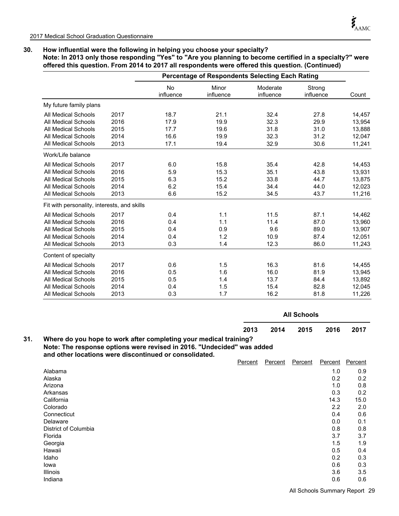**31.**

# **30. How influential were the following in helping you choose your specialty?**

**Note: In 2013 only those responding "Yes" to "Are you planning to become certified in a specialty?" were offered this question. From 2014 to 2017 all respondents were offered this question. (Continued)**

|                                             |      |                        | <b>Percentage of Respondents Selecting Each Rating</b> |                       |                     |        |
|---------------------------------------------|------|------------------------|--------------------------------------------------------|-----------------------|---------------------|--------|
|                                             |      | <b>No</b><br>influence | Minor<br>influence                                     | Moderate<br>influence | Strong<br>influence | Count  |
| My future family plans                      |      |                        |                                                        |                       |                     |        |
| <b>All Medical Schools</b>                  | 2017 | 18.7                   | 21.1                                                   | 32.4                  | 27.8                | 14,457 |
| All Medical Schools                         | 2016 | 17.9                   | 19.9                                                   | 32.3                  | 29.9                | 13,954 |
| All Medical Schools                         | 2015 | 17.7                   | 19.6                                                   | 31.8                  | 31.0                | 13,888 |
| All Medical Schools                         | 2014 | 16.6                   | 19.9                                                   | 32.3                  | 31.2                | 12,047 |
| <b>All Medical Schools</b>                  | 2013 | 17.1                   | 19.4                                                   | 32.9                  | 30.6                | 11,241 |
| Work/Life balance                           |      |                        |                                                        |                       |                     |        |
| <b>All Medical Schools</b>                  | 2017 | 6.0                    | 15.8                                                   | 35.4                  | 42.8                | 14,453 |
| All Medical Schools                         | 2016 | 5.9                    | 15.3                                                   | 35.1                  | 43.8                | 13,931 |
| All Medical Schools                         | 2015 | 6.3                    | 15.2                                                   | 33.8                  | 44.7                | 13,875 |
| <b>All Medical Schools</b>                  | 2014 | 6.2                    | 15.4                                                   | 34.4                  | 44.0                | 12,023 |
| <b>All Medical Schools</b>                  | 2013 | 6.6                    | 15.2                                                   | 34.5                  | 43.7                | 11,216 |
| Fit with personality, interests, and skills |      |                        |                                                        |                       |                     |        |
| <b>All Medical Schools</b>                  | 2017 | 0.4                    | 1.1                                                    | 11.5                  | 87.1                | 14,462 |
| <b>All Medical Schools</b>                  | 2016 | 0.4                    | 1.1                                                    | 11.4                  | 87.0                | 13,960 |
| All Medical Schools                         | 2015 | 0.4                    | 0.9                                                    | 9.6                   | 89.0                | 13,907 |
| All Medical Schools                         | 2014 | 0.4                    | 1.2                                                    | 10.9                  | 87.4                | 12,051 |
| All Medical Schools                         | 2013 | 0.3                    | 1.4                                                    | 12.3                  | 86.0                | 11,243 |
| Content of specialty                        |      |                        |                                                        |                       |                     |        |
| <b>All Medical Schools</b>                  | 2017 | 0.6                    | 1.5                                                    | 16.3                  | 81.6                | 14,455 |
| <b>All Medical Schools</b>                  | 2016 | 0.5                    | 1.6                                                    | 16.0                  | 81.9                | 13,945 |
| All Medical Schools                         | 2015 | 0.5                    | 1.4                                                    | 13.7                  | 84.4                | 13,892 |
| <b>All Medical Schools</b>                  | 2014 | 0.4                    | 1.5                                                    | 15.4                  | 82.8                | 12,045 |
| <b>All Medical Schools</b>                  | 2013 | 0.3                    | 1.7                                                    | 16.2                  | 81.8                | 11,226 |

|                                                                                                                                                                                                       |         |         | <b>All Schools</b> |         |         |
|-------------------------------------------------------------------------------------------------------------------------------------------------------------------------------------------------------|---------|---------|--------------------|---------|---------|
|                                                                                                                                                                                                       | 2013    | 2014    | 2015               | 2016    | 2017    |
| Where do you hope to work after completing your medical training?<br>Note: The response options were revised in 2016. "Undecided" was added<br>and other locations were discontinued or consolidated. |         |         |                    |         |         |
|                                                                                                                                                                                                       | Percent | Percent | Percent            | Percent | Percent |
| Alabama                                                                                                                                                                                               |         |         |                    | 1.0     | 0.9     |
| Aloeko                                                                                                                                                                                                |         |         |                    | ΩΩ      | ΩΩ      |

| <b>Aldudilla</b>     | <b>I.V</b> | ∪.ෟ  |
|----------------------|------------|------|
| Alaska               | 0.2        | 0.2  |
| Arizona              | 1.0        | 0.8  |
| Arkansas             | 0.3        | 0.2  |
| California           | 14.3       | 15.0 |
| Colorado             | 2.2        | 2.0  |
| Connecticut          | 0.4        | 0.6  |
| Delaware             | 0.0        | 0.1  |
| District of Columbia | 0.8        | 0.8  |
| Florida              | 3.7        | 3.7  |
| Georgia              | 1.5        | 1.9  |
| Hawaii               | 0.5        | 0.4  |
| Idaho                | 0.2        | 0.3  |
| lowa                 | 0.6        | 0.3  |
| Illinois             | 3.6        | 3.5  |
| Indiana              | 0.6        | 0.6  |
|                      |            |      |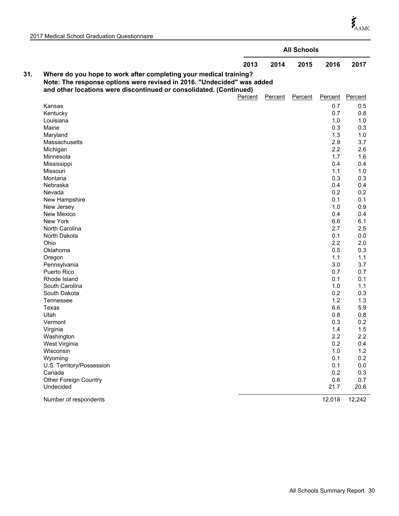$\boldsymbol{\dot{\xi}}_{\text{AMC}}$ 

|     |                                                                                                                                                                                                                   |         | <b>All Schools</b> |         |         |
|-----|-------------------------------------------------------------------------------------------------------------------------------------------------------------------------------------------------------------------|---------|--------------------|---------|---------|
|     | 2013                                                                                                                                                                                                              | 2014    | 2015               | 2016    | 2017    |
| 31. | Where do you hope to work after completing your medical training?<br>Note: The response options were revised in 2016. "Undecided" was added<br>and other locations were discontinued or consolidated. (Continued) |         |                    |         |         |
|     | Percent                                                                                                                                                                                                           | Percent | Percent            | Percent | Percent |
|     | Kansas                                                                                                                                                                                                            |         |                    | 0.7     | 0.5     |
|     | Kentucky                                                                                                                                                                                                          |         |                    | 0.7     | 0.8     |
|     | Louisiana                                                                                                                                                                                                         |         |                    | 1.0     | 1.0     |
|     | Maine                                                                                                                                                                                                             |         |                    | 0.3     | 0.3     |
|     | Maryland                                                                                                                                                                                                          |         |                    | 1.3     | 1.0     |
|     | Massachusetts                                                                                                                                                                                                     |         |                    | 2.9     | 3.7     |
|     | Michigan                                                                                                                                                                                                          |         |                    | 2.2     | 2.6     |
|     | Minnesota                                                                                                                                                                                                         |         |                    | 1.7     | 1.6     |
|     | Mississippi                                                                                                                                                                                                       |         |                    | 0.4     | 0.4     |
|     | Missouri                                                                                                                                                                                                          |         |                    | 1.1     | 1.0     |
|     | Montana                                                                                                                                                                                                           |         |                    | 0.3     | 0.3     |
|     | Nebraska                                                                                                                                                                                                          |         |                    | 0.4     | 0.4     |
|     | Nevada                                                                                                                                                                                                            |         |                    | 0.2     | 0.2     |
|     | New Hampshire                                                                                                                                                                                                     |         |                    | 0.1     | 0.1     |
|     | New Jersey                                                                                                                                                                                                        |         |                    | 1.0     | 0.9     |
|     | New Mexico                                                                                                                                                                                                        |         |                    | 0.4     | 0.4     |
|     | New York                                                                                                                                                                                                          |         |                    | 6.6     | 6.1     |
|     | North Carolina                                                                                                                                                                                                    |         |                    | 2.7     | 2.5     |
|     | North Dakota                                                                                                                                                                                                      |         |                    | 0.1     | 0.0     |
|     | Ohio                                                                                                                                                                                                              |         |                    | 2.2     | 2.0     |
|     | Oklahoma                                                                                                                                                                                                          |         |                    | 0.5     | 0.3     |
|     | Oregon                                                                                                                                                                                                            |         |                    | 1.1     | 1.1     |
|     | Pennsylvania                                                                                                                                                                                                      |         |                    | 3.0     | 3.7     |
|     | Puerto Rico                                                                                                                                                                                                       |         |                    | 0.7     | 0.7     |
|     | Rhode Island                                                                                                                                                                                                      |         |                    | 0.1     | 0.1     |
|     | South Carolina                                                                                                                                                                                                    |         |                    | 1.0     | 1.1     |
|     | South Dakota                                                                                                                                                                                                      |         |                    | 0.2     | 0.3     |
|     | Tennessee                                                                                                                                                                                                         |         |                    | 1.2     | 1.3     |
|     | Texas                                                                                                                                                                                                             |         |                    | 6.6     | 5.9     |
|     | Utah                                                                                                                                                                                                              |         |                    | 0.8     | 0.8     |
|     | Vermont                                                                                                                                                                                                           |         |                    | 0.3     | 0.2     |
|     | Virginia                                                                                                                                                                                                          |         |                    | 1.4     | 1.5     |
|     | Washington                                                                                                                                                                                                        |         |                    | 2.2     | 2.2     |
|     | West Virginia                                                                                                                                                                                                     |         |                    | 0.2     | 0.4     |
|     | Wisconsin                                                                                                                                                                                                         |         |                    | 1.0     | 1.2     |
|     | Wyoming                                                                                                                                                                                                           |         |                    | 0.1     | 0.2     |
|     | U.S. Territory/Possession                                                                                                                                                                                         |         |                    | 0.1     | 0.0     |
|     | Canada                                                                                                                                                                                                            |         |                    | 0.2     | 0.3     |
|     | Other Foreign Country                                                                                                                                                                                             |         |                    | 0.6     | 0.7     |
|     | Undecided                                                                                                                                                                                                         |         |                    | 21.7    | 20.6    |
|     | Number of respondents                                                                                                                                                                                             |         |                    | 12,018  | 12,242  |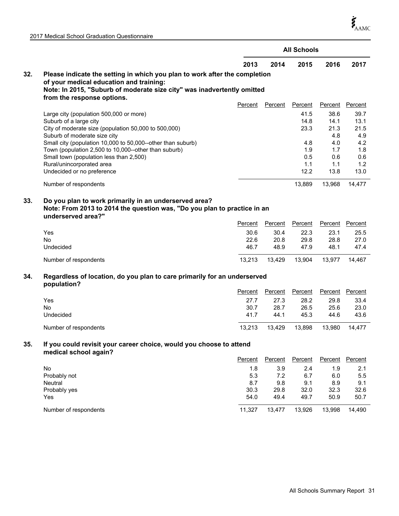$\boldsymbol{\dot{\zeta}}_{\mathrm{AAMC}}$ 

|  |  |  | 2017 Medical School Graduation Questionnaire |
|--|--|--|----------------------------------------------|
|--|--|--|----------------------------------------------|

|     |                                                                                                                                                                                                                                                                                                                                                                                        |                                   |                                        | <b>All Schools</b>                                       |                                                                 |                                                                 |
|-----|----------------------------------------------------------------------------------------------------------------------------------------------------------------------------------------------------------------------------------------------------------------------------------------------------------------------------------------------------------------------------------------|-----------------------------------|----------------------------------------|----------------------------------------------------------|-----------------------------------------------------------------|-----------------------------------------------------------------|
|     |                                                                                                                                                                                                                                                                                                                                                                                        | 2013                              | 2014                                   | 2015                                                     | 2016                                                            | 2017                                                            |
| 32. | Please indicate the setting in which you plan to work after the completion<br>of your medical education and training:<br>Note: In 2015, "Suburb of moderate size city" was inadvertently omitted                                                                                                                                                                                       |                                   |                                        |                                                          |                                                                 |                                                                 |
|     | from the response options.                                                                                                                                                                                                                                                                                                                                                             | Percent                           | Percent                                | Percent                                                  | <b>Percent</b>                                                  | Percent                                                         |
|     | Large city (population 500,000 or more)<br>Suburb of a large city<br>City of moderate size (population 50,000 to 500,000)<br>Suburb of moderate size city<br>Small city (population 10,000 to 50,000--other than suburb)<br>Town (population 2,500 to 10,000--other than suburb)<br>Small town (population less than 2,500)<br>Rural/unincorporated area<br>Undecided or no preference |                                   |                                        | 41.5<br>14.8<br>23.3<br>4.8<br>1.9<br>0.5<br>1.1<br>12.2 | 38.6<br>14.1<br>21.3<br>4.8<br>4.0<br>1.7<br>0.6<br>1.1<br>13.8 | 39.7<br>13.1<br>21.5<br>4.9<br>4.2<br>1.8<br>0.6<br>1.2<br>13.0 |
|     | Number of respondents                                                                                                                                                                                                                                                                                                                                                                  |                                   |                                        | 13,889                                                   | 13,968                                                          | 14,477                                                          |
| 33. | Do you plan to work primarily in an underserved area?<br>Note: From 2013 to 2014 the question was, "Do you plan to practice in an<br>underserved area?"<br>Yes<br><b>No</b><br>Undecided                                                                                                                                                                                               | Percent<br>30.6<br>22.6<br>46.7   | <b>Percent</b><br>30.4<br>20.8<br>48.9 | Percent<br>22.3<br>29.8<br>47.9                          | <b>Percent</b><br>23.1<br>28.8<br>48.1                          | <b>Percent</b><br>25.5<br>27.0<br>47.4                          |
|     | Number of respondents                                                                                                                                                                                                                                                                                                                                                                  | 13,213                            | 13,429                                 | 13,904                                                   | 13,977                                                          | 14,467                                                          |
| 34. | Regardless of location, do you plan to care primarily for an underserved<br>population?<br>Yes<br><b>No</b><br>Undecided                                                                                                                                                                                                                                                               | Percent<br>27.7<br>30.7<br>41.7   | Percent<br>27.3<br>28.7<br>44.1        | Percent<br>28.2<br>26.5<br>45.3                          | Percent<br>29.8<br>25.6<br>44.6                                 | Percent<br>33.4<br>23.0<br>43.6                                 |
|     | Number of respondents                                                                                                                                                                                                                                                                                                                                                                  | 13,213                            | 13,429                                 | 13,898                                                   | 13,980                                                          | 14,477                                                          |
| 35. | If you could revisit your career choice, would you choose to attend<br>medical school again?                                                                                                                                                                                                                                                                                           |                                   |                                        |                                                          |                                                                 |                                                                 |
|     |                                                                                                                                                                                                                                                                                                                                                                                        | Percent                           | Percent                                | Percent                                                  | Percent                                                         | Percent                                                         |
|     | No<br>Probably not<br>Neutral<br>Probably yes<br>Yes                                                                                                                                                                                                                                                                                                                                   | 1.8<br>5.3<br>8.7<br>30.3<br>54.0 | 3.9<br>7.2<br>9.8<br>29.8<br>49.4      | 2.4<br>6.7<br>9.1<br>32.0<br>49.7                        | 1.9<br>6.0<br>8.9<br>32.3<br>50.9                               | 2.1<br>$5.5\,$<br>9.1<br>32.6<br>50.7                           |
|     | Number of respondents                                                                                                                                                                                                                                                                                                                                                                  | 11,327                            | 13,477                                 | 13,926                                                   | 13,998                                                          | 14,490                                                          |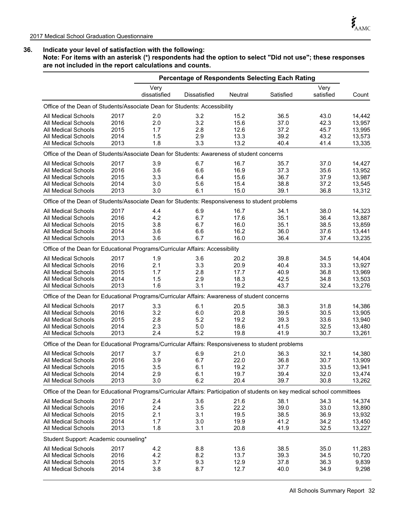**Note: For items with an asterisk (\*) respondents had the option to select "Did not use"; these responses are not included in the report calculations and counts.**

|                                                                                                                            |      |                      | <b>Percentage of Respondents Selecting Each Rating</b> |         |           |                   |        |
|----------------------------------------------------------------------------------------------------------------------------|------|----------------------|--------------------------------------------------------|---------|-----------|-------------------|--------|
|                                                                                                                            |      | Very<br>dissatisfied | Dissatisfied                                           | Neutral | Satisfied | Very<br>satisfied | Count  |
| Office of the Dean of Students/Associate Dean for Students: Accessibility                                                  |      |                      |                                                        |         |           |                   |        |
| All Medical Schools                                                                                                        | 2017 | 2.0                  | 3.2                                                    | 15.2    | 36.5      | 43.0              | 14.442 |
| <b>All Medical Schools</b>                                                                                                 | 2016 | 2.0                  | 3.2                                                    | 15.6    | 37.0      | 42.3              | 13,957 |
| <b>All Medical Schools</b>                                                                                                 | 2015 | 1.7                  | 2.8                                                    | 12.6    | 37.2      | 45.7              | 13,995 |
| <b>All Medical Schools</b>                                                                                                 | 2014 | 1.5                  | 2.9                                                    | 13.3    | 39.2      | 43.2              | 13,573 |
| All Medical Schools                                                                                                        | 2013 | 1.8                  | 3.3                                                    | 13.2    | 40.4      | 41.4              | 13,335 |
| Office of the Dean of Students/Associate Dean for Students: Awareness of student concerns                                  |      |                      |                                                        |         |           |                   |        |
| <b>All Medical Schools</b>                                                                                                 | 2017 | 3.9                  | 6.7                                                    | 16.7    | 35.7      | 37.0              | 14,427 |
| <b>All Medical Schools</b>                                                                                                 | 2016 | 3.6                  | 6.6                                                    | 16.9    | 37.3      | 35.6              | 13,952 |
| <b>All Medical Schools</b>                                                                                                 | 2015 | 3.3                  | 6.4                                                    | 15.6    | 36.7      | 37.9              | 13,987 |
| <b>All Medical Schools</b>                                                                                                 | 2014 | 3.0                  | 5.6                                                    | 15.4    | 38.8      | 37.2              | 13,545 |
| All Medical Schools                                                                                                        | 2013 | 3.0                  | 6.1                                                    | 15.0    | 39.1      | 36.8              | 13,312 |
| Office of the Dean of Students/Associate Dean for Students: Responsiveness to student problems                             |      |                      |                                                        |         |           |                   |        |
| All Medical Schools                                                                                                        | 2017 | 4.4                  | 6.9                                                    | 16.7    | 34.1      | 38.0              | 14,323 |
| <b>All Medical Schools</b>                                                                                                 | 2016 | 4.2                  | 6.7                                                    | 17.6    | 35.1      | 36.4              | 13.887 |
| <b>All Medical Schools</b>                                                                                                 | 2015 | 3.8                  | 6.7                                                    | 16.0    | 35.1      | 38.5              | 13,859 |
| <b>All Medical Schools</b>                                                                                                 | 2014 | 3.6                  | 6.6                                                    | 16.2    | 36.0      | 37.6              | 13,441 |
| <b>All Medical Schools</b>                                                                                                 | 2013 | 3.6                  | 6.7                                                    | 16.0    | 36.4      | 37.4              | 13,235 |
| Office of the Dean for Educational Programs/Curricular Affairs: Accessibility                                              |      |                      |                                                        |         |           |                   |        |
| <b>All Medical Schools</b>                                                                                                 | 2017 | 1.9                  | 3.6                                                    | 20.2    | 39.8      | 34.5              | 14,404 |
| <b>All Medical Schools</b>                                                                                                 | 2016 | 2.1                  | 3.3                                                    | 20.9    | 40.4      | 33.3              | 13,927 |
| <b>All Medical Schools</b>                                                                                                 | 2015 | 1.7                  | 2.8                                                    | 17.7    | 40.9      | 36.8              | 13,969 |
| All Medical Schools                                                                                                        | 2014 | 1.5                  | 2.9                                                    | 18.3    | 42.5      | 34.8              | 13,503 |
| All Medical Schools                                                                                                        | 2013 | 1.6                  | 3.1                                                    | 19.2    | 43.7      | 32.4              | 13,276 |
| Office of the Dean for Educational Programs/Curricular Affairs: Awareness of student concerns                              |      |                      |                                                        |         |           |                   |        |
| <b>All Medical Schools</b>                                                                                                 | 2017 | 3.3                  | 6.1                                                    | 20.5    | 38.3      | 31.8              | 14,386 |
| <b>All Medical Schools</b>                                                                                                 | 2016 | 3.2                  | 6.0                                                    | 20.8    | 39.5      | 30.5              | 13,905 |
| <b>All Medical Schools</b>                                                                                                 | 2015 | 2.8                  | 5.2                                                    | 19.2    | 39.3      | 33.6              | 13,940 |
| <b>All Medical Schools</b>                                                                                                 | 2014 | 2.3                  | 5.0                                                    | 18.6    | 41.5      | 32.5              | 13,480 |
| <b>All Medical Schools</b>                                                                                                 | 2013 | 2.4                  | 5.2                                                    | 19.8    | 41.9      | 30.7              | 13,261 |
| Office of the Dean for Educational Programs/Curricular Affairs: Responsiveness to student problems                         |      |                      |                                                        |         |           |                   |        |
| All Medical Schools                                                                                                        | 2017 | 3.7                  | 6.9                                                    | 21.0    | 36.3      | 32.1              | 14,380 |
| <b>All Medical Schools</b>                                                                                                 | 2016 | 3.9                  | 6.7                                                    | 22.0    | 36.8      | 30.7              | 13,909 |
| All Medical Schools                                                                                                        | 2015 | 3.5                  | 6.1                                                    | 19.2    | 37.7      | 33.5              | 13,941 |
| <b>All Medical Schools</b>                                                                                                 | 2014 | 2.9                  | 6.1                                                    | 19.7    | 39.4      | 32.0              | 13,474 |
| <b>All Medical Schools</b>                                                                                                 | 2013 | 3.0                  | 6.2                                                    | 20.4    | 39.7      | 30.8              | 13,262 |
| Office of the Dean for Educational Programs/Curricular Affairs: Participation of students on key medical school committees |      |                      |                                                        |         |           |                   |        |
| All Medical Schools                                                                                                        | 2017 | 2.4                  | 3.6                                                    | 21.6    | 38.1      | 34.3              | 14,374 |
| All Medical Schools                                                                                                        | 2016 | 2.4                  | 3.5                                                    | 22.2    | 39.0      | 33.0              | 13,890 |
| <b>All Medical Schools</b>                                                                                                 | 2015 | 2.1                  | 3.1                                                    | 19.5    | 38.5      | 36.9              | 13,932 |
| <b>All Medical Schools</b>                                                                                                 | 2014 | 1.7                  | 3.0                                                    | 19.9    | 41.2      | 34.2              | 13,450 |
| <b>All Medical Schools</b>                                                                                                 | 2013 | 1.8                  | 3.1                                                    | 20.8    | 41.9      | 32.5              | 13,227 |
| Student Support: Academic counseling*                                                                                      |      |                      |                                                        |         |           |                   |        |
| <b>All Medical Schools</b>                                                                                                 | 2017 | 4.2                  | 8.8                                                    | 13.6    | 38.5      | 35.0              | 11,283 |
| All Medical Schools                                                                                                        | 2016 | 4.2                  | 8.2                                                    | 13.7    | 39.3      | 34.5              | 10,720 |
| All Medical Schools                                                                                                        | 2015 | 3.7                  | 9.3                                                    | 12.9    | 37.8      | 36.3              | 9,839  |
| All Medical Schools                                                                                                        | 2014 | 3.8                  | 8.7                                                    | 12.7    | 40.0      | 34.9              | 9,298  |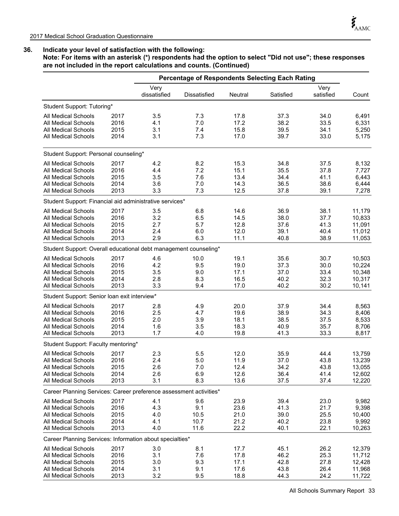**Note: For items with an asterisk (\*) respondents had the option to select "Did not use"; these responses are not included in the report calculations and counts. (Continued)**

|                                                                                                                                                    |                                      |                                 | <b>Percentage of Respondents Selecting Each Rating</b> |                                      |                                      |                                      |                                                |
|----------------------------------------------------------------------------------------------------------------------------------------------------|--------------------------------------|---------------------------------|--------------------------------------------------------|--------------------------------------|--------------------------------------|--------------------------------------|------------------------------------------------|
|                                                                                                                                                    |                                      | Very<br>dissatisfied            | Dissatisfied                                           | Neutral                              | Satisfied                            | Very<br>satisfied                    | Count                                          |
| Student Support: Tutoring*                                                                                                                         |                                      |                                 |                                                        |                                      |                                      |                                      |                                                |
| <b>All Medical Schools</b><br><b>All Medical Schools</b><br><b>All Medical Schools</b><br><b>All Medical Schools</b>                               | 2017<br>2016<br>2015<br>2014         | 3.5<br>4.1<br>3.1<br>3.1        | 7.3<br>7.0<br>7.4<br>7.3                               | 17.8<br>17.2<br>15.8<br>17.0         | 37.3<br>38.2<br>39.5<br>39.7         | 34.0<br>33.5<br>34.1<br>33.0         | 6,491<br>6,331<br>5,250<br>5,175               |
| Student Support: Personal counseling*                                                                                                              |                                      |                                 |                                                        |                                      |                                      |                                      |                                                |
| All Medical Schools<br><b>All Medical Schools</b><br>All Medical Schools<br><b>All Medical Schools</b><br><b>All Medical Schools</b>               | 2017<br>2016<br>2015<br>2014<br>2013 | 4.2<br>4.4<br>3.5<br>3.6<br>3.3 | 8.2<br>7.2<br>7.6<br>7.0<br>7.3                        | 15.3<br>15.1<br>13.4<br>14.3<br>12.5 | 34.8<br>35.5<br>34.4<br>36.5<br>37.8 | 37.5<br>37.8<br>41.1<br>38.6<br>39.1 | 8,132<br>7,727<br>6,443<br>6,444<br>7,278      |
| Student Support: Financial aid administrative services*                                                                                            |                                      |                                 |                                                        |                                      |                                      |                                      |                                                |
| <b>All Medical Schools</b><br>All Medical Schools<br><b>All Medical Schools</b><br>All Medical Schools<br>All Medical Schools                      | 2017<br>2016<br>2015<br>2014<br>2013 | 3.5<br>3.2<br>2.7<br>2.4<br>2.9 | 6.8<br>6.5<br>5.7<br>6.0<br>6.3                        | 14.6<br>14.5<br>12.8<br>12.0<br>11.1 | 36.9<br>38.0<br>37.6<br>39.1<br>40.8 | 38.1<br>37.7<br>41.3<br>40.4<br>38.9 | 11,179<br>10,833<br>11,091<br>11,012<br>11,053 |
| Student Support: Overall educational debt management counseling*                                                                                   |                                      |                                 |                                                        |                                      |                                      |                                      |                                                |
| All Medical Schools<br><b>All Medical Schools</b><br><b>All Medical Schools</b><br><b>All Medical Schools</b><br><b>All Medical Schools</b>        | 2017<br>2016<br>2015<br>2014<br>2013 | 4.6<br>4.2<br>3.5<br>2.8<br>3.3 | 10.0<br>9.5<br>9.0<br>8.3<br>9.4                       | 19.1<br>19.0<br>17.1<br>16.5<br>17.0 | 35.6<br>37.3<br>37.0<br>40.2<br>40.2 | 30.7<br>30.0<br>33.4<br>32.3<br>30.2 | 10,503<br>10,224<br>10,348<br>10,317<br>10,141 |
| Student Support: Senior Ioan exit interview*                                                                                                       |                                      |                                 |                                                        |                                      |                                      |                                      |                                                |
| <b>All Medical Schools</b><br><b>All Medical Schools</b><br><b>All Medical Schools</b><br><b>All Medical Schools</b><br><b>All Medical Schools</b> | 2017<br>2016<br>2015<br>2014<br>2013 | 2.8<br>2.5<br>2.0<br>1.6<br>1.7 | 4.9<br>4.7<br>3.9<br>3.5<br>4.0                        | 20.0<br>19.6<br>18.1<br>18.3<br>19.8 | 37.9<br>38.9<br>38.5<br>40.9<br>41.3 | 34.4<br>34.3<br>37.5<br>35.7<br>33.3 | 8,563<br>8,406<br>8,533<br>8,706<br>8,817      |
| Student Support: Faculty mentoring*                                                                                                                |                                      |                                 |                                                        |                                      |                                      |                                      |                                                |
| All Medical Schools<br><b>All Medical Schools</b><br>All Medical Schools<br><b>All Medical Schools</b><br><b>All Medical Schools</b>               | 2017<br>2016<br>2015<br>2014<br>2013 | 2.3<br>2.4<br>2.6<br>2.6<br>3.1 | 5.5<br>5.0<br>7.0<br>6.9<br>8.3                        | 12.0<br>11.9<br>12.4<br>12.6<br>13.6 | 35.9<br>37.0<br>34.2<br>36.4<br>37.5 | 44.4<br>43.8<br>43.8<br>41.4<br>37.4 | 13,759<br>13,239<br>13,055<br>12,602<br>12,220 |
| Career Planning Services: Career preference assessment activities*                                                                                 |                                      |                                 |                                                        |                                      |                                      |                                      |                                                |
| All Medical Schools<br>All Medical Schools<br>All Medical Schools<br>All Medical Schools<br>All Medical Schools                                    | 2017<br>2016<br>2015<br>2014<br>2013 | 4.1<br>4.3<br>4.0<br>4.1<br>4.0 | 9.6<br>9.1<br>10.5<br>10.7<br>11.6                     | 23.9<br>23.6<br>21.0<br>21.2<br>22.2 | 39.4<br>41.3<br>39.0<br>40.2<br>40.1 | 23.0<br>21.7<br>25.5<br>23.8<br>22.1 | 9,982<br>9,398<br>10,400<br>9,992<br>10,263    |
| Career Planning Services: Information about specialties*                                                                                           |                                      |                                 |                                                        |                                      |                                      |                                      |                                                |
| <b>All Medical Schools</b><br>All Medical Schools<br><b>All Medical Schools</b><br>All Medical Schools<br>All Medical Schools                      | 2017<br>2016<br>2015<br>2014<br>2013 | 3.0<br>3.1<br>3.0<br>3.1<br>3.2 | 8.1<br>7.6<br>9.3<br>9.1<br>9.5                        | 17.7<br>17.8<br>17.1<br>17.6<br>18.8 | 45.1<br>46.2<br>42.8<br>43.8<br>44.3 | 26.2<br>25.3<br>27.8<br>26.4<br>24.2 | 12,379<br>11,712<br>12,428<br>11,968<br>11,722 |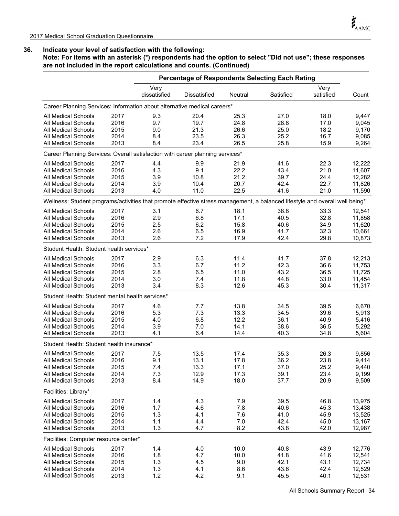**Note: For items with an asterisk (\*) respondents had the option to select "Did not use"; these responses are not included in the report calculations and counts. (Continued)**

|                                                                                                                              |      |                      | <b>Percentage of Respondents Selecting Each Rating</b> |         |           |                   |        |
|------------------------------------------------------------------------------------------------------------------------------|------|----------------------|--------------------------------------------------------|---------|-----------|-------------------|--------|
|                                                                                                                              |      | Very<br>dissatisfied | <b>Dissatisfied</b>                                    | Neutral | Satisfied | Very<br>satisfied | Count  |
| Career Planning Services: Information about alternative medical careers*                                                     |      |                      |                                                        |         |           |                   |        |
| All Medical Schools                                                                                                          | 2017 | 9.3                  | 20.4                                                   | 25.3    | 27.0      | 18.0              | 9,447  |
| All Medical Schools                                                                                                          | 2016 | 9.7                  | 19.7                                                   | 24.8    | 28.8      | 17.0              | 9,045  |
| <b>All Medical Schools</b>                                                                                                   | 2015 | 9.0                  | 21.3                                                   | 26.6    | 25.0      | 18.2              | 9,170  |
| All Medical Schools                                                                                                          | 2014 | 8.4                  | 23.5                                                   | 26.3    | 25.2      | 16.7              | 9,085  |
| All Medical Schools                                                                                                          | 2013 | 8.4                  | 23.4                                                   | 26.5    | 25.8      | 15.9              | 9,264  |
| Career Planning Services: Overall satisfaction with career planning services*                                                |      |                      |                                                        |         |           |                   |        |
| All Medical Schools                                                                                                          | 2017 | 4.4                  | 9.9                                                    | 21.9    | 41.6      | 22.3              | 12,222 |
| <b>All Medical Schools</b>                                                                                                   | 2016 | 4.3                  | 9.1                                                    | 22.2    | 43.4      | 21.0              | 11,607 |
| All Medical Schools                                                                                                          | 2015 | 3.9                  | 10.8                                                   | 21.2    | 39.7      | 24.4              | 12,282 |
| <b>All Medical Schools</b>                                                                                                   | 2014 | 3.9                  | 10.4                                                   | 20.7    | 42.4      | 22.7              | 11,826 |
| <b>All Medical Schools</b>                                                                                                   | 2013 | 4.0                  | 11.0                                                   | 22.5    | 41.6      | 21.0              | 11,590 |
| Wellness: Student programs/activities that promote effective stress management, a balanced lifestyle and overall well being* |      |                      |                                                        |         |           |                   |        |
| All Medical Schools                                                                                                          | 2017 | 3.1                  | 6.7                                                    | 18.1    | 38.8      | 33.3              | 12,541 |
| <b>All Medical Schools</b>                                                                                                   | 2016 | 2.9                  | 6.8                                                    | 17.1    | 40.5      | 32.8              | 11,858 |
| All Medical Schools                                                                                                          | 2015 | 2.5                  | 6.2                                                    | 15.8    | 40.6      | 34.9              | 11,620 |
| <b>All Medical Schools</b>                                                                                                   | 2014 | 2.6                  | 6.5                                                    | 16.9    | 41.7      | 32.3              | 10,661 |
| <b>All Medical Schools</b>                                                                                                   | 2013 | 2.6                  | 7.2                                                    | 17.9    | 42.4      | 29.8              | 10,873 |
| Student Health: Student health services*                                                                                     |      |                      |                                                        |         |           |                   |        |
| All Medical Schools                                                                                                          | 2017 | 2.9                  | 6.3                                                    | 11.4    | 41.7      | 37.8              | 12,213 |
| <b>All Medical Schools</b>                                                                                                   | 2016 | 3.3                  | 6.7                                                    | 11.2    | 42.3      | 36.6              | 11,753 |
| <b>All Medical Schools</b>                                                                                                   | 2015 | 2.8                  | 6.5                                                    | 11.0    | 43.2      | 36.5              | 11,725 |
| <b>All Medical Schools</b>                                                                                                   | 2014 | 3.0                  | 7.4                                                    | 11.8    | 44.8      | 33.0              | 11,454 |
| All Medical Schools                                                                                                          | 2013 | 3.4                  | 8.3                                                    | 12.6    | 45.3      | 30.4              | 11,317 |
| Student Health: Student mental health services*                                                                              |      |                      |                                                        |         |           |                   |        |
| All Medical Schools                                                                                                          | 2017 | 4.6                  | 7.7                                                    | 13.8    | 34.5      | 39.5              | 6,670  |
| <b>All Medical Schools</b>                                                                                                   | 2016 | 5.3                  | 7.3                                                    | 13.3    | 34.5      | 39.6              | 5,913  |
| <b>All Medical Schools</b>                                                                                                   | 2015 | 4.0                  | 6.8                                                    | 12.2    | 36.1      | 40.9              | 5,416  |
| <b>All Medical Schools</b>                                                                                                   | 2014 | 3.9                  | 7.0                                                    | 14.1    | 38.6      | 36.5              | 5,292  |
| <b>All Medical Schools</b>                                                                                                   | 2013 | 4.1                  | 6.4                                                    | 14.4    | 40.3      | 34.8              | 5,604  |
| Student Health: Student health insurance*                                                                                    |      |                      |                                                        |         |           |                   |        |
| <b>All Medical Schools</b>                                                                                                   | 2017 | 7.5                  | 13.5                                                   | 17.4    | 35.3      | 26.3              | 9,856  |
| <b>All Medical Schools</b>                                                                                                   | 2016 | 9.1                  | 13.1                                                   | 17.8    | 36.2      | 23.8              | 9,414  |
| All Medical Schools                                                                                                          | 2015 | 7.4                  | 13.3                                                   | 17.1    | 37.0      | 25.2              | 9,440  |
| All Medical Schools                                                                                                          | 2014 | 7.3                  | 12.9                                                   | 17.3    | 39.1      | 23.4              | 9,199  |
| All Medical Schools                                                                                                          | 2013 | 8.4                  | 14.9                                                   | 18.0    | 37.7      | 20.9              | 9,509  |
| Facilities: Library*                                                                                                         |      |                      |                                                        |         |           |                   |        |
| All Medical Schools                                                                                                          | 2017 | 1.4                  | 4.3                                                    | 7.9     | 39.5      | 46.8              | 13,975 |
| All Medical Schools                                                                                                          | 2016 | 1.7                  | 4.6                                                    | 7.8     | 40.6      | 45.3              | 13,438 |
| All Medical Schools                                                                                                          | 2015 | 1.3                  | 4.1                                                    | 7.6     | 41.0      | 45.9              | 13,525 |
| All Medical Schools                                                                                                          | 2014 | 1.1                  | 4.4                                                    | 7.0     | 42.4      | 45.0              | 13,167 |
| All Medical Schools                                                                                                          | 2013 | 1.3                  | 4.7                                                    | 8.2     | 43.8      | 42.0              | 12,987 |
| Facilities: Computer resource center*                                                                                        |      |                      |                                                        |         |           |                   |        |
| All Medical Schools                                                                                                          | 2017 | 1.4                  | 4.0                                                    | 10.0    | 40.8      | 43.9              | 12,776 |
| All Medical Schools                                                                                                          | 2016 | 1.8                  | 4.7                                                    | 10.0    | 41.8      | 41.6              | 12,541 |
| All Medical Schools                                                                                                          | 2015 | 1.3                  | 4.5                                                    | 9.0     | 42.1      | 43.1              | 12,734 |
| All Medical Schools                                                                                                          | 2014 | 1.3                  | 4.1                                                    | 8.6     | 43.6      | 42.4              | 12,529 |
| All Medical Schools                                                                                                          | 2013 | 1.2                  | 4.2                                                    | 9.1     | 45.5      | 40.1              | 12,531 |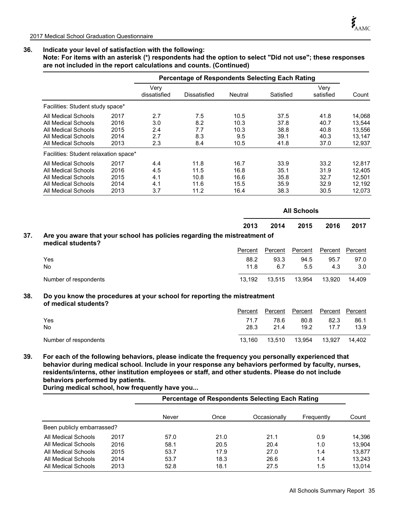**Note: For items with an asterisk (\*) respondents had the option to select "Did not use"; these responses are not included in the report calculations and counts. (Continued)**

|                                       |      |                      | <b>Percentage of Respondents Selecting Each Rating</b> |         |           |                   |        |
|---------------------------------------|------|----------------------|--------------------------------------------------------|---------|-----------|-------------------|--------|
|                                       |      | Very<br>dissatisfied | Dissatisfied                                           | Neutral | Satisfied | Very<br>satisfied | Count  |
| Facilities: Student study space*      |      |                      |                                                        |         |           |                   |        |
| All Medical Schools                   | 2017 | 2.7                  | 7.5                                                    | 10.5    | 37.5      | 41.8              | 14,068 |
| All Medical Schools                   | 2016 | 3.0                  | 8.2                                                    | 10.3    | 37.8      | 40.7              | 13,544 |
| All Medical Schools                   | 2015 | 2.4                  | 7.7                                                    | 10.3    | 38.8      | 40.8              | 13,556 |
| All Medical Schools                   | 2014 | 2.7                  | 8.3                                                    | 9.5     | 39.1      | 40.3              | 13,147 |
| All Medical Schools                   | 2013 | 2.3                  | 8.4                                                    | 10.5    | 41.8      | 37.0              | 12,937 |
| Facilities: Student relaxation space* |      |                      |                                                        |         |           |                   |        |
| All Medical Schools                   | 2017 | 4.4                  | 11.8                                                   | 16.7    | 33.9      | 33.2              | 12.817 |
| All Medical Schools                   | 2016 | 4.5                  | 11.5                                                   | 16.8    | 35.1      | 31.9              | 12.405 |
| All Medical Schools                   | 2015 | 4.1                  | 10.8                                                   | 16.6    | 35.8      | 32.7              | 12.501 |
| All Medical Schools                   | 2014 | 4.1                  | 11.6                                                   | 15.5    | 35.9      | 32.9              | 12,192 |
| All Medical Schools                   | 2013 | 3.7                  | 11.2                                                   | 16.4    | 38.3      | 30.5              | 12,073 |

|     |                                                                                                |         |         | <b>All Schools</b> |         |         |
|-----|------------------------------------------------------------------------------------------------|---------|---------|--------------------|---------|---------|
|     |                                                                                                | 2013    | 2014    | 2015               | 2016    | 2017    |
| 37. | Are you aware that your school has policies regarding the mistreatment of<br>medical students? |         |         |                    |         |         |
|     |                                                                                                | Percent | Percent | Percent            | Percent | Percent |
|     | Yes                                                                                            | 88.2    | 93.3    | 94.5               | 95.7    | 97.0    |
|     | <b>No</b>                                                                                      | 11.8    | 6.7     | 5.5                | 4.3     | 3.0     |
|     | Number of respondents                                                                          | 13.192  | 13.515  | 13.954             | 13.920  | 14.409  |

#### **Do you know the procedures at your school for reporting the mistreatment of medical students? 38.**

|                       | Percent | Percent |        | Percent Percent Percent |        |
|-----------------------|---------|---------|--------|-------------------------|--------|
| Yes                   | 71.7    | 78.6    | 80.8   | 82.3                    | 86.1   |
| No                    | 28.3    | 21.4    | 19.2   | 17.7                    | 13.9   |
| Number of respondents | 13.160  | 13.510  | 13.954 | 13.927                  | 14.402 |

**39. For each of the following behaviors, please indicate the frequency you personally experienced that behavior during medical school. Include in your response any behaviors performed by faculty, nurses, residents/interns, other institution employees or staff, and other students. Please do not include behaviors performed by patients.** 

**During medical school, how frequently have you...**

|                            |      |       |      | Percentage of Respondents Selecting Each Rating |            |        |
|----------------------------|------|-------|------|-------------------------------------------------|------------|--------|
|                            |      | Never | Once | Occasionally                                    | Frequently | Count  |
| Been publicly embarrassed? |      |       |      |                                                 |            |        |
| All Medical Schools        | 2017 | 57.0  | 21.0 | 21.1                                            | 0.9        | 14.396 |
| All Medical Schools        | 2016 | 58.1  | 20.5 | 20.4                                            | 1.0        | 13.904 |
| All Medical Schools        | 2015 | 53.7  | 17.9 | 27.0                                            | 1.4        | 13.877 |
| All Medical Schools        | 2014 | 53.7  | 18.3 | 26.6                                            | 1.4        | 13.243 |
| All Medical Schools        | 2013 | 52.8  | 18.1 | 27.5                                            | 1.5        | 13.014 |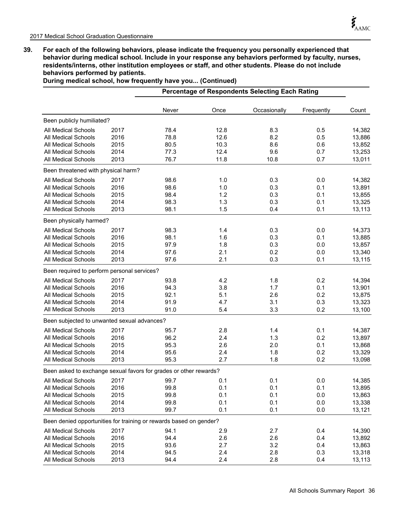**39. For each of the following behaviors, please indicate the frequency you personally experienced that behavior during medical school. Include in your response any behaviors performed by faculty, nurses, residents/interns, other institution employees or staff, and other students. Please do not include behaviors performed by patients.** 

**During medical school, how frequently have you... (Continued)**

|                                                                    |      |       |      | <b>Percentage of Respondents Selecting Each Rating</b> |            |        |
|--------------------------------------------------------------------|------|-------|------|--------------------------------------------------------|------------|--------|
|                                                                    |      | Never | Once | Occasionally                                           | Frequently | Count  |
| Been publicly humiliated?                                          |      |       |      |                                                        |            |        |
| All Medical Schools                                                | 2017 | 78.4  | 12.8 | 8.3                                                    | 0.5        | 14,382 |
| <b>All Medical Schools</b>                                         | 2016 | 78.8  | 12.6 | 8.2                                                    | 0.5        | 13,886 |
| All Medical Schools                                                | 2015 | 80.5  | 10.3 | 8.6                                                    | 0.6        | 13,852 |
| <b>All Medical Schools</b>                                         | 2014 | 77.3  | 12.4 | 9.6                                                    | 0.7        | 13,253 |
| All Medical Schools                                                | 2013 | 76.7  | 11.8 | 10.8                                                   | 0.7        | 13,011 |
| Been threatened with physical harm?                                |      |       |      |                                                        |            |        |
| All Medical Schools                                                | 2017 | 98.6  | 1.0  | 0.3                                                    | 0.0        | 14,382 |
| <b>All Medical Schools</b>                                         | 2016 | 98.6  | 1.0  | 0.3                                                    | 0.1        | 13,891 |
| <b>All Medical Schools</b>                                         | 2015 | 98.4  | 1.2  | 0.3                                                    | 0.1        | 13,855 |
| All Medical Schools                                                | 2014 | 98.3  | 1.3  | 0.3                                                    | 0.1        | 13,325 |
| All Medical Schools                                                | 2013 | 98.1  | 1.5  | 0.4                                                    | 0.1        | 13,113 |
| Been physically harmed?                                            |      |       |      |                                                        |            |        |
| <b>All Medical Schools</b>                                         | 2017 | 98.3  | 1.4  | 0.3                                                    | 0.0        | 14,373 |
| <b>All Medical Schools</b>                                         | 2016 | 98.1  | 1.6  | 0.3                                                    | 0.1        | 13,885 |
| <b>All Medical Schools</b>                                         | 2015 | 97.9  | 1.8  | 0.3                                                    | 0.0        | 13,857 |
| All Medical Schools                                                | 2014 | 97.6  | 2.1  | 0.2                                                    | 0.0        | 13,340 |
| All Medical Schools                                                | 2013 | 97.6  | 2.1  | 0.3                                                    | 0.1        | 13,115 |
| Been required to perform personal services?                        |      |       |      |                                                        |            |        |
| <b>All Medical Schools</b>                                         | 2017 | 93.8  | 4.2  | 1.8                                                    | 0.2        | 14,394 |
| All Medical Schools                                                | 2016 | 94.3  | 3.8  | 1.7                                                    | 0.1        | 13,901 |
| All Medical Schools                                                | 2015 | 92.1  | 5.1  | 2.6                                                    | 0.2        | 13,875 |
| All Medical Schools                                                | 2014 | 91.9  | 4.7  | 3.1                                                    | 0.3        | 13,323 |
| All Medical Schools                                                | 2013 | 91.0  | 5.4  | 3.3                                                    | 0.2        | 13,100 |
| Been subjected to unwanted sexual advances?                        |      |       |      |                                                        |            |        |
| All Medical Schools                                                | 2017 | 95.7  | 2.8  | 1.4                                                    | 0.1        | 14,387 |
| <b>All Medical Schools</b>                                         | 2016 | 96.2  | 2.4  | 1.3                                                    | 0.2        | 13,897 |
| <b>All Medical Schools</b>                                         | 2015 | 95.3  | 2.6  | 2.0                                                    | 0.1        | 13,868 |
| <b>All Medical Schools</b>                                         | 2014 | 95.6  | 2.4  | 1.8                                                    | 0.2        | 13,329 |
| All Medical Schools                                                | 2013 | 95.3  | 2.7  | 1.8                                                    | 0.2        | 13,098 |
| Been asked to exchange sexual favors for grades or other rewards?  |      |       |      |                                                        |            |        |
| All Medical Schools                                                | 2017 | 99.7  | 0.1  | 0.1                                                    | 0.0        | 14,385 |
| All Medical Schools                                                | 2016 | 99.8  | 0.1  | 0.1                                                    | 0.1        | 13,895 |
| All Medical Schools                                                | 2015 | 99.8  | 0.1  | 0.1                                                    | 0.0        | 13,863 |
| All Medical Schools                                                | 2014 | 99.8  | 0.1  | 0.1                                                    | 0.0        | 13,338 |
| All Medical Schools                                                | 2013 | 99.7  | 0.1  | 0.1                                                    | 0.0        | 13,121 |
| Been denied opportunities for training or rewards based on gender? |      |       |      |                                                        |            |        |
| All Medical Schools                                                | 2017 | 94.1  | 2.9  | 2.7                                                    | 0.4        | 14,390 |
| All Medical Schools                                                | 2016 | 94.4  | 2.6  | 2.6                                                    | 0.4        | 13,892 |
| All Medical Schools                                                | 2015 | 93.6  | 2.7  | 3.2                                                    | 0.4        | 13,863 |
| All Medical Schools                                                | 2014 | 94.5  | 2.4  | 2.8                                                    | 0.3        | 13,318 |
| All Medical Schools                                                | 2013 | 94.4  | 2.4  | 2.8                                                    | 0.4        | 13,113 |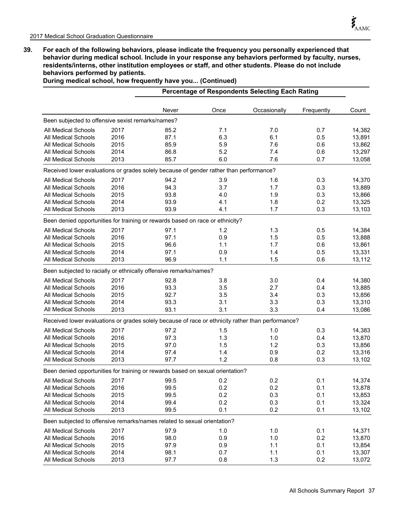**39. For each of the following behaviors, please indicate the frequency you personally experienced that behavior during medical school. Include in your response any behaviors performed by faculty, nurses, residents/interns, other institution employees or staff, and other students. Please do not include behaviors performed by patients.** 

|                                                                                                   |      |       |      | <b>Percentage of Respondents Selecting Each Rating</b> |            |        |
|---------------------------------------------------------------------------------------------------|------|-------|------|--------------------------------------------------------|------------|--------|
|                                                                                                   |      | Never | Once | Occasionally                                           | Frequently | Count  |
| Been subjected to offensive sexist remarks/names?                                                 |      |       |      |                                                        |            |        |
| <b>All Medical Schools</b>                                                                        | 2017 | 85.2  | 7.1  | 7.0                                                    | 0.7        | 14,382 |
| <b>All Medical Schools</b>                                                                        | 2016 | 87.1  | 6.3  | 6.1                                                    | 0.5        | 13,891 |
| <b>All Medical Schools</b>                                                                        | 2015 | 85.9  | 5.9  | 7.6                                                    | 0.6        | 13,862 |
| <b>All Medical Schools</b>                                                                        | 2014 | 86.8  | 5.2  | 7.4                                                    | 0.6        | 13,297 |
| All Medical Schools                                                                               | 2013 | 85.7  | 6.0  | 7.6                                                    | 0.7        | 13,058 |
| Received lower evaluations or grades solely because of gender rather than performance?            |      |       |      |                                                        |            |        |
| <b>All Medical Schools</b>                                                                        | 2017 | 94.2  | 3.9  | 1.6                                                    | 0.3        | 14,370 |
| <b>All Medical Schools</b>                                                                        | 2016 | 94.3  | 3.7  | 1.7                                                    | 0.3        | 13,889 |
| <b>All Medical Schools</b>                                                                        | 2015 | 93.8  | 4.0  | 1.9                                                    | 0.3        | 13,866 |
| <b>All Medical Schools</b>                                                                        | 2014 | 93.9  | 4.1  | 1.8                                                    | 0.2        | 13,325 |
| <b>All Medical Schools</b>                                                                        | 2013 | 93.9  | 4.1  | 1.7                                                    | 0.3        | 13,103 |
| Been denied opportunities for training or rewards based on race or ethnicity?                     |      |       |      |                                                        |            |        |
| All Medical Schools                                                                               | 2017 | 97.1  | 1.2  | 1.3                                                    | 0.5        | 14,384 |
| <b>All Medical Schools</b>                                                                        | 2016 | 97.1  | 0.9  | 1.5                                                    | 0.5        | 13,888 |
| All Medical Schools                                                                               | 2015 | 96.6  | 1.1  | 1.7                                                    | 0.6        | 13,861 |
| <b>All Medical Schools</b>                                                                        | 2014 | 97.1  | 0.9  | 1.4                                                    | 0.5        | 13,331 |
| <b>All Medical Schools</b>                                                                        | 2013 | 96.9  | 1.1  | 1.5                                                    | 0.6        | 13,112 |
| Been subjected to racially or ethnically offensive remarks/names?                                 |      |       |      |                                                        |            |        |
| All Medical Schools                                                                               | 2017 | 92.8  | 3.8  | 3.0                                                    | 0.4        | 14,380 |
| <b>All Medical Schools</b>                                                                        | 2016 | 93.3  | 3.5  | 2.7                                                    | 0.4        | 13,885 |
| <b>All Medical Schools</b>                                                                        | 2015 | 92.7  | 3.5  | 3.4                                                    | 0.3        | 13,856 |
| All Medical Schools                                                                               | 2014 | 93.3  | 3.1  | 3.3                                                    | 0.3        | 13,310 |
| All Medical Schools                                                                               | 2013 | 93.1  | 3.1  | 3.3                                                    | 0.4        | 13,086 |
| Received lower evaluations or grades solely because of race or ethnicity rather than performance? |      |       |      |                                                        |            |        |
| All Medical Schools                                                                               | 2017 | 97.2  | 1.5  | 1.0                                                    | 0.3        | 14,383 |
| <b>All Medical Schools</b>                                                                        | 2016 | 97.3  | 1.3  | 1.0                                                    | 0.4        | 13,870 |
| <b>All Medical Schools</b>                                                                        | 2015 | 97.0  | 1.5  | 1.2                                                    | 0.3        | 13,856 |
| <b>All Medical Schools</b>                                                                        | 2014 | 97.4  | 1.4  | 0.9                                                    | 0.2        | 13,316 |
| All Medical Schools                                                                               | 2013 | 97.7  | 1.2  | 0.8                                                    | 0.3        | 13,102 |
| Been denied opportunities for training or rewards based on sexual orientation?                    |      |       |      |                                                        |            |        |
| All Medical Schools                                                                               | 2017 | 99.5  | 0.2  | 0.2                                                    | 0.1        | 14,374 |
| All Medical Schools                                                                               | 2016 | 99.5  | 0.2  | 0.2                                                    | 0.1        | 13,878 |
| All Medical Schools                                                                               | 2015 | 99.5  | 0.2  | 0.3                                                    | 0.1        | 13,853 |
| <b>All Medical Schools</b>                                                                        | 2014 | 99.4  | 0.2  | 0.3                                                    | 0.1        | 13,324 |
| All Medical Schools                                                                               | 2013 | 99.5  | 0.1  | 0.2                                                    | 0.1        | 13,102 |
| Been subjected to offensive remarks/names related to sexual orientation?                          |      |       |      |                                                        |            |        |
| All Medical Schools                                                                               | 2017 | 97.9  | 1.0  | 1.0                                                    | 0.1        | 14,371 |
| All Medical Schools                                                                               | 2016 | 98.0  | 0.9  | 1.0                                                    | 0.2        | 13,870 |
| <b>All Medical Schools</b>                                                                        | 2015 | 97.9  | 0.9  | 1.1                                                    | 0.1        | 13,854 |
| All Medical Schools                                                                               | 2014 | 98.1  | 0.7  | 1.1                                                    | 0.1        | 13,307 |
| All Medical Schools                                                                               | 2013 | 97.7  | 0.8  | 1.3                                                    | 0.2        | 13,072 |

**During medical school, how frequently have you... (Continued)**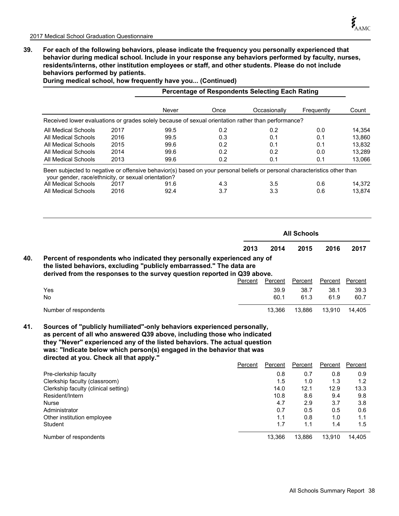**40.**

**39. For each of the following behaviors, please indicate the frequency you personally experienced that behavior during medical school. Include in your response any behaviors performed by faculty, nurses, residents/interns, other institution employees or staff, and other students. Please do not include behaviors performed by patients.** 

|                                                                                                    |      |              |            | <b>Percentage of Respondents Selecting Each Rating</b> |                    |                  |
|----------------------------------------------------------------------------------------------------|------|--------------|------------|--------------------------------------------------------|--------------------|------------------|
|                                                                                                    |      | Never        | Once       | Occasionally                                           | Frequently         | Count            |
| Received lower evaluations or grades solely because of sexual orientation rather than performance? |      |              |            |                                                        |                    |                  |
| All Medical Schools                                                                                | 2017 | 99.5         | 0.2        | 0.2                                                    | 0.0                | 14,354           |
| All Medical Schools                                                                                | 2016 | 99.5         | 0.3        | 0.1                                                    | 0.1                | 13,860           |
| All Medical Schools                                                                                | 2015 | 99.6         | 0.2        | 0.1                                                    | 0.1                | 13,832           |
| <b>All Medical Schools</b>                                                                         | 2014 | 99.6         | 0.2        | 0.2                                                    | 0.0                | 13,289           |
| All Medical Schools                                                                                | 2013 | 99.6         | 0.2        | 0.1                                                    | 0.1                | 13,066           |
| All Medical Schools                                                                                | 2017 | 91.6<br>92.4 | 4.3<br>3.7 | 3.5                                                    | 0.6                |                  |
| All Medical Schools                                                                                | 2016 |              |            | 3.3                                                    | 0.6                |                  |
|                                                                                                    |      |              |            |                                                        | <b>All Schools</b> | 14,372<br>13,874 |

**During medical school, how frequently have you... (Continued)**

**the listed behaviors, excluding "publicly embarrassed." The data are derived from the responses to the survey question reported in Q39 above.**

|                       |  |  | Percent | Percent | Percent | Percent Percent |        |
|-----------------------|--|--|---------|---------|---------|-----------------|--------|
| Yes                   |  |  |         | 39.9    | 38.7    | 38.1            | 39.3   |
| No.                   |  |  |         | 60.1    | 61.3    | 61.9            | 60.7   |
| Number of respondents |  |  |         | 13.366  | 13.886  | 13.910          | 14.405 |

**Sources of "publicly humiliated"-only behaviors experienced personally, as percent of all who answered Q39 above, including those who indicated they "Never" experienced any of the listed behaviors. The actual question was: "Indicate below which person(s) engaged in the behavior that was directed at you. Check all that apply." 41.**

|                                      | Percent | Percent | Percent | Percent | Percent |
|--------------------------------------|---------|---------|---------|---------|---------|
| Pre-clerkship faculty                |         | 0.8     | 0.7     | 0.8     | 0.9     |
| Clerkship faculty (classroom)        |         | 1.5     | 1.0     | 1.3     | 1.2     |
| Clerkship faculty (clinical setting) |         | 14.0    | 12.1    | 12.9    | 13.3    |
| Resident/Intern                      |         | 10.8    | 8.6     | 9.4     | 9.8     |
| Nurse                                |         | 4.7     | 2.9     | 3.7     | 3.8     |
| Administrator                        |         | 0.7     | 0.5     | 0.5     | 0.6     |
| Other institution employee           |         | 1.1     | 0.8     | 1.0     | 1.1     |
| Student                              |         | 1.7     | 1.1     | 1.4     | 1.5     |
| Number of respondents                |         | 13.366  | 13.886  | 13.910  | 14.405  |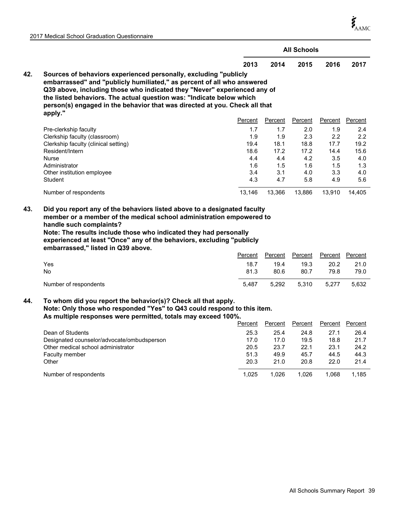$\boldsymbol{\xi}_{\text{AMC}}$ 

|     |                                                                                                                                                                                                                                                                                                                                                                                         | <b>All Schools</b> |                 |                 |                 |                 |  |  |
|-----|-----------------------------------------------------------------------------------------------------------------------------------------------------------------------------------------------------------------------------------------------------------------------------------------------------------------------------------------------------------------------------------------|--------------------|-----------------|-----------------|-----------------|-----------------|--|--|
|     |                                                                                                                                                                                                                                                                                                                                                                                         | 2013               | 2014            | 2015            | 2016            | 2017            |  |  |
| 42. | Sources of behaviors experienced personally, excluding "publicly<br>embarrassed" and "publicly humiliated," as percent of all who answered<br>Q39 above, including those who indicated they "Never" experienced any of<br>the listed behaviors. The actual question was: "Indicate below which<br>person(s) engaged in the behavior that was directed at you. Check all that<br>apply." |                    |                 |                 |                 |                 |  |  |
|     |                                                                                                                                                                                                                                                                                                                                                                                         | Percent            | Percent         | Percent         | Percent         | Percent         |  |  |
|     | Pre-clerkship faculty                                                                                                                                                                                                                                                                                                                                                                   | 1.7                | 1.7             | 2.0             | 1.9             | 2.4             |  |  |
|     | Clerkship faculty (classroom)                                                                                                                                                                                                                                                                                                                                                           | 1.9                | 1.9             | 2.3             | 2.2             | 2.2             |  |  |
|     | Clerkship faculty (clinical setting)                                                                                                                                                                                                                                                                                                                                                    | 19.4               | 18.1            | 18.8            | 17.7            | 19.2            |  |  |
|     | Resident/Intern                                                                                                                                                                                                                                                                                                                                                                         | 18.6               | 17.2            | 17.2            | 14.4            | 15.6            |  |  |
|     | <b>Nurse</b>                                                                                                                                                                                                                                                                                                                                                                            | 4.4                | 4.4             | 4.2             | 3.5             | 4.0             |  |  |
|     | Administrator                                                                                                                                                                                                                                                                                                                                                                           | 1.6                | 1.5             | 1.6             | 1.5             | 1.3             |  |  |
|     | Other institution employee                                                                                                                                                                                                                                                                                                                                                              | 3.4                | 3.1             | 4.0             | 3.3             | 4.0             |  |  |
|     | <b>Student</b>                                                                                                                                                                                                                                                                                                                                                                          | 4.3                | 4.7             | 5.8             | 4.9             | 5.6             |  |  |
|     | Number of respondents                                                                                                                                                                                                                                                                                                                                                                   | 13,146             | 13,366          | 13,886          | 13,910          | 14,405          |  |  |
| 43. | Did you report any of the behaviors listed above to a designated faculty<br>member or a member of the medical school administration empowered to<br>handle such complaints?<br>Note: The results include those who indicated they had personally<br>experienced at least "Once" any of the behaviors, excluding "publicly<br>embarrassed," listed in Q39 above.<br>Yes                  | Percent<br>18.7    | Percent<br>19.4 | Percent<br>19.3 | Percent<br>20.2 | Percent<br>21.0 |  |  |
|     | No                                                                                                                                                                                                                                                                                                                                                                                      | 81.3               | 80.6            | 80.7            | 79.8            | 79.0            |  |  |
|     | Number of respondents                                                                                                                                                                                                                                                                                                                                                                   | 5.487              | 5,292           | 5,310           | 5,277           | 5,632           |  |  |

**To whom did you report the behavior(s)? Check all that apply. Note: Only those who responded "Yes" to Q43 could respond to this item. As multiple responses were permitted, totals may exceed 100%. 44.**

|                                            | Percent | Percent | Percent | Percent | Percent |
|--------------------------------------------|---------|---------|---------|---------|---------|
| Dean of Students                           | 25.3    | 25.4    | 24.8    | 27.1    | 26.4    |
| Designated counselor/advocate/ombudsperson | 17.0    | 17.0    | 19.5    | 18.8    | 21.7    |
| Other medical school administrator         | 20.5    | 23.7    | 22.1    | 23.1    | 24.2    |
| <b>Faculty member</b>                      | 51.3    | 49.9    | 45.7    | 44.5    | 44.3    |
| Other                                      | 20.3    | 21.0    | 20.8    | 22.0    | 21.4    |
| Number of respondents                      | 1.025   | 1.026   | 1.026   | 1.068   | 1.185   |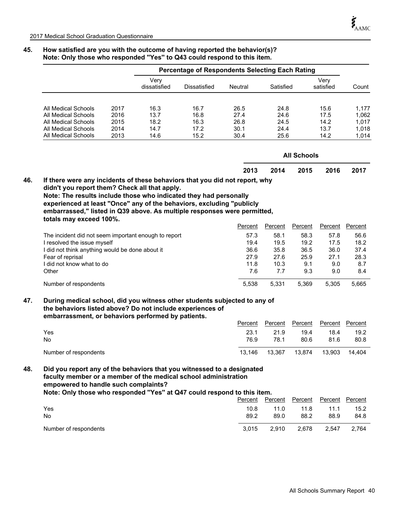**46.**

#### **45. How satisfied are you with the outcome of having reported the behavior(s)? Note: Only those who responded ''Yes'' to Q43 could respond to this item.**

|                     |      |                      | <b>Percentage of Respondents Selecting Each Rating</b> |         |           |                    |                   |       |
|---------------------|------|----------------------|--------------------------------------------------------|---------|-----------|--------------------|-------------------|-------|
|                     |      | Verv<br>dissatisfied | Dissatisfied                                           | Neutral | Satisfied |                    | Verv<br>satisfied | Count |
| All Medical Schools | 2017 | 16.3                 | 16.7                                                   | 26.5    | 24.8      |                    | 15.6              | 1,177 |
| All Medical Schools | 2016 | 13.7                 | 16.8                                                   | 27.4    | 24.6      |                    | 17.5              | 1,062 |
| All Medical Schools | 2015 | 18.2                 | 16.3                                                   | 26.8    | 24.5      |                    | 14.2              | 1,017 |
| All Medical Schools | 2014 | 14.7                 | 17.2                                                   | 30.1    | 24.4      |                    | 13.7              | 1,018 |
| All Medical Schools | 2013 | 14.6                 | 15.2                                                   | 30.4    | 25.6      |                    | 14.2              | 1,014 |
|                     |      |                      |                                                        |         |           | <b>All Schools</b> |                   |       |
|                     |      |                      |                                                        | 2013    | 2014      | 2015               | 2016              | 2017  |

**Note: The results include those who indicated they had personally experienced at least "Once" any of the behaviors, excluding "publicly embarrassed," listed in Q39 above. As multiple responses were permitted, totals may exceed 100%.**

|                                                      | Percent | Percent | Percent | Percent | Percent |
|------------------------------------------------------|---------|---------|---------|---------|---------|
| The incident did not seem important enough to report | 57.3    | 58.1    | 58.3    | 57.8    | 56.6    |
| I resolved the issue myself                          | 19.4    | 19.5    | 19.2    | 17.5    | 18.2    |
| did not think anything would be done about it        | 36.6    | 35.8    | 36.5    | 36.0    | 37.4    |
| Fear of reprisal                                     | 27.9    | 27.6    | 25.9    | 27.1    | 28.3    |
| did not know what to do                              | 11.8    | 10.3    | 9.1     | 9.0     | 8.7     |
| Other                                                | 7.6     | 7.7     | 9.3     | 9.0     | 8.4     |
| Number of respondents                                | 5,538   | 5.331   | 5.369   | 5.305   | 5.665   |

#### **During medical school, did you witness other students subjected to any of the behaviors listed above? Do not include experiences of embarrassment, or behaviors performed by patients. 47.**

|                       | Percent | Percent | Percent | Percent Percent |        |
|-----------------------|---------|---------|---------|-----------------|--------|
| Yes                   | 23.1    | 21.9    | 19.4    | 18.4            | 19.2   |
| No                    | 76.9    | 78.1    | 80.6    | 81.6            | 80.8   |
| Number of respondents | 13.146  | 13.367  | 13.874  | 13.903          | 14.404 |

#### **Did you report any of the behaviors that you witnessed to a designated faculty member or a member of the medical school administration empowered to handle such complaints? Note: Only those who responded ''Yes'' at Q47 could respond to this item. 48.**

|                       | Percent | Percent | Percent | Percent Percent |       |  |  |  |
|-----------------------|---------|---------|---------|-----------------|-------|--|--|--|
| Yes                   | 10.8    | 11.0    | 11.8    | 11.1            | 15.2  |  |  |  |
| No                    | 89.2    | 89.0    | 88.2    | 88.9            | 84.8  |  |  |  |
| Number of respondents | 3.015   | 2.910   | 2.678   | 2.547           | 2.764 |  |  |  |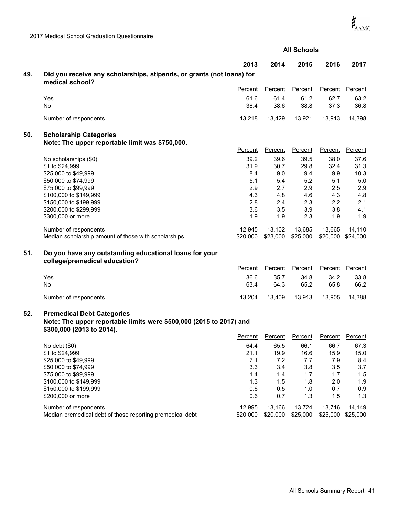|     |                                                                                                                                       | <b>All Schools</b> |                |                |                   |                 |
|-----|---------------------------------------------------------------------------------------------------------------------------------------|--------------------|----------------|----------------|-------------------|-----------------|
|     |                                                                                                                                       | 2013               | 2014           | 2015           | 2016              | 2017            |
| 49. | Did you receive any scholarships, stipends, or grants (not loans) for<br>medical school?                                              |                    |                |                |                   |                 |
|     |                                                                                                                                       | Percent            | Percent        | Percent        | Percent           | Percent         |
|     | Yes                                                                                                                                   | 61.6               | 61.4           | 61.2           | 62.7              | 63.2            |
|     | <b>No</b>                                                                                                                             | 38.4               | 38.6           | 38.8           | 37.3              | 36.8            |
|     | Number of respondents                                                                                                                 | 13,218             | 13,429         | 13,921         | 13,913            | 14,398          |
| 50. | <b>Scholarship Categories</b>                                                                                                         |                    |                |                |                   |                 |
|     | Note: The upper reportable limit was \$750,000.                                                                                       |                    |                |                |                   |                 |
|     |                                                                                                                                       | Percent            | Percent        | Percent        | Percent           | Percent         |
|     | No scholarships (\$0)                                                                                                                 | 39.2               | 39.6           | 39.5           | 38.0              | 37.6            |
|     | \$1 to \$24,999                                                                                                                       | 31.9               | 30.7           | 29.8           | 32.4              | 31.3            |
|     | \$25,000 to \$49,999                                                                                                                  | 8.4                | 9.0            | 9.4            | 9.9               | 10.3            |
|     | \$50,000 to \$74,999                                                                                                                  | 5.1                | 5.4            | 5.2            | 5.1               | 5.0             |
|     | \$75,000 to \$99,999                                                                                                                  | 2.9                | 2.7            | 2.9            | 2.5               | 2.9             |
|     | \$100,000 to \$149,999                                                                                                                | 4.3                | 4.8            | 4.6            | 4.3               | 4.8             |
|     | \$150,000 to \$199,999                                                                                                                | 2.8                | 2.4            | 2.3            | 2.2               | 2.1             |
|     | \$200,000 to \$299,999                                                                                                                | 3.6                | 3.5            | 3.9            | 3.8               | 4.1             |
|     | \$300,000 or more                                                                                                                     | 1.9                | 1.9            | 2.3            | 1.9               | 1.9             |
|     | Number of respondents                                                                                                                 | 12,945             | 13,102         | 13,685         | 13,665            | 14,110          |
|     | Median scholarship amount of those with scholarships                                                                                  | \$20,000           | \$23,000       | \$25,000       | \$20,000 \$24,000 |                 |
| 51. | Do you have any outstanding educational loans for your<br>college/premedical education?                                               |                    |                |                |                   |                 |
|     |                                                                                                                                       | Percent            | <b>Percent</b> | Percent        | Percent           | <b>Percent</b>  |
|     | Yes                                                                                                                                   | 36.6               | 35.7           | 34.8           | 34.2              | 33.8            |
|     | No                                                                                                                                    | 63.4               | 64.3           | 65.2           | 65.8              | 66.2            |
|     | Number of respondents                                                                                                                 | 13,204             | 13,409         | 13,913         | 13,905            | 14,388          |
| 52. | <b>Premedical Debt Categories</b><br>Note: The upper reportable limits were \$500,000 (2015 to 2017) and<br>\$300,000 (2013 to 2014). |                    |                |                |                   |                 |
|     |                                                                                                                                       | Percent            | Percent        | <b>Percent</b> |                   | Percent Percent |
|     | No debt $(\$0)$                                                                                                                       | 64.4               | 65.5           | 66.1           | 66.7              | 67.3            |
|     | \$1 to \$24,999                                                                                                                       | 21.1               | 19.9           | 16.6           | 15.9              | 15.0            |
|     | \$25,000 to \$49,999                                                                                                                  | 7.1                | 7.2            | 7.7            | 7.9               | 8.4             |
|     | \$50,000 to \$74,999                                                                                                                  | 3.3                | 3.4            | 3.8            | 3.5               | 3.7             |
|     | \$75,000 to \$99,999                                                                                                                  | 1.4                | 1.4            | 1.7            | 1.7               | 1.5             |
|     | \$100,000 to \$149,999                                                                                                                | 1.3                | 1.5            | 1.8            | 2.0               | 1.9             |
|     | \$150,000 to \$199,999                                                                                                                | 0.6                | 0.5            | 1.0            | 0.7               | 0.9             |
|     | \$200,000 or more                                                                                                                     | 0.6                | 0.7            | 1.3            | 1.5               | 1.3             |
|     | Number of respondents                                                                                                                 | 12,995             | 13,166         | 13,724         | 13,716            | 14,149          |
|     | Median premedical debt of those reporting premedical debt                                                                             | \$20,000           | \$20,000       | \$25,000       | \$25,000          | \$25,000        |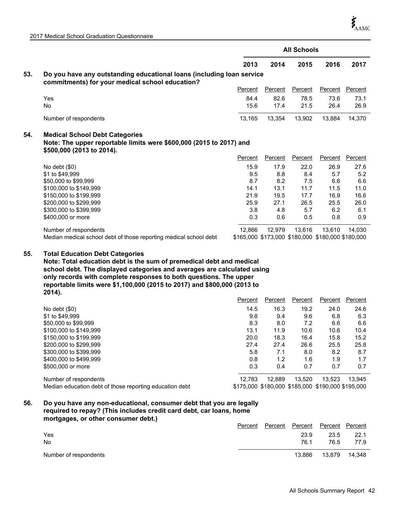|     |                                                                                                                                           | <b>All Schools</b> |                |         |                                                   |         |  |
|-----|-------------------------------------------------------------------------------------------------------------------------------------------|--------------------|----------------|---------|---------------------------------------------------|---------|--|
|     |                                                                                                                                           | 2013               | 2014           | 2015    | 2016                                              | 2017    |  |
| 53. | Do you have any outstanding educational loans (including loan service<br>commitments) for your medical school education?                  |                    |                |         |                                                   |         |  |
|     |                                                                                                                                           | Percent            | <b>Percent</b> | Percent | Percent                                           | Percent |  |
|     | Yes                                                                                                                                       | 84.4               | 82.6           | 78.5    | 73.6                                              | 73.1    |  |
|     | No.                                                                                                                                       | 15.6               | 17.4           | 21.5    | 26.4                                              | 26.9    |  |
|     | Number of respondents                                                                                                                     | 13,165             | 13,354         | 13,902  | 13,884                                            | 14,370  |  |
| 54. | <b>Medical School Debt Categories</b><br>Note: The upper reportable limits were \$600,000 (2015 to 2017) and<br>\$500,000 (2013 to 2014). |                    |                |         |                                                   |         |  |
|     |                                                                                                                                           | Percent            | Percent        | Percent | Percent                                           | Percent |  |
|     | No debt $(\$0)$                                                                                                                           | 15.9               | 17.9           | 22.0    | 26.9                                              | 27.6    |  |
|     | \$1 to \$49,999                                                                                                                           | 9.5                | 8.8            | 8.4     | 5.7                                               | 5.2     |  |
|     | \$50,000 to \$99,999                                                                                                                      | 8.7                | 8.2            | 7.5     | 6.6                                               | 6.6     |  |
|     | \$100,000 to \$149,999                                                                                                                    | 14.1               | 13.1           | 11.7    | 11.5                                              | 11.0    |  |
|     | \$150,000 to \$199,999                                                                                                                    | 21.9               | 19.5           | 17.7    | 16.9                                              | 16.6    |  |
|     | \$200,000 to \$299,999                                                                                                                    | 25.9               | 27.1           | 26.5    | 25.5                                              | 26.0    |  |
|     | \$300,000 to \$399,999                                                                                                                    | 3.8                | 4.8            | 5.7     | 6.2                                               | 6.1     |  |
|     | \$400,000 or more                                                                                                                         | 0.3                | 0.6            | 0.5     | 0.8                                               | 0.9     |  |
|     | Number of respondents                                                                                                                     | 12,866             | 12,979         | 13.616  | 13.610                                            | 14.030  |  |
|     | Median medical school debt of those reporting medical school debt                                                                         |                    |                |         | \$165,000 \$173,000 \$180,000 \$180,000 \$180,000 |         |  |

#### **Total Education Debt Categories 55.**

**Note: Total education debt is the sum of premedical debt and medical school debt. The displayed categories and averages are calculated using only records with complete responses to both questions. The upper reportable limits were \$1,100,000 (2015 to 2017) and \$800,000 (2013 to 2014).**

|                                                         | Percent | Percent                                           | Percent | Percent | Percent |
|---------------------------------------------------------|---------|---------------------------------------------------|---------|---------|---------|
| No debt $(\$0)$                                         | 14.5    | 16.3                                              | 19.2    | 24.0    | 24.6    |
| \$1 to \$49,999                                         | 9.8     | 9.4                                               | 9.6     | 6.8     | 6.3     |
| \$50,000 to \$99,999                                    | 8.3     | 8.0                                               | 7.2     | 6.6     | 6.6     |
| \$100,000 to \$149,999                                  | 13.1    | 11.9                                              | 10.6    | 10.6    | 10.4    |
| \$150,000 to \$199,999                                  | 20.0    | 18.3                                              | 16.4    | 15.8    | 15.2    |
| \$200,000 to \$299,999                                  | 27.4    | 27.4                                              | 26.6    | 25.5    | 25.8    |
| \$300,000 to \$399,999                                  | 5.8     | 7.1                                               | 8.0     | 8.2     | 8.7     |
| \$400,000 to \$499,999                                  | 0.8     | 1.2                                               | 1.6     | 1.9     | 1.7     |
| \$500,000 or more                                       | 0.3     | 0.4                                               | 0.7     | 0.7     | 0.7     |
| Number of respondents                                   | 12.783  | 12.889                                            | 13.520  | 13.523  | 13.945  |
| Median education debt of those reporting education debt |         | \$175,000 \$180,000 \$185,000 \$190,000 \$195,000 |         |         |         |

#### **Do you have any non-educational, consumer debt that you are legally required to repay? (This includes credit card debt, car loans, home mortgages, or other consumer debt.) 56.**

|                       | Percent | Percent | Percent | Percent Percent |        |
|-----------------------|---------|---------|---------|-----------------|--------|
| Yes                   |         |         | 23.9    | 23.5            | 22.1   |
| No                    |         |         | 76.1    | 76.5            | 77.9   |
| Number of respondents |         |         | 13.886  | 13.879          | 14.348 |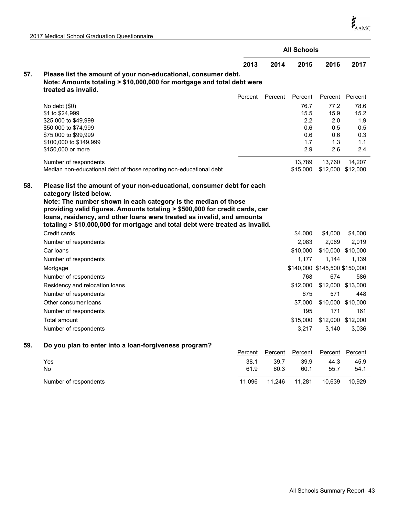$\boldsymbol{\dot{\zeta}}_{\mathrm{AAMC}}$ 

|  |  |  | 2017 Medical School Graduation Questionnaire |
|--|--|--|----------------------------------------------|
|--|--|--|----------------------------------------------|

|     |                                                                                                                                                                                                                                                                                                                                                                                                             |         | <b>All Schools</b> |                                                 |                                                 |                                                 |
|-----|-------------------------------------------------------------------------------------------------------------------------------------------------------------------------------------------------------------------------------------------------------------------------------------------------------------------------------------------------------------------------------------------------------------|---------|--------------------|-------------------------------------------------|-------------------------------------------------|-------------------------------------------------|
|     |                                                                                                                                                                                                                                                                                                                                                                                                             | 2013    | 2014               | 2015                                            | 2016                                            | 2017                                            |
| 57. | Please list the amount of your non-educational, consumer debt.<br>Note: Amounts totaling > \$10,000,000 for mortgage and total debt were<br>treated as invalid.                                                                                                                                                                                                                                             |         |                    |                                                 |                                                 |                                                 |
|     |                                                                                                                                                                                                                                                                                                                                                                                                             | Percent | Percent            | Percent                                         | Percent                                         | Percent                                         |
|     | No debt $(\$0)$<br>\$1 to \$24,999<br>\$25,000 to \$49,999<br>\$50,000 to \$74,999<br>\$75,000 to \$99,999<br>\$100,000 to \$149,999<br>\$150,000 or more                                                                                                                                                                                                                                                   |         |                    | 76.7<br>15.5<br>2.2<br>0.6<br>0.6<br>1.7<br>2.9 | 77.2<br>15.9<br>2.0<br>0.5<br>0.6<br>1.3<br>2.6 | 78.6<br>15.2<br>1.9<br>0.5<br>0.3<br>1.1<br>2.4 |
|     | Number of respondents<br>Median non-educational debt of those reporting non-educational debt                                                                                                                                                                                                                                                                                                                |         |                    | 13,789<br>\$15,000                              | 13,760                                          | 14,207<br>\$12,000 \$12,000                     |
| 58. | Please list the amount of your non-educational, consumer debt for each<br>category listed below.<br>Note: The number shown in each category is the median of those<br>providing valid figures. Amounts totaling > \$500,000 for credit cards, car<br>loans, residency, and other loans were treated as invalid, and amounts<br>totaling > \$10,000,000 for mortgage and total debt were treated as invalid. |         |                    |                                                 |                                                 |                                                 |
|     | Credit cards                                                                                                                                                                                                                                                                                                                                                                                                |         |                    | \$4,000                                         | \$4,000                                         | \$4,000                                         |
|     | Number of respondents                                                                                                                                                                                                                                                                                                                                                                                       |         |                    | 2,083                                           | 2,069                                           | 2,019                                           |
|     | Car loans                                                                                                                                                                                                                                                                                                                                                                                                   |         |                    | \$10,000                                        |                                                 | \$10,000 \$10,000                               |
|     | Number of respondents                                                                                                                                                                                                                                                                                                                                                                                       |         |                    | 1,177                                           | 1,144                                           | 1,139                                           |
|     | Mortgage                                                                                                                                                                                                                                                                                                                                                                                                    |         |                    |                                                 | \$140,000 \$145,500 \$150,000                   |                                                 |
|     | Number of respondents                                                                                                                                                                                                                                                                                                                                                                                       |         |                    | 768                                             | 674                                             | 586                                             |
|     | Residency and relocation loans                                                                                                                                                                                                                                                                                                                                                                              |         |                    | \$12,000                                        |                                                 | \$12,000 \$13,000                               |
|     | Number of respondents                                                                                                                                                                                                                                                                                                                                                                                       |         |                    | 675                                             | 571                                             | 448                                             |
|     | Other consumer loans                                                                                                                                                                                                                                                                                                                                                                                        |         |                    | \$7,000                                         |                                                 | \$10,000 \$10,000                               |
|     | Number of respondents                                                                                                                                                                                                                                                                                                                                                                                       |         |                    | 195                                             | 171                                             | 161                                             |
|     | Total amount                                                                                                                                                                                                                                                                                                                                                                                                |         |                    | \$15,000                                        |                                                 | \$12,000 \$12,000                               |
|     | Number of respondents                                                                                                                                                                                                                                                                                                                                                                                       |         |                    | 3,217                                           | 3,140                                           | 3,036                                           |
| 59. | Do you plan to enter into a loan-forgiveness program?                                                                                                                                                                                                                                                                                                                                                       | Percent | Percent            | Percent                                         | Percent                                         | Percent                                         |
|     | Yes                                                                                                                                                                                                                                                                                                                                                                                                         | 38.1    | 39.7               | 39.9                                            | 44.3                                            | 45.9                                            |
|     | No                                                                                                                                                                                                                                                                                                                                                                                                          | 61.9    | 60.3               | 60.1                                            | 55.7                                            | 54.1                                            |
|     | Number of respondents                                                                                                                                                                                                                                                                                                                                                                                       | 11,096  | 11,246             | 11,281                                          | 10,639                                          | 10,929                                          |
|     |                                                                                                                                                                                                                                                                                                                                                                                                             |         |                    |                                                 |                                                 |                                                 |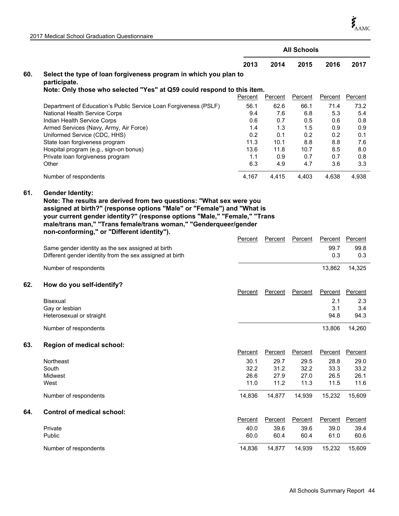$\boldsymbol{\dot{\zeta}}_{\mathrm{AAMC}}$ 

| 2017 Medical School Graduation Questionnaire |  |
|----------------------------------------------|--|
|----------------------------------------------|--|

| <b>All Schools</b>                                                                       |                                  |  |  |  |  |  |  |  |  |  |
|------------------------------------------------------------------------------------------|----------------------------------|--|--|--|--|--|--|--|--|--|
| 2013<br>2014<br>2015                                                                     | 2016<br>2017                     |  |  |  |  |  |  |  |  |  |
| 60.<br>Select the type of loan forgiveness program in which you plan to                  |                                  |  |  |  |  |  |  |  |  |  |
|                                                                                          | participate.                     |  |  |  |  |  |  |  |  |  |
| Note: Only those who selected "Yes" at Q59 could respond to this item.                   |                                  |  |  |  |  |  |  |  |  |  |
| Percent<br><b>Percent</b><br><b>Percent</b>                                              | Percent<br><b>Percent</b>        |  |  |  |  |  |  |  |  |  |
| 56.1<br>62.6<br>66.1<br>Department of Education's Public Service Loan Forgiveness (PSLF) | 71.4<br>73.2                     |  |  |  |  |  |  |  |  |  |
| National Health Service Corps<br>9.4<br>7.6<br>6.8                                       | 5.3<br>5.4                       |  |  |  |  |  |  |  |  |  |
| Indian Health Service Corps<br>0.6<br>0.7<br>0.5                                         | 0.8<br>0.6                       |  |  |  |  |  |  |  |  |  |
| Armed Services (Navy, Army, Air Force)<br>1.4<br>1.3<br>1.5                              | 0.9<br>0.9                       |  |  |  |  |  |  |  |  |  |
| 0.2<br>Uniformed Service (CDC, HHS)<br>0.1<br>0.2                                        | 0.2<br>0.1                       |  |  |  |  |  |  |  |  |  |
| 11.3<br>State loan forgiveness program<br>10.1<br>8.8                                    | 7.6<br>8.8                       |  |  |  |  |  |  |  |  |  |
| Hospital program (e.g., sign-on bonus)<br>13.6<br>11.8<br>10.7                           | 8.0<br>8.5                       |  |  |  |  |  |  |  |  |  |
| Private loan forgiveness program<br>0.9<br>0.7<br>1.1                                    | 0.7<br>0.8                       |  |  |  |  |  |  |  |  |  |
| 6.3<br>Other<br>4.7<br>4.9                                                               | 3.3<br>3.6                       |  |  |  |  |  |  |  |  |  |
| 4,167<br>Number of respondents<br>4,415<br>4,403                                         | 4,938<br>4,638                   |  |  |  |  |  |  |  |  |  |
| 61.<br><b>Gender Identity:</b>                                                           |                                  |  |  |  |  |  |  |  |  |  |
| Note: The results are derived from two questions: "What sex were you                     |                                  |  |  |  |  |  |  |  |  |  |
| assigned at birth?" (response options "Male" or "Female") and "What is                   |                                  |  |  |  |  |  |  |  |  |  |
|                                                                                          |                                  |  |  |  |  |  |  |  |  |  |
| your current gender identity?" (response options "Male," "Female," "Trans                |                                  |  |  |  |  |  |  |  |  |  |
| male/trans man," "Trans female/trans woman," "Genderqueer/gender                         |                                  |  |  |  |  |  |  |  |  |  |
| non-conforming," or "Different identity").                                               |                                  |  |  |  |  |  |  |  |  |  |
| Percent<br>Percent<br>Percent                                                            | Percent<br>Percent               |  |  |  |  |  |  |  |  |  |
| Same gender identity as the sex assigned at birth                                        | 99.7<br>99.8                     |  |  |  |  |  |  |  |  |  |
| Different gender identity from the sex assigned at birth                                 | 0.3<br>0.3                       |  |  |  |  |  |  |  |  |  |
|                                                                                          |                                  |  |  |  |  |  |  |  |  |  |
| Number of respondents                                                                    | 13,862<br>14,325                 |  |  |  |  |  |  |  |  |  |
|                                                                                          |                                  |  |  |  |  |  |  |  |  |  |
| 62.<br>How do you self-identify?                                                         |                                  |  |  |  |  |  |  |  |  |  |
| Percent<br>Percent<br>Percent                                                            | Percent<br>Percent               |  |  |  |  |  |  |  |  |  |
| <b>Bisexual</b>                                                                          | 2.1<br>2.3                       |  |  |  |  |  |  |  |  |  |
| Gay or lesbian                                                                           | 3.1<br>3.4                       |  |  |  |  |  |  |  |  |  |
| Heterosexual or straight                                                                 | 94.8<br>94.3                     |  |  |  |  |  |  |  |  |  |
|                                                                                          |                                  |  |  |  |  |  |  |  |  |  |
| Number of respondents                                                                    | 13,806<br>14,260                 |  |  |  |  |  |  |  |  |  |
| 63.<br>Region of medical school:                                                         |                                  |  |  |  |  |  |  |  |  |  |
| Percent<br><b>Percent</b><br><b>Percent</b>                                              | Percent<br>Percent               |  |  |  |  |  |  |  |  |  |
|                                                                                          |                                  |  |  |  |  |  |  |  |  |  |
| 30.1<br>29.7<br>29.5<br>Northeast                                                        | 28.8<br>29.0                     |  |  |  |  |  |  |  |  |  |
| 32.2<br>31.2<br>South<br>32.2                                                            | 33.3<br>33.2                     |  |  |  |  |  |  |  |  |  |
| 26.6<br>27.9<br>27.0<br>Midwest                                                          | 26.5<br>26.1                     |  |  |  |  |  |  |  |  |  |
| West<br>11.0<br>11.2<br>11.3                                                             | 11.5<br>11.6                     |  |  |  |  |  |  |  |  |  |
| Number of respondents<br>14,836<br>14,877<br>14,939                                      | 15,232<br>15,609                 |  |  |  |  |  |  |  |  |  |
|                                                                                          |                                  |  |  |  |  |  |  |  |  |  |
|                                                                                          |                                  |  |  |  |  |  |  |  |  |  |
| <b>Control of medical school:</b><br>64.                                                 |                                  |  |  |  |  |  |  |  |  |  |
| Percent<br>Percent<br>Percent                                                            | <b>Percent</b><br><b>Percent</b> |  |  |  |  |  |  |  |  |  |
| 39.6<br>Private<br>40.0<br>39.6                                                          | 39.0<br>39.4                     |  |  |  |  |  |  |  |  |  |
| Public<br>60.0<br>60.4<br>60.4                                                           | 61.0<br>60.6                     |  |  |  |  |  |  |  |  |  |